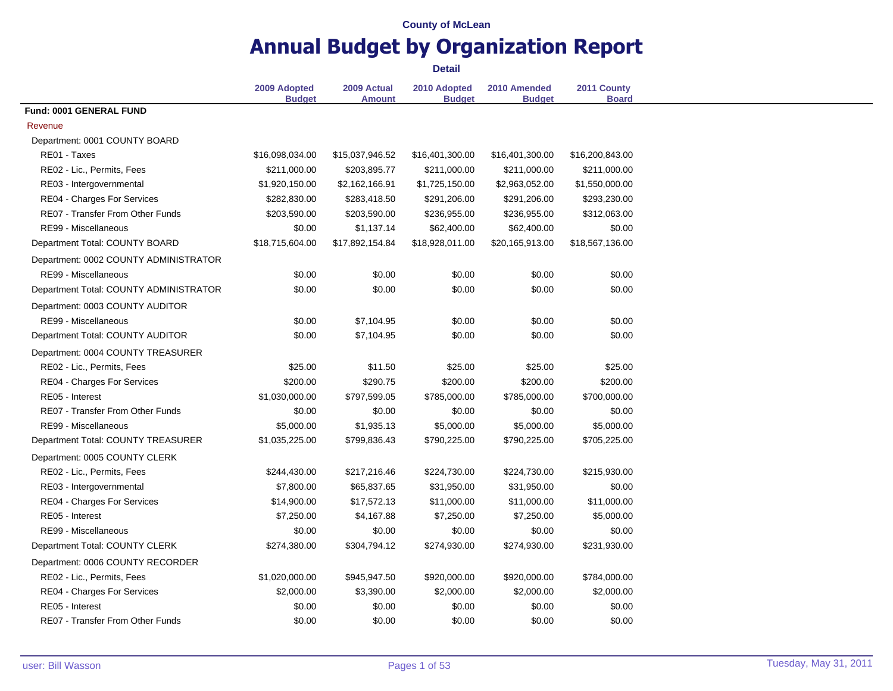# **Annual Budget by Organization Report**

|                                         | 2009 Adopted<br><b>Budget</b> | 2009 Actual<br><b>Amount</b> | 2010 Adopted<br><b>Budget</b> | 2010 Amended<br><b>Budget</b> | 2011 County<br><b>Board</b> |
|-----------------------------------------|-------------------------------|------------------------------|-------------------------------|-------------------------------|-----------------------------|
| Fund: 0001 GENERAL FUND                 |                               |                              |                               |                               |                             |
| Revenue                                 |                               |                              |                               |                               |                             |
| Department: 0001 COUNTY BOARD           |                               |                              |                               |                               |                             |
| RE01 - Taxes                            | \$16,098,034.00               | \$15,037,946.52              | \$16,401,300.00               | \$16,401,300.00               | \$16,200,843.00             |
| RE02 - Lic., Permits, Fees              | \$211,000.00                  | \$203,895.77                 | \$211,000.00                  | \$211,000.00                  | \$211,000.00                |
| RE03 - Intergovernmental                | \$1,920,150.00                | \$2,162,166.91               | \$1,725,150.00                | \$2,963,052.00                | \$1,550,000.00              |
| RE04 - Charges For Services             | \$282,830.00                  | \$283,418.50                 | \$291,206.00                  | \$291,206.00                  | \$293,230.00                |
| <b>RE07 - Transfer From Other Funds</b> | \$203,590.00                  | \$203,590.00                 | \$236,955.00                  | \$236,955.00                  | \$312,063.00                |
| RE99 - Miscellaneous                    | \$0.00                        | \$1,137.14                   | \$62,400.00                   | \$62,400.00                   | \$0.00                      |
| Department Total: COUNTY BOARD          | \$18,715,604.00               | \$17,892,154.84              | \$18,928,011.00               | \$20,165,913.00               | \$18,567,136.00             |
| Department: 0002 COUNTY ADMINISTRATOR   |                               |                              |                               |                               |                             |
| RE99 - Miscellaneous                    | \$0.00                        | \$0.00                       | \$0.00                        | \$0.00                        | \$0.00                      |
| Department Total: COUNTY ADMINISTRATOR  | \$0.00                        | \$0.00                       | \$0.00                        | \$0.00                        | \$0.00                      |
| Department: 0003 COUNTY AUDITOR         |                               |                              |                               |                               |                             |
| RE99 - Miscellaneous                    | \$0.00                        | \$7,104.95                   | \$0.00                        | \$0.00                        | \$0.00                      |
| Department Total: COUNTY AUDITOR        | \$0.00                        | \$7,104.95                   | \$0.00                        | \$0.00                        | \$0.00                      |
| Department: 0004 COUNTY TREASURER       |                               |                              |                               |                               |                             |
| RE02 - Lic., Permits, Fees              | \$25.00                       | \$11.50                      | \$25.00                       | \$25.00                       | \$25.00                     |
| RE04 - Charges For Services             | \$200.00                      | \$290.75                     | \$200.00                      | \$200.00                      | \$200.00                    |
| RE05 - Interest                         | \$1,030,000.00                | \$797,599.05                 | \$785,000.00                  | \$785,000.00                  | \$700,000.00                |
| RE07 - Transfer From Other Funds        | \$0.00                        | \$0.00                       | \$0.00                        | \$0.00                        | \$0.00                      |
| RE99 - Miscellaneous                    | \$5,000.00                    | \$1,935.13                   | \$5,000.00                    | \$5,000.00                    | \$5,000.00                  |
| Department Total: COUNTY TREASURER      | \$1,035,225.00                | \$799,836.43                 | \$790,225.00                  | \$790,225.00                  | \$705,225.00                |
| Department: 0005 COUNTY CLERK           |                               |                              |                               |                               |                             |
| RE02 - Lic., Permits, Fees              | \$244,430.00                  | \$217,216.46                 | \$224,730.00                  | \$224,730.00                  | \$215,930.00                |
| RE03 - Intergovernmental                | \$7,800.00                    | \$65,837.65                  | \$31,950.00                   | \$31,950.00                   | \$0.00                      |
| <b>RE04 - Charges For Services</b>      | \$14,900.00                   | \$17,572.13                  | \$11,000.00                   | \$11,000.00                   | \$11,000.00                 |
| RE05 - Interest                         | \$7,250.00                    | \$4,167.88                   | \$7,250.00                    | \$7,250.00                    | \$5,000.00                  |
| RE99 - Miscellaneous                    | \$0.00                        | \$0.00                       | \$0.00                        | \$0.00                        | \$0.00                      |
| Department Total: COUNTY CLERK          | \$274,380.00                  | \$304,794.12                 | \$274,930.00                  | \$274,930.00                  | \$231,930.00                |
| Department: 0006 COUNTY RECORDER        |                               |                              |                               |                               |                             |
| RE02 - Lic., Permits, Fees              | \$1,020,000.00                | \$945,947.50                 | \$920,000.00                  | \$920,000.00                  | \$784,000.00                |
| RE04 - Charges For Services             | \$2,000.00                    | \$3,390.00                   | \$2,000.00                    | \$2,000.00                    | \$2,000.00                  |
| RE05 - Interest                         | \$0.00                        | \$0.00                       | \$0.00                        | \$0.00                        | \$0.00                      |
| RE07 - Transfer From Other Funds        | \$0.00                        | \$0.00                       | \$0.00                        | \$0.00                        | \$0.00                      |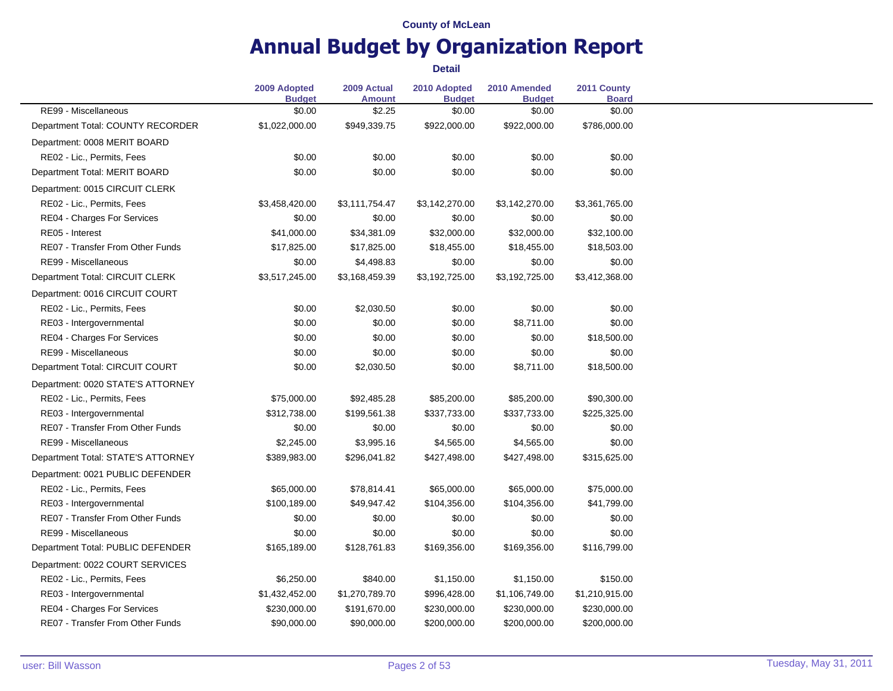# **Annual Budget by Organization Report**

|                                         | 2009 Adopted<br><b>Budget</b> | 2009 Actual<br><b>Amount</b> | 2010 Adopted<br><b>Budget</b> | 2010 Amended<br><b>Budget</b> | 2011 County<br><b>Board</b> |
|-----------------------------------------|-------------------------------|------------------------------|-------------------------------|-------------------------------|-----------------------------|
| RE99 - Miscellaneous                    | \$0.00                        | \$2.25                       | \$0.00                        | \$0.00                        | \$0.00                      |
| Department Total: COUNTY RECORDER       | \$1,022,000.00                | \$949,339.75                 | \$922,000.00                  | \$922,000.00                  | \$786,000.00                |
| Department: 0008 MERIT BOARD            |                               |                              |                               |                               |                             |
| RE02 - Lic., Permits, Fees              | \$0.00                        | \$0.00                       | \$0.00                        | \$0.00                        | \$0.00                      |
| Department Total: MERIT BOARD           | \$0.00                        | \$0.00                       | \$0.00                        | \$0.00                        | \$0.00                      |
| Department: 0015 CIRCUIT CLERK          |                               |                              |                               |                               |                             |
| RE02 - Lic., Permits, Fees              | \$3,458,420.00                | \$3,111,754.47               | \$3,142,270.00                | \$3,142,270.00                | \$3,361,765.00              |
| RE04 - Charges For Services             | \$0.00                        | \$0.00                       | \$0.00                        | \$0.00                        | \$0.00                      |
| RE05 - Interest                         | \$41,000.00                   | \$34,381.09                  | \$32,000.00                   | \$32,000.00                   | \$32,100.00                 |
| RE07 - Transfer From Other Funds        | \$17,825.00                   | \$17,825.00                  | \$18,455.00                   | \$18,455.00                   | \$18,503.00                 |
| RE99 - Miscellaneous                    | \$0.00                        | \$4,498.83                   | \$0.00                        | \$0.00                        | \$0.00                      |
| Department Total: CIRCUIT CLERK         | \$3,517,245.00                | \$3,168,459.39               | \$3,192,725.00                | \$3,192,725.00                | \$3,412,368.00              |
| Department: 0016 CIRCUIT COURT          |                               |                              |                               |                               |                             |
| RE02 - Lic., Permits, Fees              | \$0.00                        | \$2,030.50                   | \$0.00                        | \$0.00                        | \$0.00                      |
| RE03 - Intergovernmental                | \$0.00                        | \$0.00                       | \$0.00                        | \$8,711.00                    | \$0.00                      |
| RE04 - Charges For Services             | \$0.00                        | \$0.00                       | \$0.00                        | \$0.00                        | \$18,500.00                 |
| RE99 - Miscellaneous                    | \$0.00                        | \$0.00                       | \$0.00                        | \$0.00                        | \$0.00                      |
| Department Total: CIRCUIT COURT         | \$0.00                        | \$2,030.50                   | \$0.00                        | \$8,711.00                    | \$18,500.00                 |
| Department: 0020 STATE'S ATTORNEY       |                               |                              |                               |                               |                             |
| RE02 - Lic., Permits, Fees              | \$75,000.00                   | \$92,485.28                  | \$85,200.00                   | \$85,200.00                   | \$90,300.00                 |
| RE03 - Intergovernmental                | \$312,738.00                  | \$199,561.38                 | \$337,733.00                  | \$337,733.00                  | \$225,325.00                |
| RE07 - Transfer From Other Funds        | \$0.00                        | \$0.00                       | \$0.00                        | \$0.00                        | \$0.00                      |
| RE99 - Miscellaneous                    | \$2,245.00                    | \$3,995.16                   | \$4,565.00                    | \$4,565.00                    | \$0.00                      |
| Department Total: STATE'S ATTORNEY      | \$389,983.00                  | \$296,041.82                 | \$427,498.00                  | \$427,498.00                  | \$315,625.00                |
| Department: 0021 PUBLIC DEFENDER        |                               |                              |                               |                               |                             |
| RE02 - Lic., Permits, Fees              | \$65,000.00                   | \$78,814.41                  | \$65,000.00                   | \$65,000.00                   | \$75,000.00                 |
| RE03 - Intergovernmental                | \$100,189.00                  | \$49,947.42                  | \$104,356.00                  | \$104,356.00                  | \$41,799.00                 |
| <b>RE07 - Transfer From Other Funds</b> | \$0.00                        | \$0.00                       | \$0.00                        | \$0.00                        | \$0.00                      |
| RE99 - Miscellaneous                    | \$0.00                        | \$0.00                       | \$0.00                        | \$0.00                        | \$0.00                      |
| Department Total: PUBLIC DEFENDER       | \$165,189.00                  | \$128,761.83                 | \$169,356.00                  | \$169,356.00                  | \$116,799.00                |
| Department: 0022 COURT SERVICES         |                               |                              |                               |                               |                             |
| RE02 - Lic., Permits, Fees              | \$6,250.00                    | \$840.00                     | \$1,150.00                    | \$1,150.00                    | \$150.00                    |
| RE03 - Intergovernmental                | \$1,432,452.00                | \$1,270,789.70               | \$996,428.00                  | \$1,106,749.00                | \$1,210,915.00              |
| RE04 - Charges For Services             | \$230,000.00                  | \$191,670.00                 | \$230,000.00                  | \$230,000.00                  | \$230,000.00                |
| RE07 - Transfer From Other Funds        | \$90,000.00                   | \$90,000.00                  | \$200,000.00                  | \$200,000.00                  | \$200,000.00                |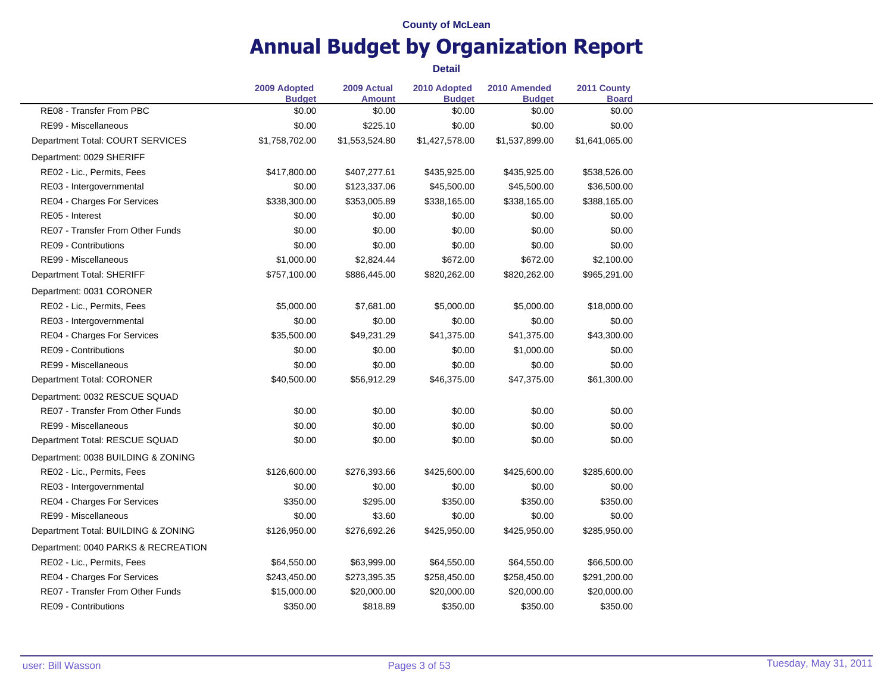# **Annual Budget by Organization Report**

|                                         | 2009 Adopted<br><b>Budget</b> | 2009 Actual<br><b>Amount</b> | 2010 Adopted<br><b>Budget</b> | 2010 Amended<br><b>Budget</b> | 2011 County<br><b>Board</b> |
|-----------------------------------------|-------------------------------|------------------------------|-------------------------------|-------------------------------|-----------------------------|
| RE08 - Transfer From PBC                | \$0.00                        | \$0.00                       | \$0.00                        | \$0.00                        | \$0.00                      |
| RE99 - Miscellaneous                    | \$0.00                        | \$225.10                     | \$0.00                        | \$0.00                        | \$0.00                      |
| Department Total: COURT SERVICES        | \$1,758,702.00                | \$1,553,524.80               | \$1,427,578.00                | \$1,537,899.00                | \$1,641,065.00              |
| Department: 0029 SHERIFF                |                               |                              |                               |                               |                             |
| RE02 - Lic., Permits, Fees              | \$417,800.00                  | \$407,277.61                 | \$435,925.00                  | \$435,925.00                  | \$538,526.00                |
| RE03 - Intergovernmental                | \$0.00                        | \$123,337.06                 | \$45,500.00                   | \$45,500.00                   | \$36,500.00                 |
| RE04 - Charges For Services             | \$338,300.00                  | \$353,005.89                 | \$338,165.00                  | \$338,165.00                  | \$388,165.00                |
| RE05 - Interest                         | \$0.00                        | \$0.00                       | \$0.00                        | \$0.00                        | \$0.00                      |
| RE07 - Transfer From Other Funds        | \$0.00                        | \$0.00                       | \$0.00                        | \$0.00                        | \$0.00                      |
| RE09 - Contributions                    | \$0.00                        | \$0.00                       | \$0.00                        | \$0.00                        | \$0.00                      |
| RE99 - Miscellaneous                    | \$1,000.00                    | \$2,824.44                   | \$672.00                      | \$672.00                      | \$2,100.00                  |
| Department Total: SHERIFF               | \$757,100.00                  | \$886,445.00                 | \$820,262.00                  | \$820,262.00                  | \$965,291.00                |
| Department: 0031 CORONER                |                               |                              |                               |                               |                             |
| RE02 - Lic., Permits, Fees              | \$5,000.00                    | \$7,681.00                   | \$5,000.00                    | \$5,000.00                    | \$18,000.00                 |
| RE03 - Intergovernmental                | \$0.00                        | \$0.00                       | \$0.00                        | \$0.00                        | \$0.00                      |
| RE04 - Charges For Services             | \$35,500.00                   | \$49,231.29                  | \$41,375.00                   | \$41,375.00                   | \$43,300.00                 |
| RE09 - Contributions                    | \$0.00                        | \$0.00                       | \$0.00                        | \$1,000.00                    | \$0.00                      |
| RE99 - Miscellaneous                    | \$0.00                        | \$0.00                       | \$0.00                        | \$0.00                        | \$0.00                      |
| Department Total: CORONER               | \$40,500.00                   | \$56,912.29                  | \$46,375.00                   | \$47,375.00                   | \$61,300.00                 |
| Department: 0032 RESCUE SQUAD           |                               |                              |                               |                               |                             |
| RE07 - Transfer From Other Funds        | \$0.00                        | \$0.00                       | \$0.00                        | \$0.00                        | \$0.00                      |
| RE99 - Miscellaneous                    | \$0.00                        | \$0.00                       | \$0.00                        | \$0.00                        | \$0.00                      |
| Department Total: RESCUE SQUAD          | \$0.00                        | \$0.00                       | \$0.00                        | \$0.00                        | \$0.00                      |
| Department: 0038 BUILDING & ZONING      |                               |                              |                               |                               |                             |
| RE02 - Lic., Permits, Fees              | \$126,600.00                  | \$276,393.66                 | \$425,600.00                  | \$425,600.00                  | \$285,600.00                |
| RE03 - Intergovernmental                | \$0.00                        | \$0.00                       | \$0.00                        | \$0.00                        | \$0.00                      |
| RE04 - Charges For Services             | \$350.00                      | \$295.00                     | \$350.00                      | \$350.00                      | \$350.00                    |
| RE99 - Miscellaneous                    | \$0.00                        | \$3.60                       | \$0.00                        | \$0.00                        | \$0.00                      |
| Department Total: BUILDING & ZONING     | \$126,950.00                  | \$276,692.26                 | \$425,950.00                  | \$425,950.00                  | \$285,950.00                |
| Department: 0040 PARKS & RECREATION     |                               |                              |                               |                               |                             |
| RE02 - Lic., Permits, Fees              | \$64,550.00                   | \$63,999.00                  | \$64,550.00                   | \$64,550.00                   | \$66,500.00                 |
| RE04 - Charges For Services             | \$243,450.00                  | \$273,395.35                 | \$258,450.00                  | \$258,450.00                  | \$291,200.00                |
| <b>RE07 - Transfer From Other Funds</b> | \$15,000.00                   | \$20,000.00                  | \$20,000.00                   | \$20,000.00                   | \$20,000.00                 |
| RE09 - Contributions                    | \$350.00                      | \$818.89                     | \$350.00                      | \$350.00                      | \$350.00                    |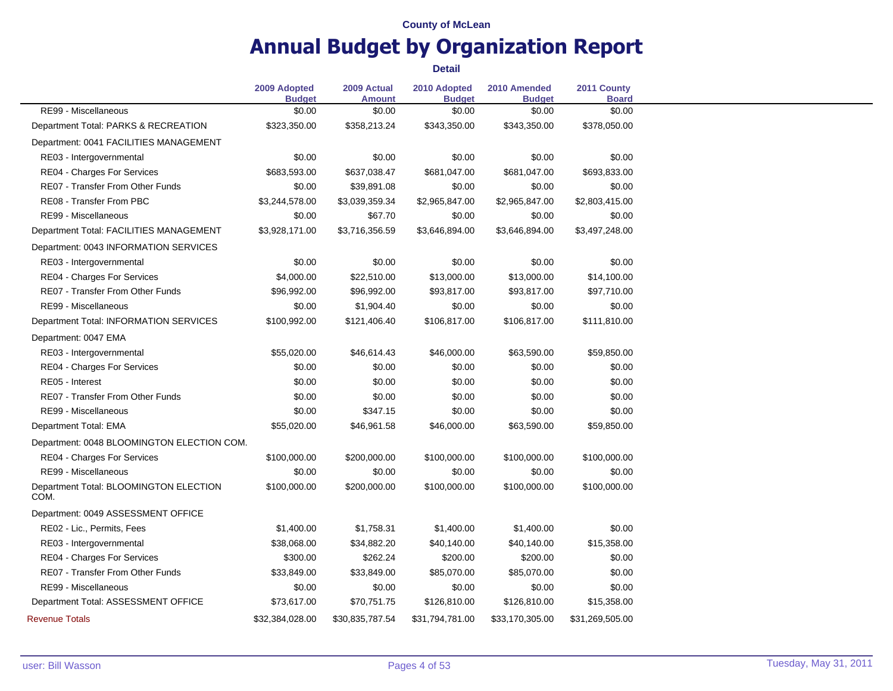# **Annual Budget by Organization Report**

|                                                | 2009 Adopted<br><b>Budget</b> | 2009 Actual<br><b>Amount</b> | 2010 Adopted<br><b>Budget</b> | 2010 Amended<br><b>Budget</b> | 2011 County<br><b>Board</b> |
|------------------------------------------------|-------------------------------|------------------------------|-------------------------------|-------------------------------|-----------------------------|
| RE99 - Miscellaneous                           | \$0.00                        | \$0.00                       | \$0.00                        | \$0.00                        | \$0.00                      |
| Department Total: PARKS & RECREATION           | \$323,350.00                  | \$358,213.24                 | \$343,350.00                  | \$343,350.00                  | \$378,050.00                |
| Department: 0041 FACILITIES MANAGEMENT         |                               |                              |                               |                               |                             |
| RE03 - Intergovernmental                       | \$0.00                        | \$0.00                       | \$0.00                        | \$0.00                        | \$0.00                      |
| RE04 - Charges For Services                    | \$683,593.00                  | \$637,038.47                 | \$681,047.00                  | \$681,047.00                  | \$693,833.00                |
| RE07 - Transfer From Other Funds               | \$0.00                        | \$39,891.08                  | \$0.00                        | \$0.00                        | \$0.00                      |
| RE08 - Transfer From PBC                       | \$3,244,578.00                | \$3,039,359.34               | \$2,965,847.00                | \$2,965,847.00                | \$2,803,415.00              |
| RE99 - Miscellaneous                           | \$0.00                        | \$67.70                      | \$0.00                        | \$0.00                        | \$0.00                      |
| Department Total: FACILITIES MANAGEMENT        | \$3,928,171.00                | \$3,716,356.59               | \$3,646,894.00                | \$3,646,894.00                | \$3,497,248.00              |
| Department: 0043 INFORMATION SERVICES          |                               |                              |                               |                               |                             |
| RE03 - Intergovernmental                       | \$0.00                        | \$0.00                       | \$0.00                        | \$0.00                        | \$0.00                      |
| RE04 - Charges For Services                    | \$4,000.00                    | \$22,510.00                  | \$13,000.00                   | \$13,000.00                   | \$14,100.00                 |
| RE07 - Transfer From Other Funds               | \$96,992.00                   | \$96,992.00                  | \$93,817.00                   | \$93,817.00                   | \$97,710.00                 |
| RE99 - Miscellaneous                           | \$0.00                        | \$1,904.40                   | \$0.00                        | \$0.00                        | \$0.00                      |
| Department Total: INFORMATION SERVICES         | \$100,992.00                  | \$121,406.40                 | \$106,817.00                  | \$106,817.00                  | \$111,810.00                |
| Department: 0047 EMA                           |                               |                              |                               |                               |                             |
| RE03 - Intergovernmental                       | \$55,020.00                   | \$46,614.43                  | \$46,000.00                   | \$63,590.00                   | \$59,850.00                 |
| RE04 - Charges For Services                    | \$0.00                        | \$0.00                       | \$0.00                        | \$0.00                        | \$0.00                      |
| RE05 - Interest                                | \$0.00                        | \$0.00                       | \$0.00                        | \$0.00                        | \$0.00                      |
| RE07 - Transfer From Other Funds               | \$0.00                        | \$0.00                       | \$0.00                        | \$0.00                        | \$0.00                      |
| RE99 - Miscellaneous                           | \$0.00                        | \$347.15                     | \$0.00                        | \$0.00                        | \$0.00                      |
| Department Total: EMA                          | \$55,020.00                   | \$46,961.58                  | \$46,000.00                   | \$63,590.00                   | \$59,850.00                 |
| Department: 0048 BLOOMINGTON ELECTION COM.     |                               |                              |                               |                               |                             |
| RE04 - Charges For Services                    | \$100,000.00                  | \$200,000.00                 | \$100,000.00                  | \$100,000.00                  | \$100,000.00                |
| RE99 - Miscellaneous                           | \$0.00                        | \$0.00                       | \$0.00                        | \$0.00                        | \$0.00                      |
| Department Total: BLOOMINGTON ELECTION<br>COM. | \$100,000.00                  | \$200,000.00                 | \$100,000.00                  | \$100,000.00                  | \$100,000.00                |
| Department: 0049 ASSESSMENT OFFICE             |                               |                              |                               |                               |                             |
| RE02 - Lic., Permits, Fees                     | \$1,400.00                    | \$1,758.31                   | \$1,400.00                    | \$1,400.00                    | \$0.00                      |
| RE03 - Intergovernmental                       | \$38,068.00                   | \$34,882.20                  | \$40,140.00                   | \$40,140.00                   | \$15,358.00                 |
| RE04 - Charges For Services                    | \$300.00                      | \$262.24                     | \$200.00                      | \$200.00                      | \$0.00                      |
| <b>RE07 - Transfer From Other Funds</b>        | \$33,849.00                   | \$33,849.00                  | \$85,070.00                   | \$85,070.00                   | \$0.00                      |
| RE99 - Miscellaneous                           | \$0.00                        | \$0.00                       | \$0.00                        | \$0.00                        | \$0.00                      |
| Department Total: ASSESSMENT OFFICE            | \$73,617.00                   | \$70,751.75                  | \$126,810.00                  | \$126,810.00                  | \$15,358.00                 |
| <b>Revenue Totals</b>                          | \$32,384,028.00               | \$30,835,787.54              | \$31,794,781.00               | \$33,170,305.00               | \$31,269,505.00             |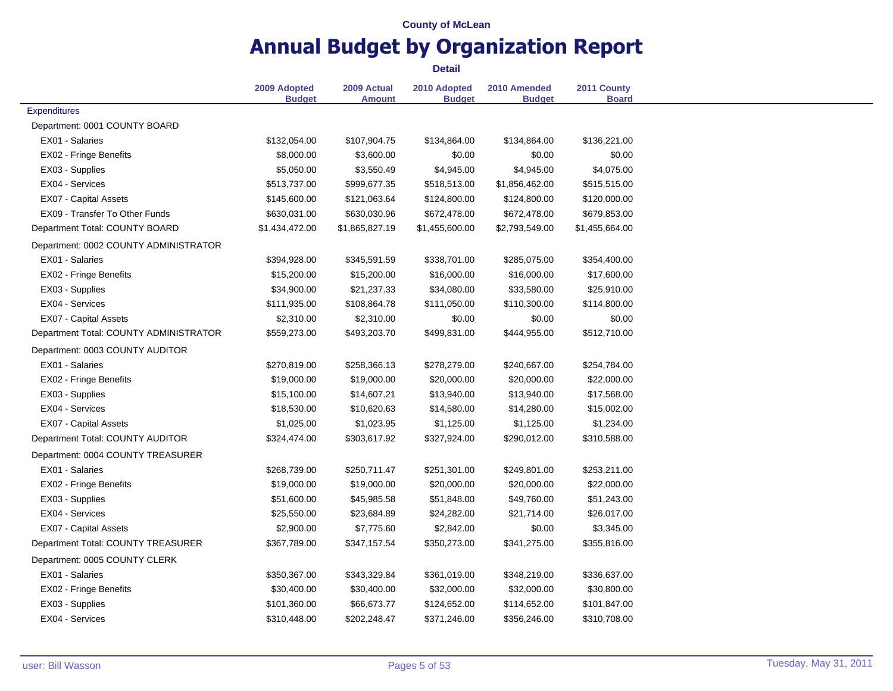# **Annual Budget by Organization Report**

|                                        | 2009 Adopted   | 2009 Actual    | 2010 Adopted   | 2010 Amended   | 2011 County    |
|----------------------------------------|----------------|----------------|----------------|----------------|----------------|
|                                        | <b>Budget</b>  | <b>Amount</b>  | <b>Budget</b>  | <b>Budget</b>  | <b>Board</b>   |
| <b>Expenditures</b>                    |                |                |                |                |                |
| Department: 0001 COUNTY BOARD          |                |                |                |                |                |
| EX01 - Salaries                        | \$132,054.00   | \$107,904.75   | \$134,864.00   | \$134,864.00   | \$136,221.00   |
| EX02 - Fringe Benefits                 | \$8,000.00     | \$3,600.00     | \$0.00         | \$0.00         | \$0.00         |
| EX03 - Supplies                        | \$5,050.00     | \$3,550.49     | \$4,945.00     | \$4,945.00     | \$4,075.00     |
| EX04 - Services                        | \$513,737.00   | \$999,677.35   | \$518,513.00   | \$1,856,462.00 | \$515,515.00   |
| <b>EX07 - Capital Assets</b>           | \$145,600.00   | \$121,063.64   | \$124,800.00   | \$124,800.00   | \$120,000.00   |
| EX09 - Transfer To Other Funds         | \$630,031.00   | \$630,030.96   | \$672,478.00   | \$672,478.00   | \$679,853.00   |
| Department Total: COUNTY BOARD         | \$1,434,472.00 | \$1,865,827.19 | \$1,455,600.00 | \$2,793,549.00 | \$1,455,664.00 |
| Department: 0002 COUNTY ADMINISTRATOR  |                |                |                |                |                |
| EX01 - Salaries                        | \$394,928.00   | \$345,591.59   | \$338,701.00   | \$285,075.00   | \$354,400.00   |
| EX02 - Fringe Benefits                 | \$15,200.00    | \$15,200.00    | \$16,000.00    | \$16,000.00    | \$17,600.00    |
| EX03 - Supplies                        | \$34,900.00    | \$21,237.33    | \$34,080.00    | \$33,580.00    | \$25,910.00    |
| EX04 - Services                        | \$111,935.00   | \$108,864.78   | \$111,050.00   | \$110,300.00   | \$114,800.00   |
| EX07 - Capital Assets                  | \$2,310.00     | \$2,310.00     | \$0.00         | \$0.00         | \$0.00         |
| Department Total: COUNTY ADMINISTRATOR | \$559,273.00   | \$493,203.70   | \$499,831.00   | \$444,955.00   | \$512,710.00   |
| Department: 0003 COUNTY AUDITOR        |                |                |                |                |                |
| EX01 - Salaries                        | \$270,819.00   | \$258,366.13   | \$278,279.00   | \$240,667.00   | \$254,784.00   |
| EX02 - Fringe Benefits                 | \$19,000.00    | \$19,000.00    | \$20,000.00    | \$20,000.00    | \$22,000.00    |
| EX03 - Supplies                        | \$15,100.00    | \$14,607.21    | \$13,940.00    | \$13,940.00    | \$17,568.00    |
| EX04 - Services                        | \$18,530.00    | \$10,620.63    | \$14,580.00    | \$14,280.00    | \$15,002.00    |
| EX07 - Capital Assets                  | \$1,025.00     | \$1,023.95     | \$1,125.00     | \$1,125.00     | \$1,234.00     |
| Department Total: COUNTY AUDITOR       | \$324,474.00   | \$303,617.92   | \$327,924.00   | \$290,012.00   | \$310,588.00   |
| Department: 0004 COUNTY TREASURER      |                |                |                |                |                |
| EX01 - Salaries                        | \$268,739.00   | \$250,711.47   | \$251,301.00   | \$249,801.00   | \$253,211.00   |
| EX02 - Fringe Benefits                 | \$19,000.00    | \$19,000.00    | \$20,000.00    | \$20,000.00    | \$22,000.00    |
| EX03 - Supplies                        | \$51,600.00    | \$45,985.58    | \$51,848.00    | \$49,760.00    | \$51,243.00    |
| EX04 - Services                        | \$25,550.00    | \$23,684.89    | \$24,282.00    | \$21,714.00    | \$26,017.00    |
| EX07 - Capital Assets                  | \$2,900.00     | \$7,775.60     | \$2,842.00     | \$0.00         | \$3,345.00     |
| Department Total: COUNTY TREASURER     | \$367,789.00   | \$347,157.54   | \$350,273.00   | \$341,275.00   | \$355,816.00   |
| Department: 0005 COUNTY CLERK          |                |                |                |                |                |
| EX01 - Salaries                        | \$350,367.00   | \$343,329.84   | \$361,019.00   | \$348,219.00   | \$336,637.00   |
| EX02 - Fringe Benefits                 | \$30,400.00    | \$30,400.00    | \$32,000.00    | \$32,000.00    | \$30,800.00    |
| EX03 - Supplies                        | \$101,360.00   | \$66,673.77    | \$124,652.00   | \$114,652.00   | \$101,847.00   |
| EX04 - Services                        | \$310,448.00   | \$202,248.47   | \$371,246.00   | \$356,246.00   | \$310,708.00   |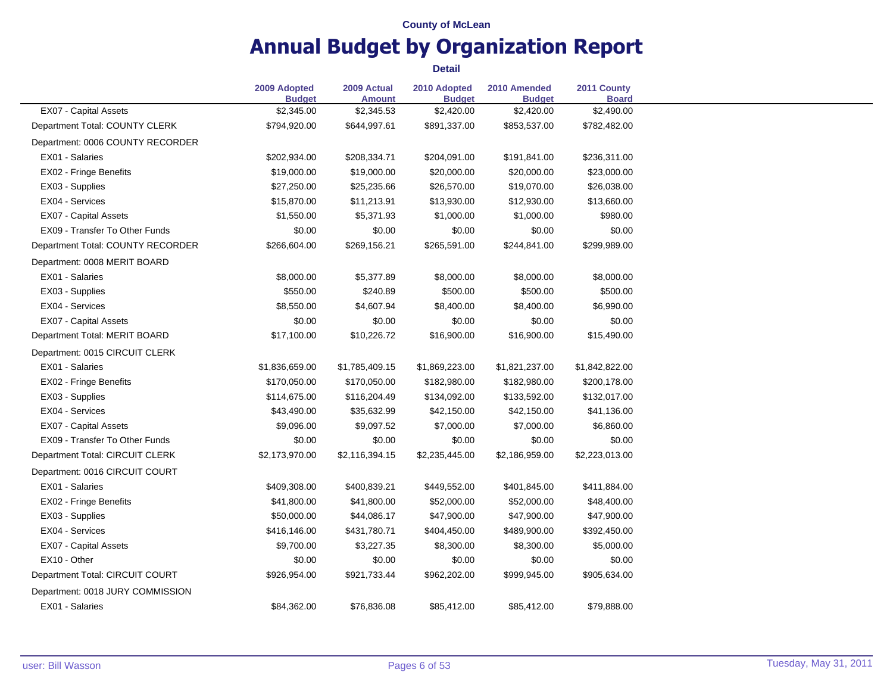# **Annual Budget by Organization Report**

|                                   | 2009 Adopted<br><b>Budget</b> | 2009 Actual<br><b>Amount</b> | 2010 Adopted<br><b>Budget</b> | 2010 Amended<br><b>Budget</b> | 2011 County<br><b>Board</b> |
|-----------------------------------|-------------------------------|------------------------------|-------------------------------|-------------------------------|-----------------------------|
| EX07 - Capital Assets             | \$2,345.00                    | \$2,345.53                   | \$2,420.00                    | \$2,420.00                    | \$2,490.00                  |
| Department Total: COUNTY CLERK    | \$794,920.00                  | \$644,997.61                 | \$891,337.00                  | \$853,537.00                  | \$782,482.00                |
| Department: 0006 COUNTY RECORDER  |                               |                              |                               |                               |                             |
| EX01 - Salaries                   | \$202,934.00                  | \$208,334.71                 | \$204,091.00                  | \$191,841.00                  | \$236,311.00                |
| EX02 - Fringe Benefits            | \$19,000.00                   | \$19,000.00                  | \$20,000.00                   | \$20,000.00                   | \$23,000.00                 |
| EX03 - Supplies                   | \$27,250.00                   | \$25,235.66                  | \$26,570.00                   | \$19,070.00                   | \$26,038.00                 |
| EX04 - Services                   | \$15,870.00                   | \$11,213.91                  | \$13,930.00                   | \$12,930.00                   | \$13,660.00                 |
| EX07 - Capital Assets             | \$1,550.00                    | \$5,371.93                   | \$1,000.00                    | \$1,000.00                    | \$980.00                    |
| EX09 - Transfer To Other Funds    | \$0.00                        | \$0.00                       | \$0.00                        | \$0.00                        | \$0.00                      |
| Department Total: COUNTY RECORDER | \$266,604.00                  | \$269,156.21                 | \$265,591.00                  | \$244,841.00                  | \$299,989.00                |
| Department: 0008 MERIT BOARD      |                               |                              |                               |                               |                             |
| EX01 - Salaries                   | \$8,000.00                    | \$5,377.89                   | \$8,000.00                    | \$8,000.00                    | \$8,000.00                  |
| EX03 - Supplies                   | \$550.00                      | \$240.89                     | \$500.00                      | \$500.00                      | \$500.00                    |
| EX04 - Services                   | \$8,550.00                    | \$4,607.94                   | \$8,400.00                    | \$8,400.00                    | \$6,990.00                  |
| <b>EX07 - Capital Assets</b>      | \$0.00                        | \$0.00                       | \$0.00                        | \$0.00                        | \$0.00                      |
| Department Total: MERIT BOARD     | \$17,100.00                   | \$10,226.72                  | \$16,900.00                   | \$16,900.00                   | \$15,490.00                 |
| Department: 0015 CIRCUIT CLERK    |                               |                              |                               |                               |                             |
| EX01 - Salaries                   | \$1,836,659.00                | \$1,785,409.15               | \$1,869,223.00                | \$1,821,237.00                | \$1,842,822.00              |
| EX02 - Fringe Benefits            | \$170,050.00                  | \$170,050.00                 | \$182,980.00                  | \$182,980.00                  | \$200,178.00                |
| EX03 - Supplies                   | \$114,675.00                  | \$116,204.49                 | \$134,092.00                  | \$133,592.00                  | \$132,017.00                |
| EX04 - Services                   | \$43,490.00                   | \$35,632.99                  | \$42,150.00                   | \$42,150.00                   | \$41,136.00                 |
| <b>EX07 - Capital Assets</b>      | \$9,096.00                    | \$9,097.52                   | \$7,000.00                    | \$7,000.00                    | \$6,860.00                  |
| EX09 - Transfer To Other Funds    | \$0.00                        | \$0.00                       | \$0.00                        | \$0.00                        | \$0.00                      |
| Department Total: CIRCUIT CLERK   | \$2,173,970.00                | \$2,116,394.15               | \$2,235,445.00                | \$2,186,959.00                | \$2,223,013.00              |
| Department: 0016 CIRCUIT COURT    |                               |                              |                               |                               |                             |
| EX01 - Salaries                   | \$409,308.00                  | \$400,839.21                 | \$449,552.00                  | \$401,845.00                  | \$411,884.00                |
| EX02 - Fringe Benefits            | \$41,800.00                   | \$41,800.00                  | \$52,000.00                   | \$52,000.00                   | \$48,400.00                 |
| EX03 - Supplies                   | \$50,000.00                   | \$44,086.17                  | \$47,900.00                   | \$47,900.00                   | \$47,900.00                 |
| EX04 - Services                   | \$416,146.00                  | \$431,780.71                 | \$404,450.00                  | \$489,900.00                  | \$392,450.00                |
| EX07 - Capital Assets             | \$9,700.00                    | \$3,227.35                   | \$8,300.00                    | \$8,300.00                    | \$5,000.00                  |
| EX10 - Other                      | \$0.00                        | \$0.00                       | \$0.00                        | \$0.00                        | \$0.00                      |
| Department Total: CIRCUIT COURT   | \$926,954.00                  | \$921,733.44                 | \$962,202.00                  | \$999,945.00                  | \$905,634.00                |
| Department: 0018 JURY COMMISSION  |                               |                              |                               |                               |                             |
| EX01 - Salaries                   | \$84,362.00                   | \$76,836.08                  | \$85,412.00                   | \$85,412.00                   | \$79,888.00                 |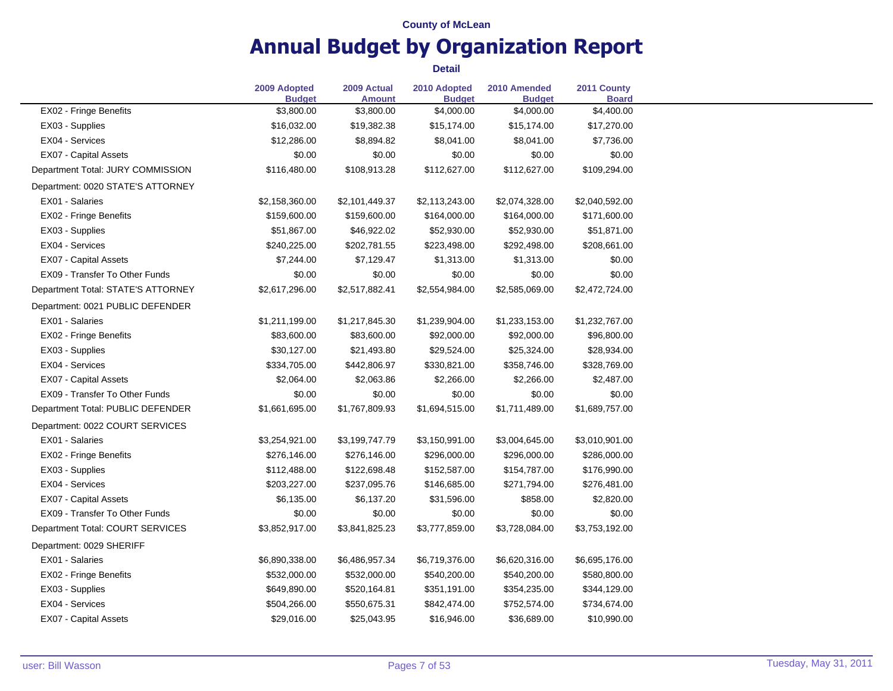# **Annual Budget by Organization Report**

|                                    | 2009 Adopted<br><b>Budget</b> | 2009 Actual<br>Amount | 2010 Adopted<br><b>Budget</b> | 2010 Amended<br><b>Budget</b> | 2011 County<br><b>Board</b> |
|------------------------------------|-------------------------------|-----------------------|-------------------------------|-------------------------------|-----------------------------|
| EX02 - Fringe Benefits             | \$3,800.00                    | \$3,800.00            | \$4,000.00                    | \$4,000.00                    | \$4,400.00                  |
| EX03 - Supplies                    | \$16,032.00                   | \$19,382.38           | \$15,174.00                   | \$15,174.00                   | \$17,270.00                 |
| EX04 - Services                    | \$12,286.00                   | \$8,894.82            | \$8,041.00                    | \$8,041.00                    | \$7,736.00                  |
| <b>EX07 - Capital Assets</b>       | \$0.00                        | \$0.00                | \$0.00                        | \$0.00                        | \$0.00                      |
| Department Total: JURY COMMISSION  | \$116,480.00                  | \$108,913.28          | \$112,627.00                  | \$112,627.00                  | \$109,294.00                |
| Department: 0020 STATE'S ATTORNEY  |                               |                       |                               |                               |                             |
| EX01 - Salaries                    | \$2,158,360.00                | \$2,101,449.37        | \$2,113,243.00                | \$2,074,328.00                | \$2,040,592.00              |
| EX02 - Fringe Benefits             | \$159,600.00                  | \$159,600.00          | \$164,000.00                  | \$164,000.00                  | \$171,600.00                |
| EX03 - Supplies                    | \$51,867.00                   | \$46,922.02           | \$52,930.00                   | \$52,930.00                   | \$51,871.00                 |
| EX04 - Services                    | \$240,225.00                  | \$202,781.55          | \$223,498.00                  | \$292,498.00                  | \$208,661.00                |
| <b>EX07 - Capital Assets</b>       | \$7,244.00                    | \$7,129.47            | \$1,313.00                    | \$1,313.00                    | \$0.00                      |
| EX09 - Transfer To Other Funds     | \$0.00                        | \$0.00                | \$0.00                        | \$0.00                        | \$0.00                      |
| Department Total: STATE'S ATTORNEY | \$2,617,296.00                | \$2,517,882.41        | \$2,554,984.00                | \$2,585,069.00                | \$2,472,724.00              |
| Department: 0021 PUBLIC DEFENDER   |                               |                       |                               |                               |                             |
| EX01 - Salaries                    | \$1,211,199.00                | \$1,217,845.30        | \$1,239,904.00                | \$1,233,153.00                | \$1,232,767.00              |
| EX02 - Fringe Benefits             | \$83,600.00                   | \$83,600.00           | \$92,000.00                   | \$92,000.00                   | \$96,800.00                 |
| EX03 - Supplies                    | \$30,127.00                   | \$21,493.80           | \$29,524.00                   | \$25,324.00                   | \$28,934.00                 |
| EX04 - Services                    | \$334,705.00                  | \$442,806.97          | \$330,821.00                  | \$358,746.00                  | \$328,769.00                |
| <b>EX07 - Capital Assets</b>       | \$2,064.00                    | \$2,063.86            | \$2,266.00                    | \$2,266.00                    | \$2,487.00                  |
| EX09 - Transfer To Other Funds     | \$0.00                        | \$0.00                | \$0.00                        | \$0.00                        | \$0.00                      |
| Department Total: PUBLIC DEFENDER  | \$1,661,695.00                | \$1,767,809.93        | \$1,694,515.00                | \$1,711,489.00                | \$1,689,757.00              |
| Department: 0022 COURT SERVICES    |                               |                       |                               |                               |                             |
| EX01 - Salaries                    | \$3,254,921.00                | \$3,199,747.79        | \$3,150,991.00                | \$3,004,645.00                | \$3,010,901.00              |
| EX02 - Fringe Benefits             | \$276,146.00                  | \$276,146.00          | \$296,000.00                  | \$296,000.00                  | \$286,000.00                |
| EX03 - Supplies                    | \$112,488.00                  | \$122,698.48          | \$152,587.00                  | \$154,787.00                  | \$176,990.00                |
| EX04 - Services                    | \$203,227.00                  | \$237,095.76          | \$146,685.00                  | \$271,794.00                  | \$276,481.00                |
| <b>EX07 - Capital Assets</b>       | \$6,135.00                    | \$6,137.20            | \$31,596.00                   | \$858.00                      | \$2,820.00                  |
| EX09 - Transfer To Other Funds     | \$0.00                        | \$0.00                | \$0.00                        | \$0.00                        | \$0.00                      |
| Department Total: COURT SERVICES   | \$3,852,917.00                | \$3,841,825.23        | \$3,777,859.00                | \$3,728,084.00                | \$3,753,192.00              |
| Department: 0029 SHERIFF           |                               |                       |                               |                               |                             |
| EX01 - Salaries                    | \$6,890,338.00                | \$6,486,957.34        | \$6,719,376.00                | \$6,620,316.00                | \$6,695,176.00              |
| EX02 - Fringe Benefits             | \$532,000.00                  | \$532,000.00          | \$540,200.00                  | \$540,200.00                  | \$580,800.00                |
| EX03 - Supplies                    | \$649,890.00                  | \$520,164.81          | \$351,191.00                  | \$354,235.00                  | \$344,129.00                |
| EX04 - Services                    | \$504,266.00                  | \$550,675.31          | \$842,474.00                  | \$752,574.00                  | \$734,674.00                |
| <b>EX07 - Capital Assets</b>       | \$29,016.00                   | \$25,043.95           | \$16,946.00                   | \$36,689.00                   | \$10,990.00                 |
|                                    |                               |                       |                               |                               |                             |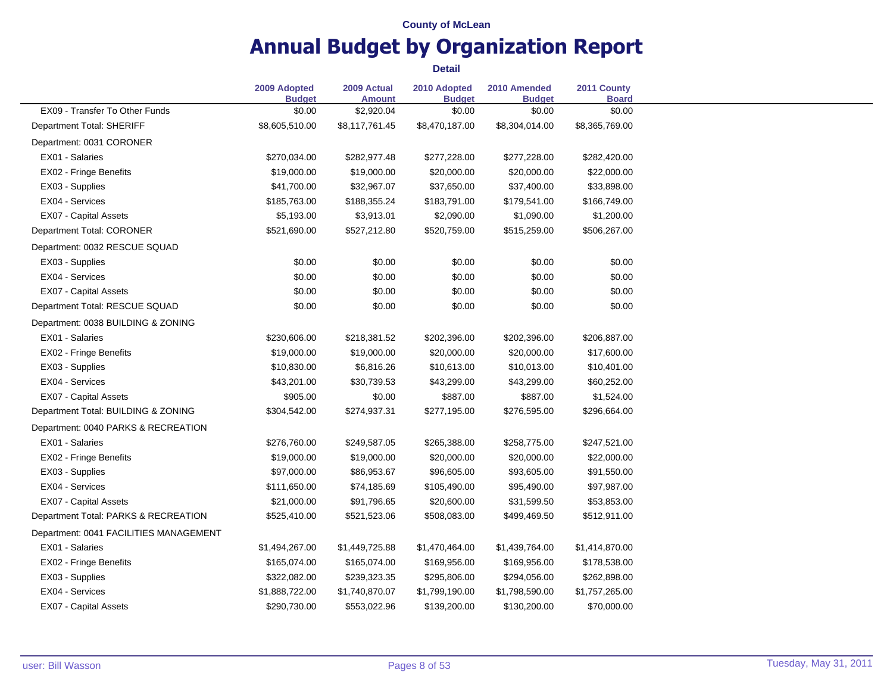# **Annual Budget by Organization Report**

|                                        | 2009 Adopted<br><b>Budget</b> | 2009 Actual<br><b>Amount</b> | 2010 Adopted<br><b>Budget</b> | 2010 Amended<br><b>Budget</b> | 2011 County<br><b>Board</b> |
|----------------------------------------|-------------------------------|------------------------------|-------------------------------|-------------------------------|-----------------------------|
| EX09 - Transfer To Other Funds         | \$0.00                        | \$2,920.04                   | \$0.00                        | \$0.00                        | \$0.00                      |
| Department Total: SHERIFF              | \$8,605,510.00                | \$8,117,761.45               | \$8,470,187.00                | \$8,304,014.00                | \$8,365,769.00              |
| Department: 0031 CORONER               |                               |                              |                               |                               |                             |
| EX01 - Salaries                        | \$270,034.00                  | \$282,977.48                 | \$277,228.00                  | \$277,228.00                  | \$282,420.00                |
| EX02 - Fringe Benefits                 | \$19,000.00                   | \$19,000.00                  | \$20,000.00                   | \$20,000.00                   | \$22,000.00                 |
| EX03 - Supplies                        | \$41,700.00                   | \$32,967.07                  | \$37,650.00                   | \$37,400.00                   | \$33,898.00                 |
| EX04 - Services                        | \$185,763.00                  | \$188,355.24                 | \$183,791.00                  | \$179,541.00                  | \$166,749.00                |
| EX07 - Capital Assets                  | \$5,193.00                    | \$3,913.01                   | \$2,090.00                    | \$1,090.00                    | \$1,200.00                  |
| Department Total: CORONER              | \$521,690.00                  | \$527,212.80                 | \$520,759.00                  | \$515,259.00                  | \$506,267.00                |
| Department: 0032 RESCUE SQUAD          |                               |                              |                               |                               |                             |
| EX03 - Supplies                        | \$0.00                        | \$0.00                       | \$0.00                        | \$0.00                        | \$0.00                      |
| EX04 - Services                        | \$0.00                        | \$0.00                       | \$0.00                        | \$0.00                        | \$0.00                      |
| EX07 - Capital Assets                  | \$0.00                        | \$0.00                       | \$0.00                        | \$0.00                        | \$0.00                      |
| Department Total: RESCUE SQUAD         | \$0.00                        | \$0.00                       | \$0.00                        | \$0.00                        | \$0.00                      |
| Department: 0038 BUILDING & ZONING     |                               |                              |                               |                               |                             |
| EX01 - Salaries                        | \$230,606.00                  | \$218,381.52                 | \$202,396.00                  | \$202,396.00                  | \$206,887.00                |
| EX02 - Fringe Benefits                 | \$19,000.00                   | \$19,000.00                  | \$20,000.00                   | \$20,000.00                   | \$17,600.00                 |
| EX03 - Supplies                        | \$10,830.00                   | \$6,816.26                   | \$10,613.00                   | \$10,013.00                   | \$10,401.00                 |
| EX04 - Services                        | \$43,201.00                   | \$30,739.53                  | \$43,299.00                   | \$43,299.00                   | \$60,252.00                 |
| EX07 - Capital Assets                  | \$905.00                      | \$0.00                       | \$887.00                      | \$887.00                      | \$1,524.00                  |
| Department Total: BUILDING & ZONING    | \$304,542.00                  | \$274,937.31                 | \$277,195.00                  | \$276,595.00                  | \$296,664.00                |
| Department: 0040 PARKS & RECREATION    |                               |                              |                               |                               |                             |
| EX01 - Salaries                        | \$276,760.00                  | \$249,587.05                 | \$265,388.00                  | \$258,775.00                  | \$247,521.00                |
| EX02 - Fringe Benefits                 | \$19,000.00                   | \$19,000.00                  | \$20,000.00                   | \$20,000.00                   | \$22,000.00                 |
| EX03 - Supplies                        | \$97,000.00                   | \$86,953.67                  | \$96,605.00                   | \$93,605.00                   | \$91,550.00                 |
| EX04 - Services                        | \$111,650.00                  | \$74,185.69                  | \$105,490.00                  | \$95,490.00                   | \$97,987.00                 |
| <b>EX07 - Capital Assets</b>           | \$21,000.00                   | \$91,796.65                  | \$20,600.00                   | \$31,599.50                   | \$53,853.00                 |
| Department Total: PARKS & RECREATION   | \$525,410.00                  | \$521,523.06                 | \$508,083.00                  | \$499,469.50                  | \$512,911.00                |
| Department: 0041 FACILITIES MANAGEMENT |                               |                              |                               |                               |                             |
| EX01 - Salaries                        | \$1,494,267.00                | \$1,449,725.88               | \$1,470,464.00                | \$1,439,764.00                | \$1,414,870.00              |
| EX02 - Fringe Benefits                 | \$165,074.00                  | \$165,074.00                 | \$169,956.00                  | \$169,956.00                  | \$178,538.00                |
| EX03 - Supplies                        | \$322,082.00                  | \$239,323.35                 | \$295,806.00                  | \$294,056.00                  | \$262,898.00                |
| EX04 - Services                        | \$1,888,722.00                | \$1,740,870.07               | \$1,799,190.00                | \$1,798,590.00                | \$1,757,265.00              |
| <b>EX07 - Capital Assets</b>           | \$290,730.00                  | \$553,022.96                 | \$139,200.00                  | \$130,200.00                  | \$70,000.00                 |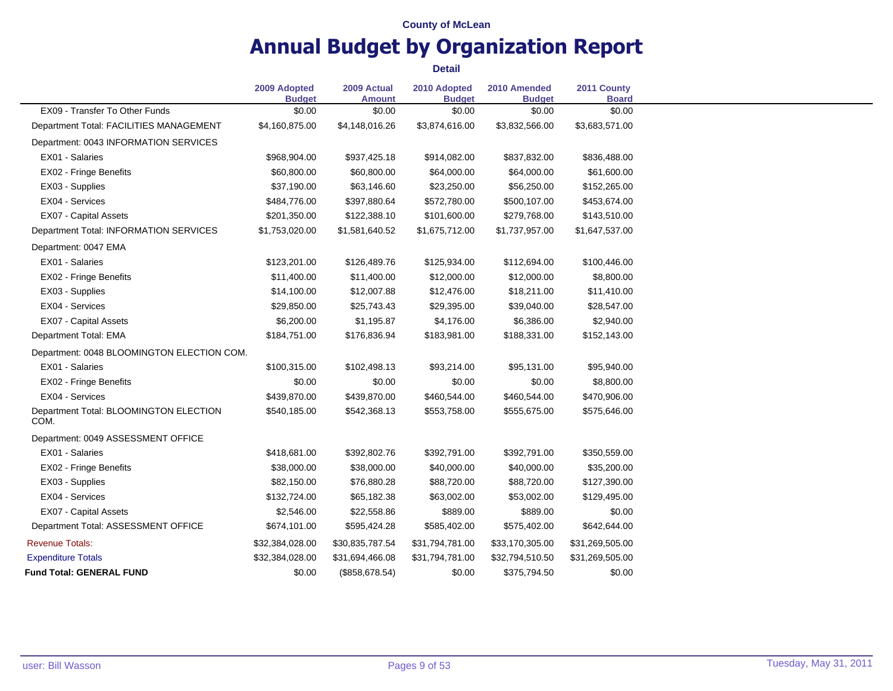# **Annual Budget by Organization Report**

|                                                | 2009 Adopted<br><b>Budget</b> | 2009 Actual<br><b>Amount</b> | 2010 Adopted<br><b>Budget</b> | 2010 Amended<br><b>Budget</b> | 2011 County<br><b>Board</b> |
|------------------------------------------------|-------------------------------|------------------------------|-------------------------------|-------------------------------|-----------------------------|
| EX09 - Transfer To Other Funds                 | \$0.00                        | \$0.00                       | \$0.00                        | \$0.00                        | \$0.00                      |
| Department Total: FACILITIES MANAGEMENT        | \$4,160,875.00                | \$4,148,016.26               | \$3,874,616.00                | \$3,832,566.00                | \$3,683,571.00              |
| Department: 0043 INFORMATION SERVICES          |                               |                              |                               |                               |                             |
| EX01 - Salaries                                | \$968,904.00                  | \$937,425.18                 | \$914,082.00                  | \$837,832.00                  | \$836,488.00                |
| EX02 - Fringe Benefits                         | \$60,800.00                   | \$60,800.00                  | \$64,000.00                   | \$64,000.00                   | \$61,600.00                 |
| EX03 - Supplies                                | \$37,190.00                   | \$63,146.60                  | \$23,250.00                   | \$56,250.00                   | \$152,265.00                |
| EX04 - Services                                | \$484,776.00                  | \$397,880.64                 | \$572,780.00                  | \$500,107.00                  | \$453,674.00                |
| EX07 - Capital Assets                          | \$201,350.00                  | \$122,388.10                 | \$101,600.00                  | \$279,768.00                  | \$143,510.00                |
| Department Total: INFORMATION SERVICES         | \$1,753,020.00                | \$1,581,640.52               | \$1,675,712.00                | \$1,737,957.00                | \$1,647,537.00              |
| Department: 0047 EMA                           |                               |                              |                               |                               |                             |
| EX01 - Salaries                                | \$123,201.00                  | \$126,489.76                 | \$125,934.00                  | \$112,694.00                  | \$100,446.00                |
| EX02 - Fringe Benefits                         | \$11,400.00                   | \$11,400.00                  | \$12,000.00                   | \$12,000.00                   | \$8,800.00                  |
| EX03 - Supplies                                | \$14,100.00                   | \$12,007.88                  | \$12,476.00                   | \$18,211.00                   | \$11,410.00                 |
| EX04 - Services                                | \$29,850.00                   | \$25,743.43                  | \$29,395.00                   | \$39,040.00                   | \$28,547.00                 |
| EX07 - Capital Assets                          | \$6,200.00                    | \$1,195.87                   | \$4,176.00                    | \$6,386.00                    | \$2,940.00                  |
| Department Total: EMA                          | \$184,751.00                  | \$176,836.94                 | \$183,981.00                  | \$188,331.00                  | \$152,143.00                |
| Department: 0048 BLOOMINGTON ELECTION COM.     |                               |                              |                               |                               |                             |
| EX01 - Salaries                                | \$100,315.00                  | \$102,498.13                 | \$93,214.00                   | \$95,131.00                   | \$95,940.00                 |
| EX02 - Fringe Benefits                         | \$0.00                        | \$0.00                       | \$0.00                        | \$0.00                        | \$8,800.00                  |
| EX04 - Services                                | \$439,870.00                  | \$439,870.00                 | \$460,544.00                  | \$460,544.00                  | \$470,906.00                |
| Department Total: BLOOMINGTON ELECTION<br>COM. | \$540,185.00                  | \$542,368.13                 | \$553,758.00                  | \$555,675.00                  | \$575,646.00                |
| Department: 0049 ASSESSMENT OFFICE             |                               |                              |                               |                               |                             |
| EX01 - Salaries                                | \$418,681.00                  | \$392,802.76                 | \$392,791.00                  | \$392,791.00                  | \$350,559.00                |
| EX02 - Fringe Benefits                         | \$38,000.00                   | \$38,000.00                  | \$40,000.00                   | \$40,000.00                   | \$35,200.00                 |
| EX03 - Supplies                                | \$82,150.00                   | \$76,880.28                  | \$88,720.00                   | \$88,720.00                   | \$127,390.00                |
| EX04 - Services                                | \$132,724.00                  | \$65,182.38                  | \$63,002.00                   | \$53,002.00                   | \$129,495.00                |
| EX07 - Capital Assets                          | \$2,546.00                    | \$22,558.86                  | \$889.00                      | \$889.00                      | \$0.00                      |
| Department Total: ASSESSMENT OFFICE            | \$674,101.00                  | \$595,424.28                 | \$585,402.00                  | \$575,402.00                  | \$642,644.00                |
| <b>Revenue Totals:</b>                         | \$32,384,028.00               | \$30,835,787.54              | \$31,794,781.00               | \$33,170,305.00               | \$31,269,505.00             |
| <b>Expenditure Totals</b>                      | \$32,384,028.00               | \$31,694,466.08              | \$31,794,781.00               | \$32,794,510.50               | \$31,269,505.00             |
| <b>Fund Total: GENERAL FUND</b>                | \$0.00                        | (\$858,678.54)               | \$0.00                        | \$375,794.50                  | \$0.00                      |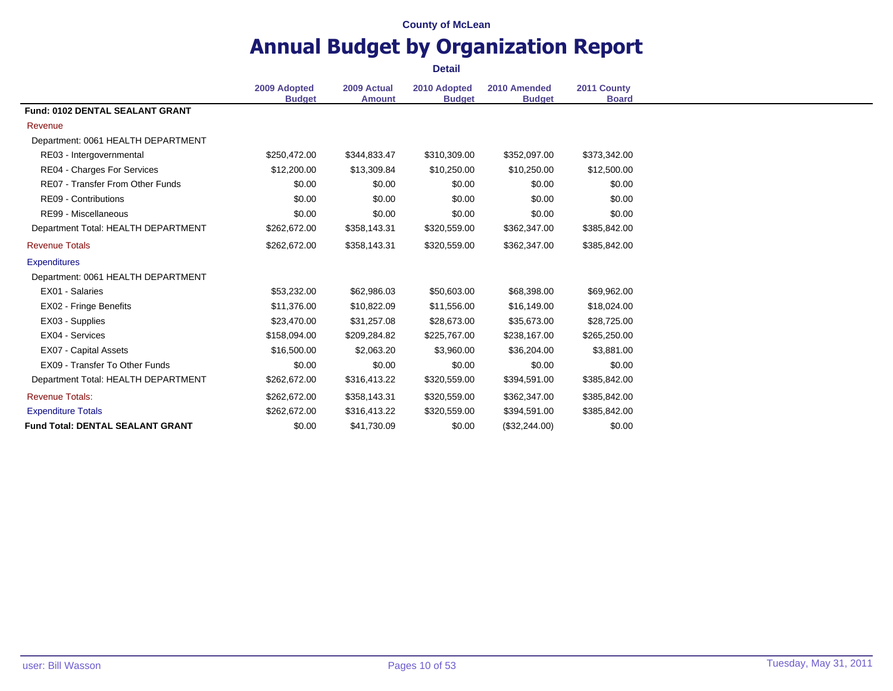### **Annual Budget by Organization Report Detail**

**2009 Adopted Budget 2009 Actual Amount 2010 Adopted Budget 2010 Amended Budget 2011 County Board Fund: 0102 DENTAL SEALANT GRANT** Revenue Department: 0061 HEALTH DEPARTMENT RE03 - Intergovernmental \$250,472.00 \$344,833.47 \$310,309.00 \$352,097.00 \$373,342.00 RE04 - Charges For Services  $$12,200.00$   $$13,309.84$   $$10,250.00$   $$10,250.00$   $$12,500.00$ RE07 - Transfer From Other Funds \$0.00 \$0.00 \$0.00 \$0.00 \$0.00 \$0.00 \$0.00 \$0.00 \$0.00 \$0.00 RE09 - Contributions 60.00 \$0.00 \$0.00 \$0.00 \$0.00 \$0.00 \$0.00 \$0.00 \$0.00 \$0.00 RE99 - Miscellaneous 60.00 \$0.00 \$0.00 \$0.00 \$0.00 \$0.00 \$0.00 \$0.00 \$0.00 Department Total: HEALTH DEPARTMENT \$262,672.00 \$358,143.31 \$320,559.00 \$362,347.00 \$385,842.00 Revenue Totals \$262,672.00 \$358,143.31 \$320,559.00 \$362,347.00 \$385,842.00 **Expenditures** Department: 0061 HEALTH DEPARTMENT EX01 - Salaries \$53,232.00 \$62,986.03 \$50,603.00 \$68,398.00 \$69,962.00 EX02 - Fringe Benefits \$11,376.00 \$10,822.09 \$11,556.00 \$16,149.00 \$18,024.00 EX03 - Supplies **\$23,470.00** \$23,470.00 \$31,257.08 \$28,673.00 \$35,673.00 \$28,725.00 EX04 - Services \$158,094.00 \$209,284.82 \$225,767.00 \$238,167.00 \$265,250.00 EX07 - Capital Assets 6.500.00 \$16,500.00 \$2,063.20 \$3,960.00 \$36,204.00 \$3,881.00 EX09 - Transfer To Other Funds \$0.00 \$0.00 \$0.00 \$0.00 \$0.00 \$0.00 \$0.00 \$0.00 \$0.00 \$0.00 Department Total: HEALTH DEPARTMENT \$262,672.00 \$316,413.22 \$320,559.00 \$394,591.00 \$385,842.00 Revenue Totals: \$262,672.00 \$358,143.31 \$320,559.00 \$362,347.00 \$385,842.00 Expenditure Totals \$262,672.00 \$316,413.22 \$320,559.00 \$394,591.00 \$385,842.00 **Fund Total: DENTAL SEALANT GRANT**  $$0.00$   $$41,730.09$   $$0.00$   $$32,244.00$   $$0.00$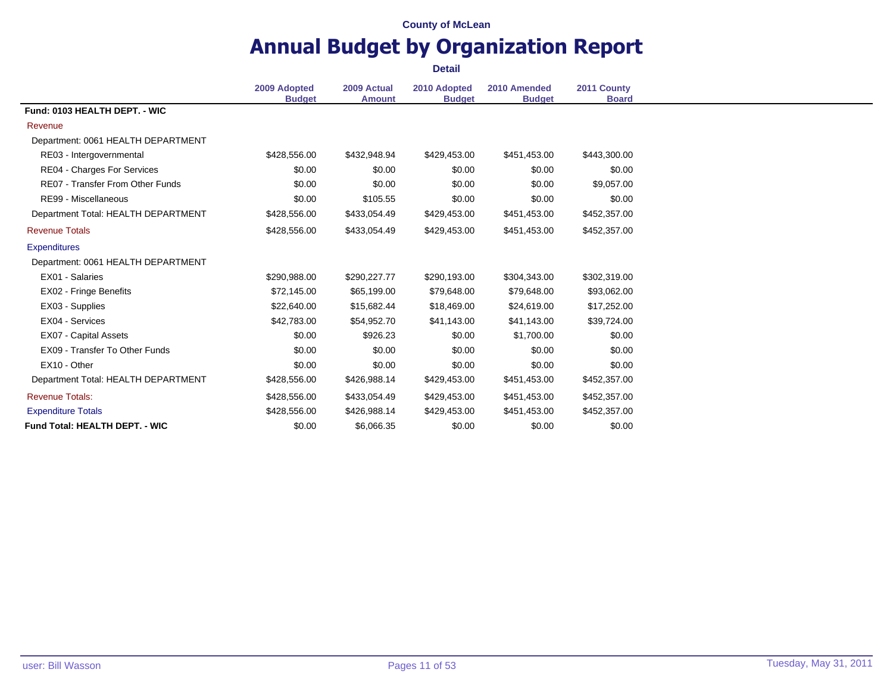# **Annual Budget by Organization Report**

|                                         | 2009 Adopted<br><b>Budget</b> | 2009 Actual<br><b>Amount</b> | 2010 Adopted<br><b>Budget</b> | 2010 Amended<br><b>Budget</b> | 2011 County<br><b>Board</b> |
|-----------------------------------------|-------------------------------|------------------------------|-------------------------------|-------------------------------|-----------------------------|
| Fund: 0103 HEALTH DEPT. - WIC           |                               |                              |                               |                               |                             |
| Revenue                                 |                               |                              |                               |                               |                             |
| Department: 0061 HEALTH DEPARTMENT      |                               |                              |                               |                               |                             |
| RE03 - Intergovernmental                | \$428,556.00                  | \$432,948.94                 | \$429,453.00                  | \$451,453.00                  | \$443,300.00                |
| <b>RE04 - Charges For Services</b>      | \$0.00                        | \$0.00                       | \$0.00                        | \$0.00                        | \$0.00                      |
| <b>RE07 - Transfer From Other Funds</b> | \$0.00                        | \$0.00                       | \$0.00                        | \$0.00                        | \$9,057.00                  |
| RE99 - Miscellaneous                    | \$0.00                        | \$105.55                     | \$0.00                        | \$0.00                        | \$0.00                      |
| Department Total: HEALTH DEPARTMENT     | \$428,556.00                  | \$433,054.49                 | \$429,453.00                  | \$451,453.00                  | \$452,357.00                |
| <b>Revenue Totals</b>                   | \$428,556.00                  | \$433,054.49                 | \$429,453.00                  | \$451,453.00                  | \$452,357.00                |
| <b>Expenditures</b>                     |                               |                              |                               |                               |                             |
| Department: 0061 HEALTH DEPARTMENT      |                               |                              |                               |                               |                             |
| EX01 - Salaries                         | \$290,988.00                  | \$290,227.77                 | \$290,193.00                  | \$304,343.00                  | \$302,319.00                |
| EX02 - Fringe Benefits                  | \$72,145.00                   | \$65,199.00                  | \$79,648.00                   | \$79,648.00                   | \$93,062.00                 |
| EX03 - Supplies                         | \$22,640.00                   | \$15,682.44                  | \$18,469.00                   | \$24,619.00                   | \$17,252.00                 |
| EX04 - Services                         | \$42,783.00                   | \$54,952.70                  | \$41,143.00                   | \$41,143.00                   | \$39,724.00                 |
| EX07 - Capital Assets                   | \$0.00                        | \$926.23                     | \$0.00                        | \$1,700.00                    | \$0.00                      |
| EX09 - Transfer To Other Funds          | \$0.00                        | \$0.00                       | \$0.00                        | \$0.00                        | \$0.00                      |
| EX10 - Other                            | \$0.00                        | \$0.00                       | \$0.00                        | \$0.00                        | \$0.00                      |
| Department Total: HEALTH DEPARTMENT     | \$428,556.00                  | \$426,988.14                 | \$429,453.00                  | \$451,453.00                  | \$452,357.00                |
| <b>Revenue Totals:</b>                  | \$428,556.00                  | \$433,054.49                 | \$429,453.00                  | \$451,453.00                  | \$452,357.00                |
| <b>Expenditure Totals</b>               | \$428,556.00                  | \$426,988.14                 | \$429,453.00                  | \$451,453.00                  | \$452,357.00                |
| <b>Fund Total: HEALTH DEPT. - WIC</b>   | \$0.00                        | \$6,066.35                   | \$0.00                        | \$0.00                        | \$0.00                      |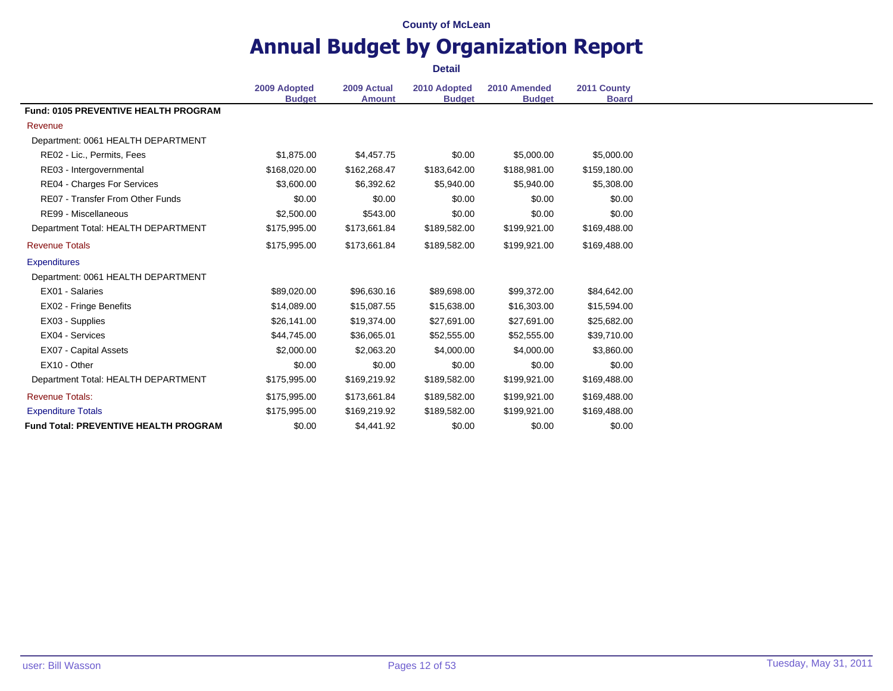### **Annual Budget by Organization Report Detail**

**2009 Adopted Budget 2009 Actual Amount 2010 Adopted Budget 2010 Amended Budget 2011 County Board Fund: 0105 PREVENTIVE HEALTH PROGRAM** Revenue Department: 0061 HEALTH DEPARTMENT RE02 - Lic., Permits, Fees **81,875.00** \$1,875.00 \$4,457.75 \$0.00 \$5,000.00 \$5,000.00 RE03 - Intergovernmental \$168,020.00 \$162,268.47 \$183,642.00 \$188,981.00 \$159,180.00 RE04 - Charges For Services  $$3,600.00$   $$6,392.62$   $$5,940.00$   $$5,940.00$   $$5,308.00$ RE07 - Transfer From Other Funds \$0.00 \$0.00 \$0.00 \$0.00 \$0.00 \$0.00 \$0.00 \$0.00 \$0.00 \$0.00 RE99 - Miscellaneous **62,500.00** \$543.00 \$0.00 \$0.00 \$0.00 \$0.00 \$0.00 Department Total: HEALTH DEPARTMENT \$175,995.00 \$173,661.84 \$189,582.00 \$199,921.00 \$169,488.00 Revenue Totals \$175,995.00 \$173,661.84 \$189,582.00 \$199,921.00 \$169,488.00 **Expenditures** Department: 0061 HEALTH DEPARTMENT EX01 - Salaries \$89,020.00 \$96,630.16 \$89,698.00 \$99,372.00 \$84,642.00 EX02 - Fringe Benefits \$14,089.00 \$15,087.55 \$15,638.00 \$16,303.00 \$15,594.00 EX03 - Supplies **\$26,141.00** \$26,141.00 \$19,374.00 \$27,691.00 \$27,691.00 \$25,682.00 EX04 - Services \$44,745.00 \$36,065.01 \$52,555.00 \$52,555.00 \$39,710.00 EX07 - Capital Assets 62,000.00 \$2,000.00 \$2,063.20 \$4,000.00 \$4,000.00 \$3,860.00 EX10 - Other \$0.00 \$0.00 \$0.00 \$0.00 \$0.00 Department Total: HEALTH DEPARTMENT \$175,995.00 \$169,219.92 \$189,582.00 \$199,921.00 \$169,488.00 Revenue Totals: \$175,995.00 \$173,661.84 \$189,582.00 \$199,921.00 \$169,488.00 Expenditure Totals \$175,995.00 \$169,219.92 \$189,582.00 \$199,921.00 \$169,488.00 **Fund Total: PREVENTIVE HEALTH PROGRAM**  $$0.00$   $$4.441.92$   $$0.00$   $$0.00$   $$0.00$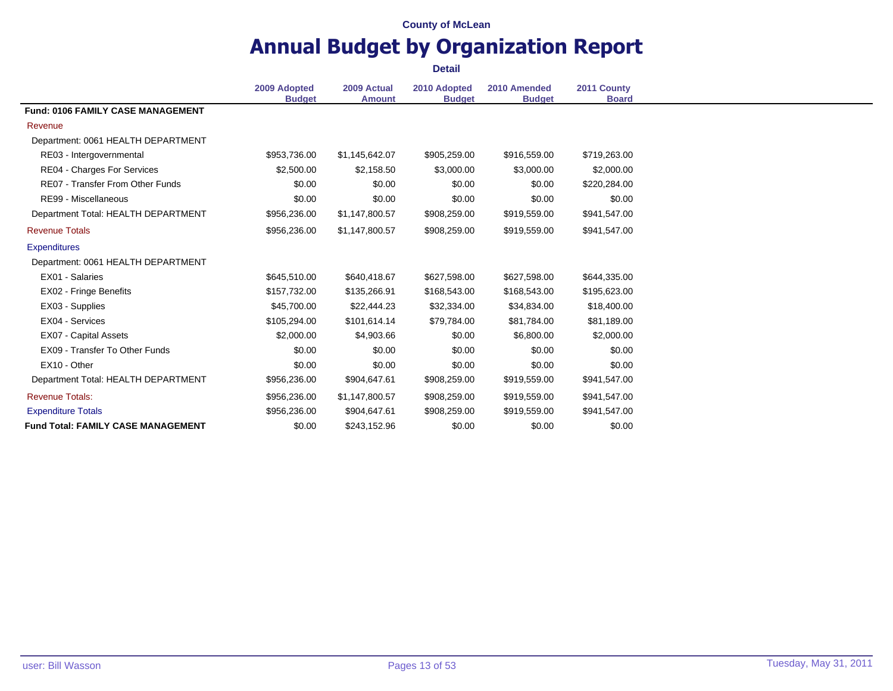### **Annual Budget by Organization Report Detail**

**2009 Adopted Budget 2009 Actual Amount 2010 Adopted Budget 2010 Amended Budget 2011 County Board Fund: 0106 FAMILY CASE MANAGEMENT** Revenue Department: 0061 HEALTH DEPARTMENT RE03 - Intergovernmental \$953,736.00 \$1,145,642.07 \$905,259.00 \$916,559.00 \$719,263.00 RE04 - Charges For Services  $$2,500.00$   $$2,158.50$   $$3,000.00$   $$3,000.00$   $$2,000.00$ RE07 - Transfer From Other Funds  $$0.00$  \$0.00 \$0.00 \$0.00 \$220,284.00 RE99 - Miscellaneous 60.00 \$0.00 \$0.00 \$0.00 \$0.00 \$0.00 \$0.00 \$0.00 \$0.00 \$0.00 Department Total: HEALTH DEPARTMENT \$956,236.00 \$1,147,800.57 \$908,259.00 \$919,559.00 \$941,547.00 Revenue Totals \$956,236.00 \$1,147,800.57 \$908,259.00 \$919,559.00 \$941,547.00 **Expenditures** Department: 0061 HEALTH DEPARTMENT EX01 - Salaries \$645,510.00 \$640,418.67 \$627,598.00 \$627,598.00 \$644,335.00 EX02 - Fringe Benefits \$157,732.00 \$135,266.91 \$168,543.00 \$168,543.00 \$195,623.00 EX03 - Supplies 645,700.00 \$45,700.00 \$22,444.23 \$32,334.00 \$34,834.00 \$18,400.00 EX04 - Services 681,189.00 \$8105,294.00 \$101,614.14 \$79,784.00 \$81,784.00 \$81,189.00 EX07 - Capital Assets **52,000.00** \$2,000.00 \$4,903.66 \$0.00 \$6,800.00 \$2,000.00 EX09 - Transfer To Other Funds \$0.00 \$0.00 \$0.00 \$0.00 \$0.00 \$0.00 \$0.00 \$0.00 \$0.00 \$0.00 EX10 - Other \$0.00 \$0.00 \$0.00 \$0.00 \$0.00 Department Total: HEALTH DEPARTMENT \$956.236.00 \$904.647.61 \$908.259.00 \$919.559.00 \$941.547.00 Revenue Totals: \$956,236.00 \$1,147,800.57 \$908,259.00 \$919,559.00 \$941,547.00 Expenditure Totals \$956,236.00 \$904,647.61 \$908,259.00 \$919,559.00 \$941,547.00 **Fund Total: FAMILY CASE MANAGEMENT** \$0.00 \$243,152.96 \$0.00 \$0.00 \$0.00 \$0.00 \$0.00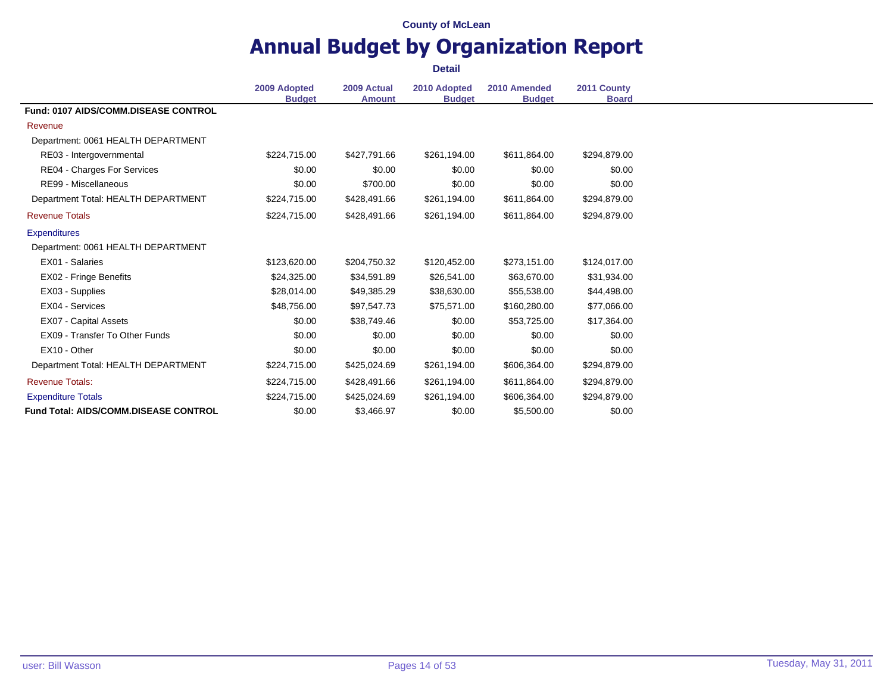# **Annual Budget by Organization Report**

|                                              | 2009 Adopted<br><b>Budget</b> | 2009 Actual<br><b>Amount</b> | 2010 Adopted<br><b>Budget</b> | 2010 Amended<br><b>Budget</b> | 2011 County<br><b>Board</b> |
|----------------------------------------------|-------------------------------|------------------------------|-------------------------------|-------------------------------|-----------------------------|
| Fund: 0107 AIDS/COMM.DISEASE CONTROL         |                               |                              |                               |                               |                             |
| Revenue                                      |                               |                              |                               |                               |                             |
| Department: 0061 HEALTH DEPARTMENT           |                               |                              |                               |                               |                             |
| RE03 - Intergovernmental                     | \$224.715.00                  | \$427,791.66                 | \$261,194.00                  | \$611,864.00                  | \$294,879.00                |
| RE04 - Charges For Services                  | \$0.00                        | \$0.00                       | \$0.00                        | \$0.00                        | \$0.00                      |
| RE99 - Miscellaneous                         | \$0.00                        | \$700.00                     | \$0.00                        | \$0.00                        | \$0.00                      |
| Department Total: HEALTH DEPARTMENT          | \$224,715.00                  | \$428,491.66                 | \$261,194.00                  | \$611,864.00                  | \$294,879.00                |
| <b>Revenue Totals</b>                        | \$224,715.00                  | \$428,491.66                 | \$261,194.00                  | \$611,864.00                  | \$294,879.00                |
| <b>Expenditures</b>                          |                               |                              |                               |                               |                             |
| Department: 0061 HEALTH DEPARTMENT           |                               |                              |                               |                               |                             |
| EX01 - Salaries                              | \$123,620,00                  | \$204,750.32                 | \$120,452.00                  | \$273,151.00                  | \$124,017.00                |
| EX02 - Fringe Benefits                       | \$24,325.00                   | \$34,591.89                  | \$26,541.00                   | \$63,670.00                   | \$31,934.00                 |
| EX03 - Supplies                              | \$28,014.00                   | \$49,385.29                  | \$38,630.00                   | \$55,538.00                   | \$44,498.00                 |
| EX04 - Services                              | \$48,756,00                   | \$97,547.73                  | \$75,571.00                   | \$160,280.00                  | \$77,066.00                 |
| EX07 - Capital Assets                        | \$0.00                        | \$38,749.46                  | \$0.00                        | \$53,725.00                   | \$17,364.00                 |
| EX09 - Transfer To Other Funds               | \$0.00                        | \$0.00                       | \$0.00                        | \$0.00                        | \$0.00                      |
| EX10 - Other                                 | \$0.00                        | \$0.00                       | \$0.00                        | \$0.00                        | \$0.00                      |
| Department Total: HEALTH DEPARTMENT          | \$224,715.00                  | \$425,024.69                 | \$261,194.00                  | \$606,364.00                  | \$294,879.00                |
| <b>Revenue Totals:</b>                       | \$224,715.00                  | \$428,491.66                 | \$261,194.00                  | \$611,864.00                  | \$294,879.00                |
| <b>Expenditure Totals</b>                    | \$224,715.00                  | \$425,024.69                 | \$261,194.00                  | \$606,364.00                  | \$294,879.00                |
| <b>Fund Total: AIDS/COMM.DISEASE CONTROL</b> | \$0.00                        | \$3,466.97                   | \$0.00                        | \$5,500.00                    | \$0.00                      |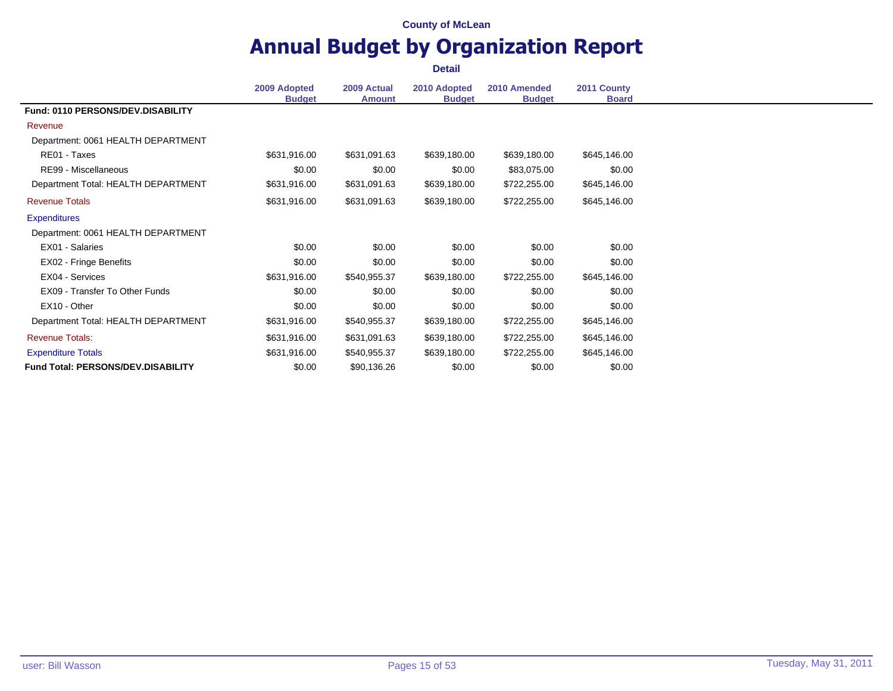# **Annual Budget by Organization Report**

|                                           | 2009 Adopted<br><b>Budget</b> | 2009 Actual<br><b>Amount</b> | 2010 Adopted<br><b>Budget</b> | 2010 Amended<br><b>Budget</b> | 2011 County<br><b>Board</b> |
|-------------------------------------------|-------------------------------|------------------------------|-------------------------------|-------------------------------|-----------------------------|
| Fund: 0110 PERSONS/DEV.DISABILITY         |                               |                              |                               |                               |                             |
| Revenue                                   |                               |                              |                               |                               |                             |
| Department: 0061 HEALTH DEPARTMENT        |                               |                              |                               |                               |                             |
| RE01 - Taxes                              | \$631,916.00                  | \$631,091.63                 | \$639,180.00                  | \$639,180.00                  | \$645,146.00                |
| RE99 - Miscellaneous                      | \$0.00                        | \$0.00                       | \$0.00                        | \$83,075.00                   | \$0.00                      |
| Department Total: HEALTH DEPARTMENT       | \$631,916.00                  | \$631,091.63                 | \$639,180.00                  | \$722,255.00                  | \$645,146.00                |
| <b>Revenue Totals</b>                     | \$631,916.00                  | \$631,091.63                 | \$639,180.00                  | \$722,255.00                  | \$645,146.00                |
| <b>Expenditures</b>                       |                               |                              |                               |                               |                             |
| Department: 0061 HEALTH DEPARTMENT        |                               |                              |                               |                               |                             |
| EX01 - Salaries                           | \$0.00                        | \$0.00                       | \$0.00                        | \$0.00                        | \$0.00                      |
| EX02 - Fringe Benefits                    | \$0.00                        | \$0.00                       | \$0.00                        | \$0.00                        | \$0.00                      |
| EX04 - Services                           | \$631,916.00                  | \$540,955.37                 | \$639,180.00                  | \$722,255.00                  | \$645,146.00                |
| EX09 - Transfer To Other Funds            | \$0.00                        | \$0.00                       | \$0.00                        | \$0.00                        | \$0.00                      |
| EX10 - Other                              | \$0.00                        | \$0.00                       | \$0.00                        | \$0.00                        | \$0.00                      |
| Department Total: HEALTH DEPARTMENT       | \$631,916.00                  | \$540,955.37                 | \$639,180.00                  | \$722,255.00                  | \$645,146.00                |
| <b>Revenue Totals:</b>                    | \$631,916.00                  | \$631,091.63                 | \$639,180.00                  | \$722,255.00                  | \$645,146.00                |
| <b>Expenditure Totals</b>                 | \$631,916.00                  | \$540,955.37                 | \$639,180.00                  | \$722,255.00                  | \$645,146.00                |
| <b>Fund Total: PERSONS/DEV.DISABILITY</b> | \$0.00                        | \$90,136.26                  | \$0.00                        | \$0.00                        | \$0.00                      |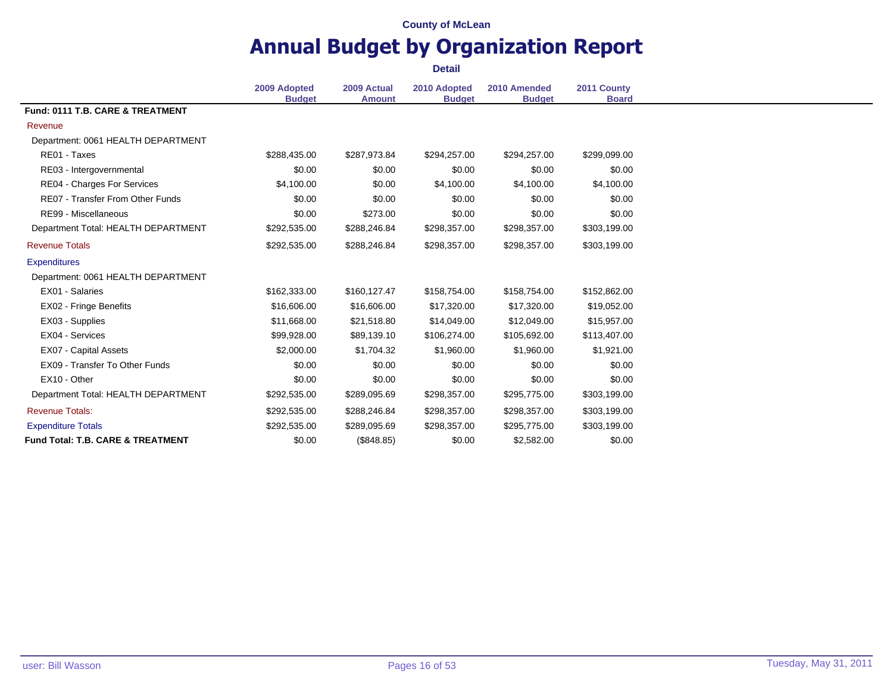# **Annual Budget by Organization Report**

|                                     | 2009 Adopted  | 2009 Actual   | 2010 Adopted  | 2010 Amended  | 2011 County  |
|-------------------------------------|---------------|---------------|---------------|---------------|--------------|
|                                     | <b>Budget</b> | <b>Amount</b> | <b>Budget</b> | <b>Budget</b> | <b>Board</b> |
| Fund: 0111 T.B. CARE & TREATMENT    |               |               |               |               |              |
| Revenue                             |               |               |               |               |              |
| Department: 0061 HEALTH DEPARTMENT  |               |               |               |               |              |
| RE01 - Taxes                        | \$288,435.00  | \$287,973.84  | \$294,257.00  | \$294,257.00  | \$299,099.00 |
| RE03 - Intergovernmental            | \$0.00        | \$0.00        | \$0.00        | \$0.00        | \$0.00       |
| RE04 - Charges For Services         | \$4,100.00    | \$0.00        | \$4,100.00    | \$4,100.00    | \$4,100.00   |
| RE07 - Transfer From Other Funds    | \$0.00        | \$0.00        | \$0.00        | \$0.00        | \$0.00       |
| RE99 - Miscellaneous                | \$0.00        | \$273.00      | \$0.00        | \$0.00        | \$0.00       |
| Department Total: HEALTH DEPARTMENT | \$292,535.00  | \$288,246.84  | \$298,357.00  | \$298,357.00  | \$303,199.00 |
| <b>Revenue Totals</b>               | \$292,535.00  | \$288,246.84  | \$298,357.00  | \$298,357.00  | \$303,199.00 |
| <b>Expenditures</b>                 |               |               |               |               |              |
| Department: 0061 HEALTH DEPARTMENT  |               |               |               |               |              |
| EX01 - Salaries                     | \$162,333.00  | \$160,127.47  | \$158,754.00  | \$158,754.00  | \$152,862.00 |
| EX02 - Fringe Benefits              | \$16,606.00   | \$16,606.00   | \$17,320.00   | \$17,320.00   | \$19,052.00  |
| EX03 - Supplies                     | \$11,668.00   | \$21,518.80   | \$14,049.00   | \$12,049.00   | \$15,957.00  |
| EX04 - Services                     | \$99,928.00   | \$89,139.10   | \$106,274.00  | \$105,692.00  | \$113,407.00 |
| EX07 - Capital Assets               | \$2,000.00    | \$1,704.32    | \$1,960.00    | \$1,960.00    | \$1,921.00   |
| EX09 - Transfer To Other Funds      | \$0.00        | \$0.00        | \$0.00        | \$0.00        | \$0.00       |
| EX10 - Other                        | \$0.00        | \$0.00        | \$0.00        | \$0.00        | \$0.00       |
| Department Total: HEALTH DEPARTMENT | \$292,535.00  | \$289,095.69  | \$298,357.00  | \$295,775.00  | \$303,199.00 |
| <b>Revenue Totals:</b>              | \$292,535.00  | \$288,246.84  | \$298,357.00  | \$298,357.00  | \$303,199.00 |
| <b>Expenditure Totals</b>           | \$292,535.00  | \$289,095.69  | \$298,357.00  | \$295,775.00  | \$303,199.00 |
| Fund Total: T.B. CARE & TREATMENT   | \$0.00        | (\$848.85)    | \$0.00        | \$2,582.00    | \$0.00       |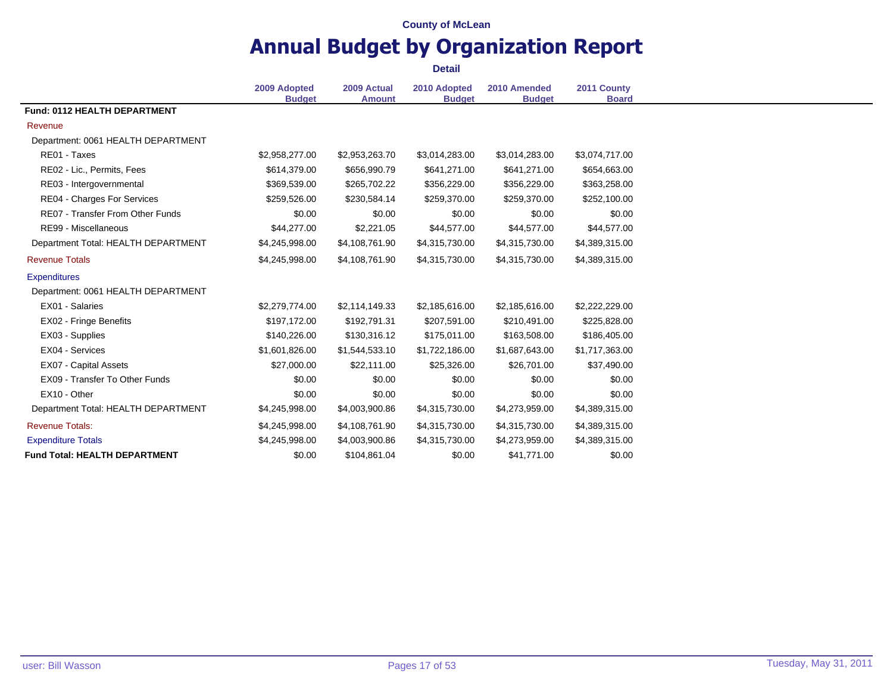# **Annual Budget by Organization Report**

|                                         | 2009 Adopted<br><b>Budget</b> | 2009 Actual<br><b>Amount</b> | 2010 Adopted<br><b>Budget</b> | 2010 Amended<br><b>Budget</b> | 2011 County<br><b>Board</b> |
|-----------------------------------------|-------------------------------|------------------------------|-------------------------------|-------------------------------|-----------------------------|
| Fund: 0112 HEALTH DEPARTMENT            |                               |                              |                               |                               |                             |
| Revenue                                 |                               |                              |                               |                               |                             |
| Department: 0061 HEALTH DEPARTMENT      |                               |                              |                               |                               |                             |
| RE01 - Taxes                            | \$2,958,277.00                | \$2,953,263.70               | \$3,014,283.00                | \$3,014,283.00                | \$3,074,717.00              |
| RE02 - Lic., Permits, Fees              | \$614,379.00                  | \$656,990.79                 | \$641,271.00                  | \$641,271.00                  | \$654,663.00                |
| RE03 - Intergovernmental                | \$369,539.00                  | \$265,702.22                 | \$356,229.00                  | \$356,229.00                  | \$363,258.00                |
| RE04 - Charges For Services             | \$259,526.00                  | \$230,584.14                 | \$259,370.00                  | \$259,370.00                  | \$252,100.00                |
| <b>RE07 - Transfer From Other Funds</b> | \$0.00                        | \$0.00                       | \$0.00                        | \$0.00                        | \$0.00                      |
| RE99 - Miscellaneous                    | \$44,277.00                   | \$2,221.05                   | \$44,577.00                   | \$44,577.00                   | \$44,577.00                 |
| Department Total: HEALTH DEPARTMENT     | \$4,245,998.00                | \$4,108,761.90               | \$4,315,730.00                | \$4,315,730.00                | \$4,389,315.00              |
| <b>Revenue Totals</b>                   | \$4,245,998.00                | \$4,108,761.90               | \$4,315,730.00                | \$4,315,730.00                | \$4,389,315.00              |
| <b>Expenditures</b>                     |                               |                              |                               |                               |                             |
| Department: 0061 HEALTH DEPARTMENT      |                               |                              |                               |                               |                             |
| EX01 - Salaries                         | \$2,279,774.00                | \$2,114,149.33               | \$2,185,616.00                | \$2,185,616.00                | \$2,222,229.00              |
| EX02 - Fringe Benefits                  | \$197,172.00                  | \$192,791.31                 | \$207,591.00                  | \$210,491.00                  | \$225,828.00                |
| EX03 - Supplies                         | \$140,226.00                  | \$130,316.12                 | \$175,011.00                  | \$163,508.00                  | \$186,405.00                |
| EX04 - Services                         | \$1,601,826.00                | \$1,544,533.10               | \$1,722,186.00                | \$1,687,643.00                | \$1,717,363.00              |
| EX07 - Capital Assets                   | \$27,000.00                   | \$22,111.00                  | \$25,326.00                   | \$26,701.00                   | \$37,490.00                 |
| EX09 - Transfer To Other Funds          | \$0.00                        | \$0.00                       | \$0.00                        | \$0.00                        | \$0.00                      |
| EX10 - Other                            | \$0.00                        | \$0.00                       | \$0.00                        | \$0.00                        | \$0.00                      |
| Department Total: HEALTH DEPARTMENT     | \$4,245,998.00                | \$4,003,900.86               | \$4,315,730.00                | \$4,273,959.00                | \$4,389,315.00              |
| <b>Revenue Totals:</b>                  | \$4,245,998.00                | \$4,108,761.90               | \$4,315,730.00                | \$4,315,730.00                | \$4,389,315.00              |
| <b>Expenditure Totals</b>               | \$4,245,998.00                | \$4,003,900.86               | \$4,315,730.00                | \$4,273,959.00                | \$4,389,315.00              |
| <b>Fund Total: HEALTH DEPARTMENT</b>    | \$0.00                        | \$104,861.04                 | \$0.00                        | \$41,771.00                   | \$0.00                      |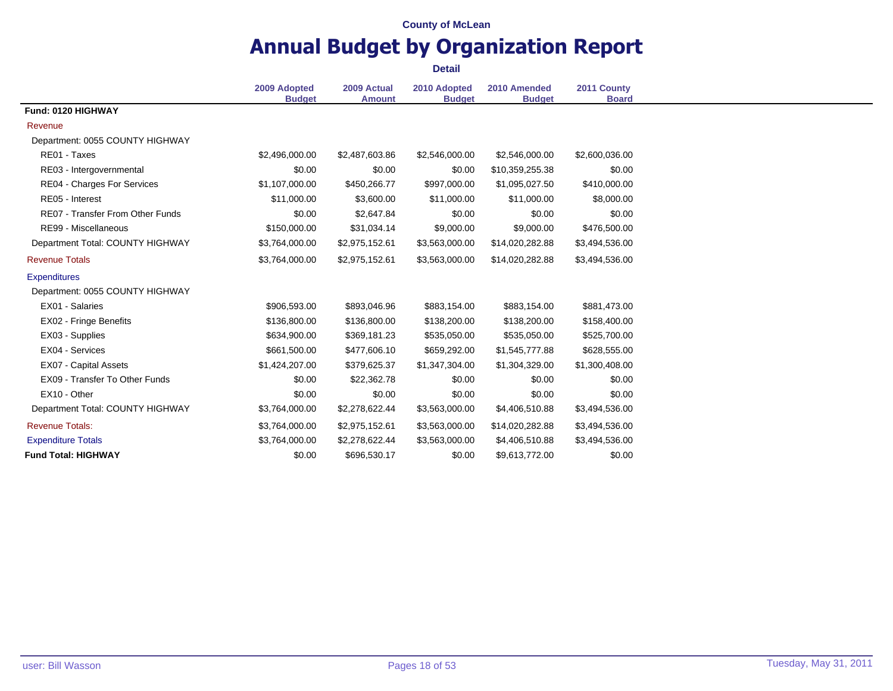# **Annual Budget by Organization Report**

|                                         | 2009 Adopted<br><b>Budget</b> | 2009 Actual    | 2010 Adopted   | 2010 Amended    | 2011 County<br><b>Board</b> |
|-----------------------------------------|-------------------------------|----------------|----------------|-----------------|-----------------------------|
| Fund: 0120 HIGHWAY                      |                               | <b>Amount</b>  | <b>Budget</b>  | <b>Budget</b>   |                             |
| Revenue                                 |                               |                |                |                 |                             |
| Department: 0055 COUNTY HIGHWAY         |                               |                |                |                 |                             |
| RE01 - Taxes                            | \$2,496,000.00                | \$2,487,603.86 | \$2,546,000.00 | \$2,546,000.00  | \$2,600,036.00              |
| RE03 - Intergovernmental                | \$0.00                        | \$0.00         | \$0.00         | \$10,359,255.38 | \$0.00                      |
| RE04 - Charges For Services             | \$1,107,000.00                | \$450,266.77   | \$997,000.00   | \$1,095,027.50  | \$410,000.00                |
| RE05 - Interest                         | \$11,000.00                   | \$3,600.00     | \$11,000.00    | \$11,000.00     | \$8,000.00                  |
| <b>RE07 - Transfer From Other Funds</b> | \$0.00                        | \$2,647.84     | \$0.00         | \$0.00          | \$0.00                      |
| RE99 - Miscellaneous                    | \$150,000.00                  | \$31,034.14    | \$9,000.00     | \$9,000.00      | \$476,500.00                |
| Department Total: COUNTY HIGHWAY        | \$3,764,000.00                | \$2,975,152.61 | \$3,563,000.00 | \$14,020,282.88 | \$3,494,536.00              |
| <b>Revenue Totals</b>                   | \$3,764,000.00                | \$2,975,152.61 | \$3,563,000.00 | \$14,020,282.88 | \$3,494,536.00              |
| <b>Expenditures</b>                     |                               |                |                |                 |                             |
| Department: 0055 COUNTY HIGHWAY         |                               |                |                |                 |                             |
| EX01 - Salaries                         | \$906,593.00                  | \$893,046.96   | \$883,154.00   | \$883,154.00    | \$881,473.00                |
| EX02 - Fringe Benefits                  | \$136,800.00                  | \$136,800.00   | \$138,200.00   | \$138,200.00    | \$158,400.00                |
| EX03 - Supplies                         | \$634,900.00                  | \$369,181.23   | \$535,050.00   | \$535,050.00    | \$525,700.00                |
| EX04 - Services                         | \$661,500.00                  | \$477,606.10   | \$659,292.00   | \$1,545,777.88  | \$628,555.00                |
| <b>EX07 - Capital Assets</b>            | \$1,424,207.00                | \$379,625.37   | \$1,347,304.00 | \$1,304,329.00  | \$1,300,408.00              |
| EX09 - Transfer To Other Funds          | \$0.00                        | \$22,362.78    | \$0.00         | \$0.00          | \$0.00                      |
| EX10 - Other                            | \$0.00                        | \$0.00         | \$0.00         | \$0.00          | \$0.00                      |
| Department Total: COUNTY HIGHWAY        | \$3,764,000.00                | \$2,278,622.44 | \$3,563,000.00 | \$4,406,510.88  | \$3,494,536.00              |
| <b>Revenue Totals:</b>                  | \$3,764,000.00                | \$2,975,152.61 | \$3,563,000.00 | \$14,020,282.88 | \$3,494,536.00              |
| <b>Expenditure Totals</b>               | \$3,764,000.00                | \$2,278,622.44 | \$3,563,000.00 | \$4,406,510.88  | \$3,494,536.00              |
| <b>Fund Total: HIGHWAY</b>              | \$0.00                        | \$696,530.17   | \$0.00         | \$9,613,772.00  | \$0.00                      |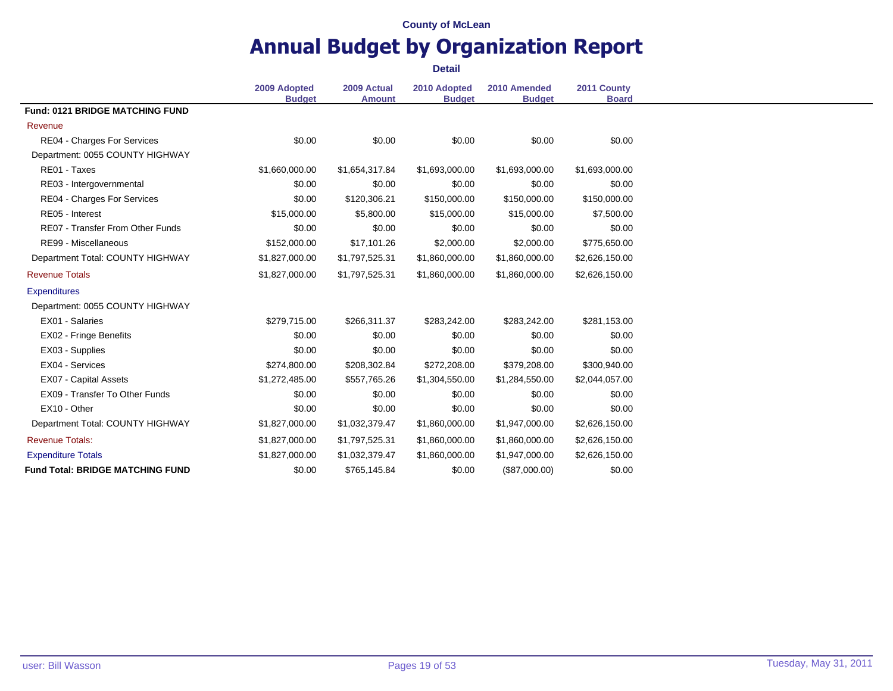# **Annual Budget by Organization Report**

|                                         | 2009 Adopted<br><b>Budget</b> | 2009 Actual<br><b>Amount</b> | 2010 Adopted<br><b>Budget</b> | 2010 Amended<br><b>Budget</b> | 2011 County<br><b>Board</b> |
|-----------------------------------------|-------------------------------|------------------------------|-------------------------------|-------------------------------|-----------------------------|
| <b>Fund: 0121 BRIDGE MATCHING FUND</b>  |                               |                              |                               |                               |                             |
| Revenue                                 |                               |                              |                               |                               |                             |
| RE04 - Charges For Services             | \$0.00                        | \$0.00                       | \$0.00                        | \$0.00                        | \$0.00                      |
| Department: 0055 COUNTY HIGHWAY         |                               |                              |                               |                               |                             |
| RE01 - Taxes                            | \$1,660,000.00                | \$1,654,317.84               | \$1,693,000.00                | \$1,693,000.00                | \$1,693,000.00              |
| RE03 - Intergovernmental                | \$0.00                        | \$0.00                       | \$0.00                        | \$0.00                        | \$0.00                      |
| RE04 - Charges For Services             | \$0.00                        | \$120,306.21                 | \$150,000.00                  | \$150,000.00                  | \$150,000.00                |
| RE05 - Interest                         | \$15,000.00                   | \$5,800.00                   | \$15,000.00                   | \$15,000.00                   | \$7,500.00                  |
| <b>RE07 - Transfer From Other Funds</b> | \$0.00                        | \$0.00                       | \$0.00                        | \$0.00                        | \$0.00                      |
| RE99 - Miscellaneous                    | \$152,000.00                  | \$17,101.26                  | \$2,000.00                    | \$2,000.00                    | \$775,650.00                |
| Department Total: COUNTY HIGHWAY        | \$1,827,000.00                | \$1,797,525.31               | \$1,860,000.00                | \$1,860,000.00                | \$2,626,150.00              |
| <b>Revenue Totals</b>                   | \$1,827,000.00                | \$1,797,525.31               | \$1,860,000.00                | \$1,860,000.00                | \$2,626,150.00              |
| <b>Expenditures</b>                     |                               |                              |                               |                               |                             |
| Department: 0055 COUNTY HIGHWAY         |                               |                              |                               |                               |                             |
| EX01 - Salaries                         | \$279,715.00                  | \$266,311.37                 | \$283,242.00                  | \$283,242.00                  | \$281,153.00                |
| EX02 - Fringe Benefits                  | \$0.00                        | \$0.00                       | \$0.00                        | \$0.00                        | \$0.00                      |
| EX03 - Supplies                         | \$0.00                        | \$0.00                       | \$0.00                        | \$0.00                        | \$0.00                      |
| EX04 - Services                         | \$274,800.00                  | \$208,302.84                 | \$272,208.00                  | \$379,208.00                  | \$300,940.00                |
| EX07 - Capital Assets                   | \$1,272,485.00                | \$557,765.26                 | \$1,304,550.00                | \$1,284,550.00                | \$2,044,057.00              |
| EX09 - Transfer To Other Funds          | \$0.00                        | \$0.00                       | \$0.00                        | \$0.00                        | \$0.00                      |
| EX10 - Other                            | \$0.00                        | \$0.00                       | \$0.00                        | \$0.00                        | \$0.00                      |
| Department Total: COUNTY HIGHWAY        | \$1,827,000.00                | \$1,032,379.47               | \$1,860,000.00                | \$1,947,000.00                | \$2,626,150.00              |
| <b>Revenue Totals:</b>                  | \$1,827,000.00                | \$1,797,525.31               | \$1,860,000.00                | \$1,860,000.00                | \$2,626,150.00              |
| <b>Expenditure Totals</b>               | \$1,827,000.00                | \$1,032,379.47               | \$1,860,000.00                | \$1,947,000.00                | \$2,626,150.00              |
| <b>Fund Total: BRIDGE MATCHING FUND</b> | \$0.00                        | \$765,145.84                 | \$0.00                        | (\$87,000.00)                 | \$0.00                      |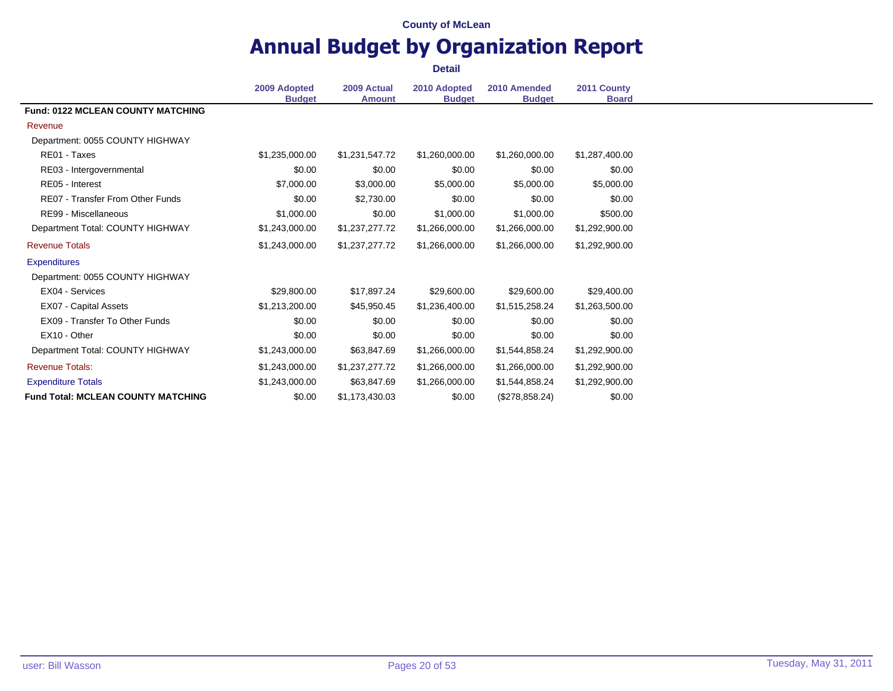# **Annual Budget by Organization Report**

|                                           |                               |                              | <b>Detail</b>                 |                               |                             |
|-------------------------------------------|-------------------------------|------------------------------|-------------------------------|-------------------------------|-----------------------------|
|                                           | 2009 Adopted<br><b>Budget</b> | 2009 Actual<br><b>Amount</b> | 2010 Adopted<br><b>Budget</b> | 2010 Amended<br><b>Budget</b> | 2011 County<br><b>Board</b> |
| <b>Fund: 0122 MCLEAN COUNTY MATCHING</b>  |                               |                              |                               |                               |                             |
| Revenue                                   |                               |                              |                               |                               |                             |
| Department: 0055 COUNTY HIGHWAY           |                               |                              |                               |                               |                             |
| RE01 - Taxes                              | \$1,235,000.00                | \$1,231,547.72               | \$1,260,000.00                | \$1,260,000.00                | \$1,287,400.00              |
| RE03 - Intergovernmental                  | \$0.00                        | \$0.00                       | \$0.00                        | \$0.00                        | \$0.00                      |
| RE05 - Interest                           | \$7,000.00                    | \$3,000.00                   | \$5,000.00                    | \$5,000.00                    | \$5,000.00                  |
| <b>RE07 - Transfer From Other Funds</b>   | \$0.00                        | \$2,730.00                   | \$0.00                        | \$0.00                        | \$0.00                      |
| RE99 - Miscellaneous                      | \$1,000.00                    | \$0.00                       | \$1,000.00                    | \$1,000.00                    | \$500.00                    |
| Department Total: COUNTY HIGHWAY          | \$1,243,000.00                | \$1,237,277.72               | \$1,266,000.00                | \$1,266,000.00                | \$1,292,900.00              |
| <b>Revenue Totals</b>                     | \$1,243,000.00                | \$1,237,277.72               | \$1,266,000.00                | \$1,266,000.00                | \$1,292,900.00              |
| <b>Expenditures</b>                       |                               |                              |                               |                               |                             |
| Department: 0055 COUNTY HIGHWAY           |                               |                              |                               |                               |                             |
| EX04 - Services                           | \$29,800.00                   | \$17,897.24                  | \$29,600.00                   | \$29,600.00                   | \$29,400.00                 |
| EX07 - Capital Assets                     | \$1,213,200.00                | \$45,950.45                  | \$1,236,400.00                | \$1,515,258.24                | \$1,263,500.00              |
| EX09 - Transfer To Other Funds            | \$0.00                        | \$0.00                       | \$0.00                        | \$0.00                        | \$0.00                      |
| EX10 - Other                              | \$0.00                        | \$0.00                       | \$0.00                        | \$0.00                        | \$0.00                      |
| Department Total: COUNTY HIGHWAY          | \$1,243,000.00                | \$63,847.69                  | \$1,266,000.00                | \$1,544,858.24                | \$1,292,900.00              |
| <b>Revenue Totals:</b>                    | \$1,243,000.00                | \$1,237,277.72               | \$1,266,000.00                | \$1,266,000.00                | \$1,292,900.00              |
| <b>Expenditure Totals</b>                 | \$1,243,000.00                | \$63,847.69                  | \$1,266,000.00                | \$1,544,858.24                | \$1,292,900.00              |
| <b>Fund Total: MCLEAN COUNTY MATCHING</b> | \$0.00                        | \$1,173,430.03               | \$0.00                        | (\$278,858.24)                | \$0.00                      |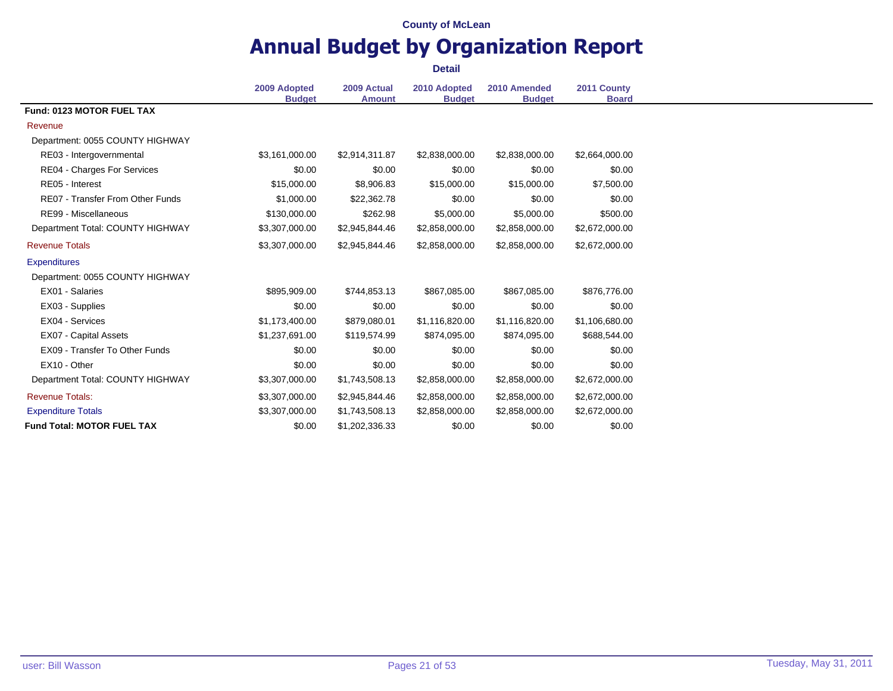# **Annual Budget by Organization Report**

|                                         | 2009 Adopted<br><b>Budget</b> | 2009 Actual<br><b>Amount</b> | 2010 Adopted<br><b>Budget</b> | 2010 Amended<br><b>Budget</b> | 2011 County<br><b>Board</b> |
|-----------------------------------------|-------------------------------|------------------------------|-------------------------------|-------------------------------|-----------------------------|
| Fund: 0123 MOTOR FUEL TAX               |                               |                              |                               |                               |                             |
| Revenue                                 |                               |                              |                               |                               |                             |
| Department: 0055 COUNTY HIGHWAY         |                               |                              |                               |                               |                             |
| RE03 - Intergovernmental                | \$3,161,000.00                | \$2,914,311.87               | \$2,838,000.00                | \$2,838,000.00                | \$2,664,000.00              |
| RE04 - Charges For Services             | \$0.00                        | \$0.00                       | \$0.00                        | \$0.00                        | \$0.00                      |
| RE05 - Interest                         | \$15,000.00                   | \$8,906.83                   | \$15,000.00                   | \$15,000.00                   | \$7,500.00                  |
| <b>RE07 - Transfer From Other Funds</b> | \$1,000.00                    | \$22,362.78                  | \$0.00                        | \$0.00                        | \$0.00                      |
| RE99 - Miscellaneous                    | \$130,000.00                  | \$262.98                     | \$5,000.00                    | \$5,000.00                    | \$500.00                    |
| Department Total: COUNTY HIGHWAY        | \$3,307,000.00                | \$2,945,844.46               | \$2,858,000.00                | \$2,858,000.00                | \$2,672,000.00              |
| <b>Revenue Totals</b>                   | \$3,307,000.00                | \$2,945,844.46               | \$2,858,000.00                | \$2,858,000.00                | \$2,672,000.00              |
| <b>Expenditures</b>                     |                               |                              |                               |                               |                             |
| Department: 0055 COUNTY HIGHWAY         |                               |                              |                               |                               |                             |
| EX01 - Salaries                         | \$895,909.00                  | \$744,853.13                 | \$867,085.00                  | \$867,085.00                  | \$876,776.00                |
| EX03 - Supplies                         | \$0.00                        | \$0.00                       | \$0.00                        | \$0.00                        | \$0.00                      |
| EX04 - Services                         | \$1,173,400.00                | \$879,080.01                 | \$1,116,820.00                | \$1,116,820.00                | \$1,106,680.00              |
| EX07 - Capital Assets                   | \$1,237,691.00                | \$119,574.99                 | \$874,095.00                  | \$874,095.00                  | \$688,544.00                |
| EX09 - Transfer To Other Funds          | \$0.00                        | \$0.00                       | \$0.00                        | \$0.00                        | \$0.00                      |
| EX10 - Other                            | \$0.00                        | \$0.00                       | \$0.00                        | \$0.00                        | \$0.00                      |
| Department Total: COUNTY HIGHWAY        | \$3,307,000.00                | \$1,743,508.13               | \$2,858,000.00                | \$2,858,000.00                | \$2,672,000.00              |
| <b>Revenue Totals:</b>                  | \$3,307,000.00                | \$2,945,844.46               | \$2,858,000.00                | \$2,858,000.00                | \$2,672,000.00              |
| <b>Expenditure Totals</b>               | \$3,307,000.00                | \$1,743,508.13               | \$2,858,000.00                | \$2,858,000.00                | \$2,672,000.00              |
| <b>Fund Total: MOTOR FUEL TAX</b>       | \$0.00                        | \$1,202,336.33               | \$0.00                        | \$0.00                        | \$0.00                      |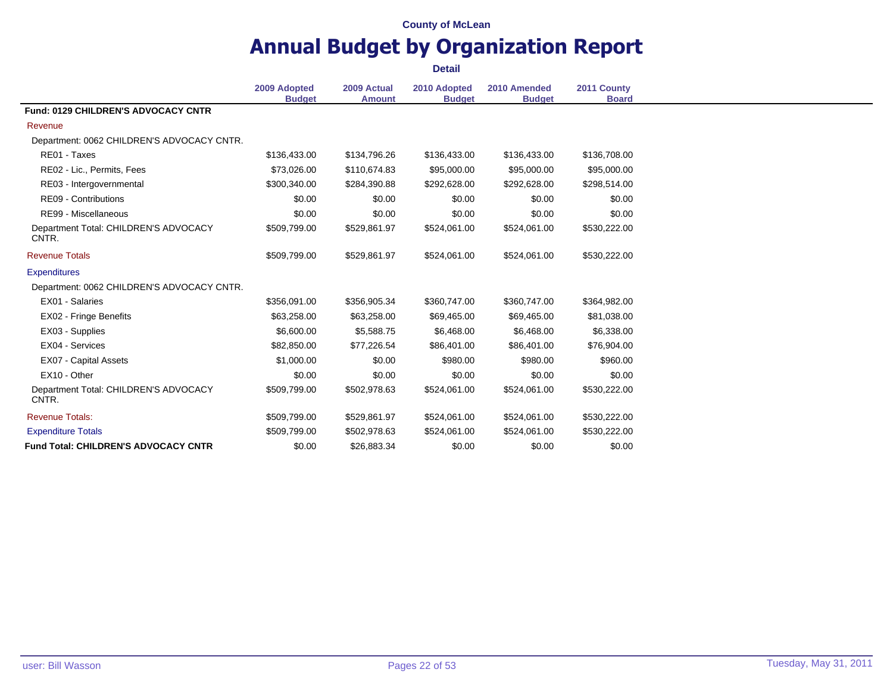# **Annual Budget by Organization Report**

|                                                | <b>Detail</b>                 |                              |                               |                               |                             |  |
|------------------------------------------------|-------------------------------|------------------------------|-------------------------------|-------------------------------|-----------------------------|--|
|                                                | 2009 Adopted<br><b>Budget</b> | 2009 Actual<br><b>Amount</b> | 2010 Adopted<br><b>Budget</b> | 2010 Amended<br><b>Budget</b> | 2011 County<br><b>Board</b> |  |
| <b>Fund: 0129 CHILDREN'S ADVOCACY CNTR</b>     |                               |                              |                               |                               |                             |  |
| Revenue                                        |                               |                              |                               |                               |                             |  |
| Department: 0062 CHILDREN'S ADVOCACY CNTR.     |                               |                              |                               |                               |                             |  |
| RE01 - Taxes                                   | \$136,433.00                  | \$134,796.26                 | \$136,433.00                  | \$136,433.00                  | \$136,708.00                |  |
| RE02 - Lic., Permits, Fees                     | \$73,026.00                   | \$110,674.83                 | \$95,000.00                   | \$95,000.00                   | \$95,000.00                 |  |
| RE03 - Intergovernmental                       | \$300,340.00                  | \$284,390.88                 | \$292,628.00                  | \$292,628.00                  | \$298,514.00                |  |
| RE09 - Contributions                           | \$0.00                        | \$0.00                       | \$0.00                        | \$0.00                        | \$0.00                      |  |
| RE99 - Miscellaneous                           | \$0.00                        | \$0.00                       | \$0.00                        | \$0.00                        | \$0.00                      |  |
| Department Total: CHILDREN'S ADVOCACY<br>CNTR. | \$509,799.00                  | \$529,861.97                 | \$524,061.00                  | \$524,061.00                  | \$530,222.00                |  |
| <b>Revenue Totals</b>                          | \$509,799.00                  | \$529,861.97                 | \$524,061.00                  | \$524,061.00                  | \$530,222.00                |  |
| <b>Expenditures</b>                            |                               |                              |                               |                               |                             |  |
| Department: 0062 CHILDREN'S ADVOCACY CNTR.     |                               |                              |                               |                               |                             |  |
| EX01 - Salaries                                | \$356,091.00                  | \$356,905.34                 | \$360,747.00                  | \$360,747.00                  | \$364,982.00                |  |
| EX02 - Fringe Benefits                         | \$63,258.00                   | \$63,258.00                  | \$69,465.00                   | \$69,465.00                   | \$81,038.00                 |  |
| EX03 - Supplies                                | \$6,600.00                    | \$5,588.75                   | \$6,468.00                    | \$6,468.00                    | \$6,338.00                  |  |
| EX04 - Services                                | \$82,850,00                   | \$77,226.54                  | \$86,401.00                   | \$86,401.00                   | \$76,904.00                 |  |
| EX07 - Capital Assets                          | \$1,000.00                    | \$0.00                       | \$980.00                      | \$980.00                      | \$960.00                    |  |
| EX10 - Other                                   | \$0.00                        | \$0.00                       | \$0.00                        | \$0.00                        | \$0.00                      |  |
| Department Total: CHILDREN'S ADVOCACY<br>CNTR. | \$509,799.00                  | \$502,978.63                 | \$524,061.00                  | \$524,061.00                  | \$530,222.00                |  |
| <b>Revenue Totals:</b>                         | \$509,799.00                  | \$529,861.97                 | \$524,061.00                  | \$524,061.00                  | \$530,222.00                |  |
| <b>Expenditure Totals</b>                      | \$509,799.00                  | \$502,978.63                 | \$524,061.00                  | \$524,061.00                  | \$530,222.00                |  |
| <b>Fund Total: CHILDREN'S ADVOCACY CNTR</b>    | \$0.00                        | \$26,883.34                  | \$0.00                        | \$0.00                        | \$0.00                      |  |

÷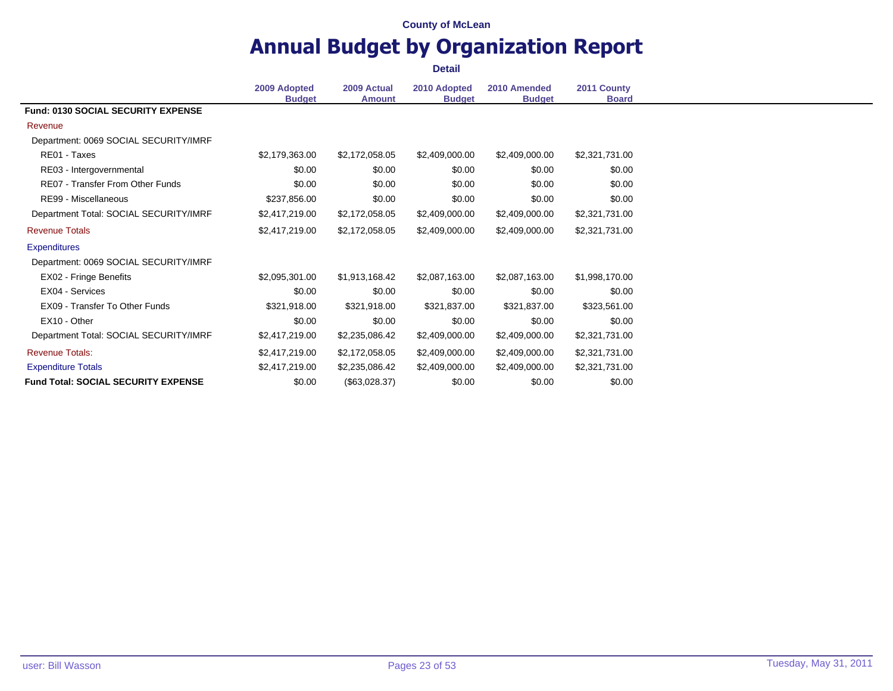### **Annual Budget by Organization Report Detail**

**2009 Adopted Budget 2009 Actual Amount 2010 Adopted Budget 2010 Amended Budget 2011 County Board Fund: 0130 SOCIAL SECURITY EXPENSE** Revenue Department: 0069 SOCIAL SECURITY/IMRF RE01 - Taxes \$2,179,363.00 \$2,172,058.05 \$2,409,000.00 \$2,409,000.00 \$2,321,731.00 RE03 - Intergovernmental 1 1 1 200 \$0.00 \$0.00 \$0.00 \$0.00 \$0.00 \$0.00 \$0.00 \$0.00 RE07 - Transfer From Other Funds \$0.00 \$0.00 \$0.00 \$0.00 \$0.00 \$0.00 \$0.00 \$0.00 \$0.00 \$0.00 RE99 - Miscellaneous **\$237,856.00** \$0.00 \$0.00 \$0.00 \$0.00 \$0.00 \$0.00 Department Total: SOCIAL SECURITY/IMRF \$2,417,219.00 \$2,172,058.05 \$2,409,000.00 \$2,409,000.00 \$2,321,731.00 Revenue Totals \$2,417,219.00 \$2,172,058.05 \$2,409,000.00 \$2,409,000.00 \$2,321,731.00 **Expenditures** Department: 0069 SOCIAL SECURITY/IMRF EX02 - Fringe Benefits \$2,095,301.00 \$1,913,168.42 \$2,087,163.00 \$2,087,163.00 \$1,998,170.00 EX04 - Services \$0.00 \$0.00 \$0.00 \$0.00 \$0.00 EX09 - Transfer To Other Funds \$321,918.00 \$321,918.00 \$321,837.00 \$321,837.00 \$323,561.00 EX10 - Other \$0.00 \$0.00 \$0.00 \$0.00 \$0.00 Department Total: SOCIAL SECURITY/IMRF \$2,417,219.00 \$2,235,086.42 \$2,409,000.00 \$2,409,000.00 \$2,321,731.00 Revenue Totals: \$2,417,219.00 \$2,172,058.05 \$2,409,000.00 \$2,409,000.00 \$2,321,731.00 Expenditure Totals **\$2,417,219.00** \$2,417,219.00 \$2,235,086.42 \$2,409,000.00 \$2,409,000.00 \$2,321,731.00 **Fund Total: SOCIAL SECURITY EXPENSE**  $$0.00$   $$0.00$   $$0.028.37)$   $$0.00$   $$0.00$   $$0.00$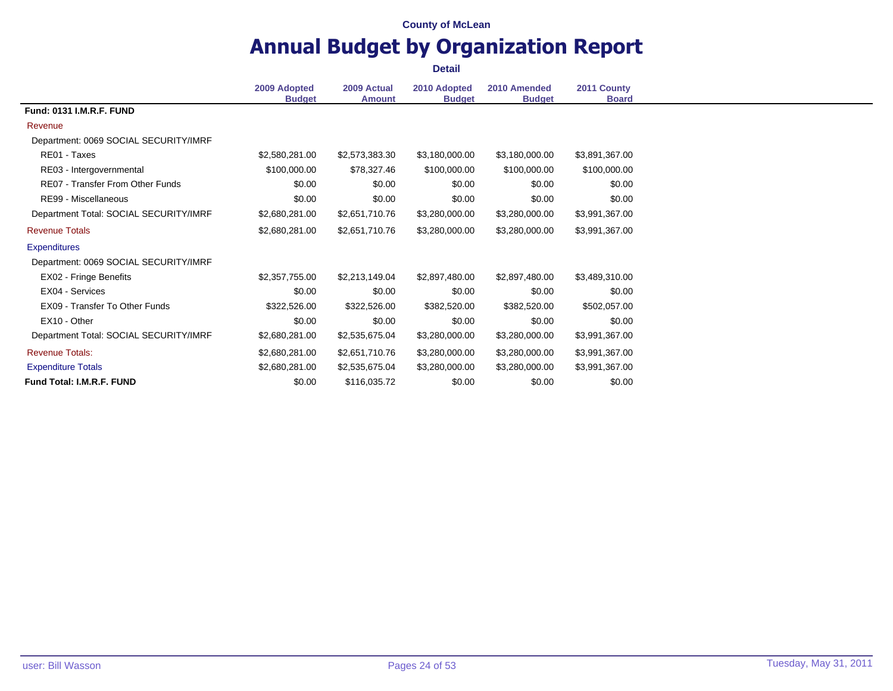### **Annual Budget by Organization Report Detail**

**2009 Adopted Budget 2009 Actual Amount 2010 Adopted Budget 2010 Amended Budget 2011 County Board Fund: 0131 I.M.R.F. FUND** Revenue Department: 0069 SOCIAL SECURITY/IMRF RE01 - Taxes \$2,580,281.00 \$2,573,383.30 \$3,180,000.00 \$3,180,000.00 \$3,891,367.00 RE03 - Intergovernmental  $$100,000.00$   $$78,327.46$   $$100,000.00$   $$100,000.00$   $$100,000.00$ RE07 - Transfer From Other Funds \$0.00 \$0.00 \$0.00 \$0.00 \$0.00 \$0.00 \$0.00 \$0.00 \$0.00 \$0.00 RE99 - Miscellaneous 60.00 \$0.00 \$0.00 \$0.00 \$0.00 \$0.00 \$0.00 \$0.00 \$0.00 \$0.00 Department Total: SOCIAL SECURITY/IMRF \$2,680,281.00 \$2,651,710.76 \$3,280,000.00 \$3,280,000.00 \$3,991,367.00 Revenue Totals \$2,680,281.00 \$2,651,710.76 \$3,280,000.00 \$3,280,000.00 \$3,991,367.00 **Expenditures** Department: 0069 SOCIAL SECURITY/IMRF EX02 - Fringe Benefits \$2,357,755.00 \$2,213,149.04 \$2,897,480.00 \$2,897,480.00 \$3,489,310.00 EX04 - Services \$0.00 \$0.00 \$0.00 \$0.00 \$0.00 EX09 - Transfer To Other Funds \$322,526.00 \$322,526.00 \$382,520.00 \$382,520.00 \$502,057.00 EX10 - Other \$0.00 \$0.00 \$0.00 \$0.00 \$0.00 Department Total: SOCIAL SECURITY/IMRF \$2,680,281.00 \$2,535,675.04 \$3,280,000.00 \$3,280,000.00 \$3,991,367.00 Revenue Totals: \$2,680,281.00 \$2,651,710.76 \$3,280,000.00 \$3,280,000.00 \$3,991,367.00 Expenditure Totals 63,991,367.00 \$2,680,281.00 \$2,535,675.04 \$3,280,000.00 \$3,280,000.00 \$3,991,367.00 **Fund Total: I.M.R.F. FUND** \$0.00 \$0.00 \$116,035.72 \$0.00 \$0.00 \$0.00 \$0.00 \$0.00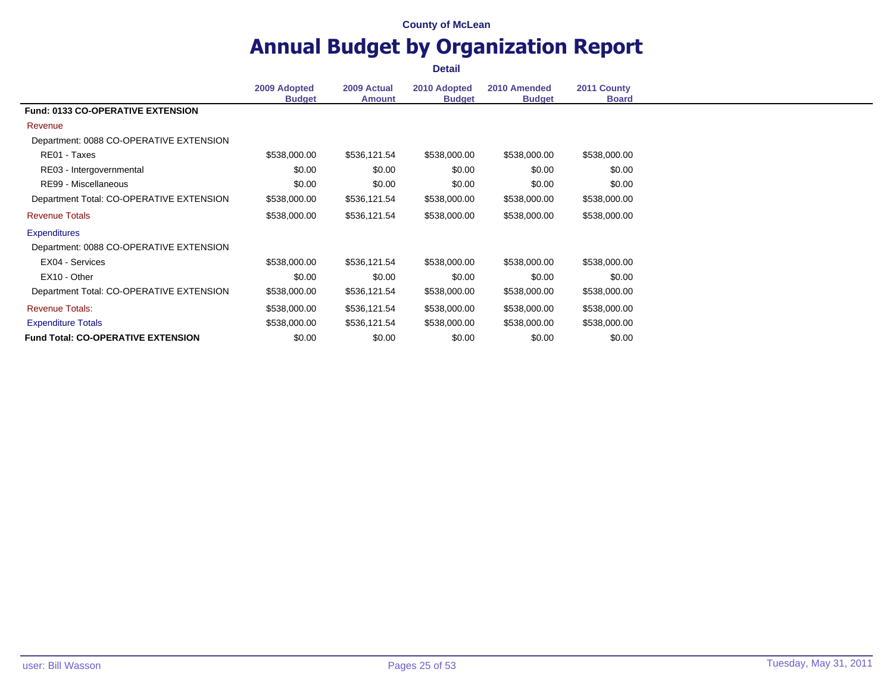### **Annual Budget by Organization Report Detail**

**2009 Adopted Budget 2009 Actual Amount 2010 Adopted Budget 2010 Amended Budget 2011 County Board Fund: 0133 CO-OPERATIVE EXTENSION** Revenue Department: 0088 CO-OPERATIVE EXTENSION RE01 - Taxes \$538,000.00 \$538,121.54 \$538,000.00 \$538,000.00 \$538,000.00 RE03 - Intergovernmental 1 1 1 200 \$0.00 \$0.00 \$0.00 \$0.00 \$0.00 \$0.00 \$0.00 \$0.00 RE99 - Miscellaneous 60.00 \$0.00 \$0.00 \$0.00 \$0.00 \$0.00 \$0.00 \$0.00 \$0.00 \$0.00 \$0.00 \$0.00 \$0.00 \$0.00 \$0.00 Department Total: CO-OPERATIVE EXTENSION \$538,000.00 \$536,121.54 \$538,000.00 \$538,000.00 \$538,000.00 Revenue Totals \$538,000.00 \$536,121.54 \$538,000.00 \$538,000.00 \$538,000.00 **Expenditures** Department: 0088 CO-OPERATIVE EXTENSION EX04 - Services \$538,000.00 \$536,121.54 \$538,000.00 \$538,000.00 \$538,000.00 EX10 - Other \$0.00 \$0.00 \$0.00 \$0.00 \$0.00 Department Total: CO-OPERATIVE EXTENSION \$538,000.00 \$536,121.54 \$538,000.00 \$538,000.00 \$538,000.00 Revenue Totals: \$538,000.00 \$536,121.54 \$538,000.00 \$538,000.00 \$538,000.00 Expenditure Totals \$538,000.00 \$536,121.54 \$538,000.00 \$538,000.00 \$538,000.00 **Fund Total: CO-OPERATIVE EXTENSION** \$0.00 \$0.00 \$0.00 \$0.00 \$0.00 \$0.00 \$0.00 \$0.00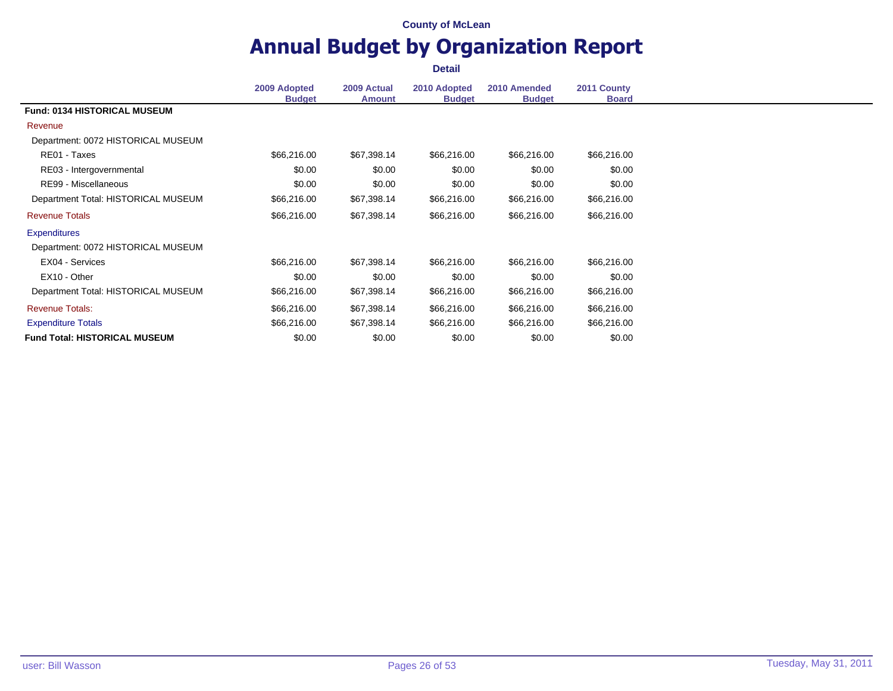### **Annual Budget by Organization Report Detail**

**2009 Adopted Budget 2009 Actual Amount 2010 Adopted Budget 2010 Amended Budget 2011 County Board Fund: 0134 HISTORICAL MUSEUM** Revenue Department: 0072 HISTORICAL MUSEUM RE01 - Taxes \$66,216.00 \$67,398.14 \$66,216.00 \$66,216.00 \$66,216.00 RE03 - Intergovernmental 1 1 1 200 \$0.00 \$0.00 \$0.00 \$0.00 \$0.00 \$0.00 \$0.00 \$0.00 RE99 - Miscellaneous 60.00 \$0.00 \$0.00 \$0.00 \$0.00 \$0.00 \$0.00 \$0.00 \$0.00 \$0.00 \$0.00 \$0.00 \$0.00 \$0.00 \$0.00 Department Total: HISTORICAL MUSEUM \$66,216.00 \$67,398.14 \$66,216.00 \$66,216.00 \$66,216.00 Revenue Totals \$66,216.00 \$67,398.14 \$66,216.00 \$66,216.00 \$66,216.00 **Expenditures** Department: 0072 HISTORICAL MUSEUM EX04 - Services \$66,216.00 \$67,398.14 \$66,216.00 \$66,216.00 \$66,216.00 EX10 - Other \$0.00 \$0.00 \$0.00 \$0.00 \$0.00 Department Total: HISTORICAL MUSEUM \$66,216.00 \$67,398.14 \$66,216.00 \$66,216.00 \$66,216.00 Revenue Totals: \$66,216.00 \$67,398.14 \$66,216.00 \$66,216.00 \$66,216.00 Expenditure Totals \$66,216.00 \$67,398.14 \$66,216.00 \$66,216.00 \$66,216.00 **Fund Total: HISTORICAL MUSEUM 60.00** \$0.00 \$0.00 \$0.00 \$0.00 \$0.00 \$0.00 \$0.00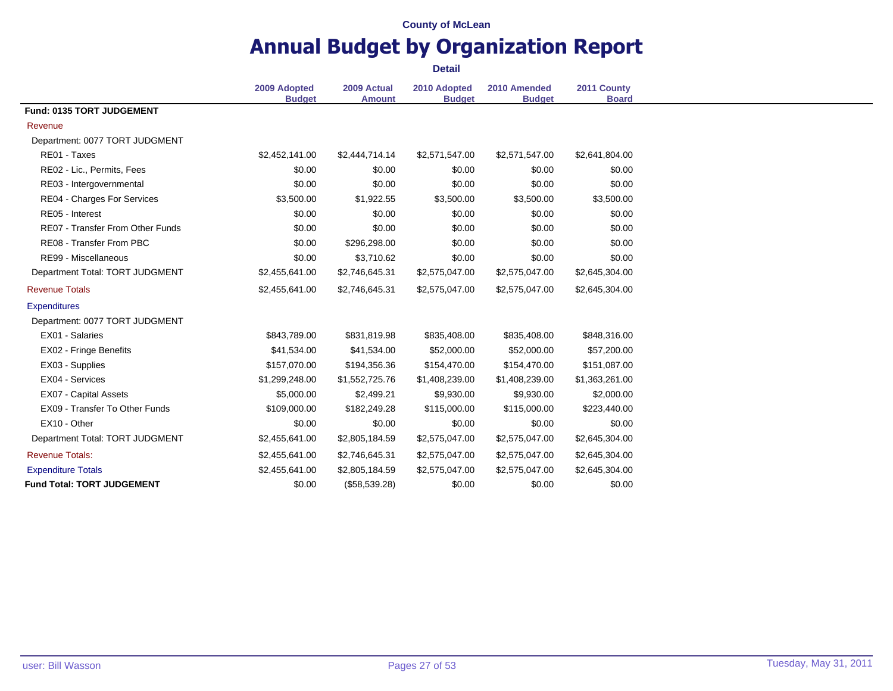# **Annual Budget by Organization Report**

|                                         | 2009 Adopted<br><b>Budget</b> | 2009 Actual<br><b>Amount</b> | 2010 Adopted<br><b>Budget</b> | 2010 Amended<br><b>Budget</b> | 2011 County<br><b>Board</b> |
|-----------------------------------------|-------------------------------|------------------------------|-------------------------------|-------------------------------|-----------------------------|
| Fund: 0135 TORT JUDGEMENT               |                               |                              |                               |                               |                             |
| Revenue                                 |                               |                              |                               |                               |                             |
| Department: 0077 TORT JUDGMENT          |                               |                              |                               |                               |                             |
| RE01 - Taxes                            | \$2,452,141.00                | \$2,444,714.14               | \$2,571,547.00                | \$2,571,547.00                | \$2,641,804.00              |
| RE02 - Lic., Permits, Fees              | \$0.00                        | \$0.00                       | \$0.00                        | \$0.00                        | \$0.00                      |
| RE03 - Intergovernmental                | \$0.00                        | \$0.00                       | \$0.00                        | \$0.00                        | \$0.00                      |
| RE04 - Charges For Services             | \$3,500.00                    | \$1,922.55                   | \$3,500.00                    | \$3,500.00                    | \$3,500.00                  |
| RE05 - Interest                         | \$0.00                        | \$0.00                       | \$0.00                        | \$0.00                        | \$0.00                      |
| <b>RE07 - Transfer From Other Funds</b> | \$0.00                        | \$0.00                       | \$0.00                        | \$0.00                        | \$0.00                      |
| RE08 - Transfer From PBC                | \$0.00                        | \$296,298.00                 | \$0.00                        | \$0.00                        | \$0.00                      |
| RE99 - Miscellaneous                    | \$0.00                        | \$3,710.62                   | \$0.00                        | \$0.00                        | \$0.00                      |
| Department Total: TORT JUDGMENT         | \$2,455,641.00                | \$2,746,645.31               | \$2,575,047.00                | \$2,575,047.00                | \$2,645,304.00              |
| <b>Revenue Totals</b>                   | \$2,455,641.00                | \$2,746,645.31               | \$2,575,047.00                | \$2,575,047.00                | \$2,645,304.00              |
| <b>Expenditures</b>                     |                               |                              |                               |                               |                             |
| Department: 0077 TORT JUDGMENT          |                               |                              |                               |                               |                             |
| EX01 - Salaries                         | \$843,789.00                  | \$831,819.98                 | \$835,408.00                  | \$835,408.00                  | \$848,316.00                |
| EX02 - Fringe Benefits                  | \$41,534.00                   | \$41,534.00                  | \$52,000.00                   | \$52,000.00                   | \$57,200.00                 |
| EX03 - Supplies                         | \$157,070.00                  | \$194,356.36                 | \$154,470.00                  | \$154,470.00                  | \$151,087.00                |
| EX04 - Services                         | \$1,299,248.00                | \$1,552,725.76               | \$1,408,239.00                | \$1,408,239.00                | \$1,363,261.00              |
| <b>EX07 - Capital Assets</b>            | \$5,000.00                    | \$2,499.21                   | \$9,930.00                    | \$9,930.00                    | \$2,000.00                  |
| EX09 - Transfer To Other Funds          | \$109,000.00                  | \$182,249.28                 | \$115,000.00                  | \$115,000.00                  | \$223,440.00                |
| EX10 - Other                            | \$0.00                        | \$0.00                       | \$0.00                        | \$0.00                        | \$0.00                      |
| Department Total: TORT JUDGMENT         | \$2,455,641.00                | \$2,805,184.59               | \$2,575,047.00                | \$2,575,047.00                | \$2,645,304.00              |
| <b>Revenue Totals:</b>                  | \$2,455,641.00                | \$2,746,645.31               | \$2,575,047.00                | \$2,575,047.00                | \$2,645,304.00              |
| <b>Expenditure Totals</b>               | \$2,455,641.00                | \$2,805,184.59               | \$2,575,047.00                | \$2,575,047.00                | \$2,645,304.00              |
| <b>Fund Total: TORT JUDGEMENT</b>       | \$0.00                        | (\$58,539.28)                | \$0.00                        | \$0.00                        | \$0.00                      |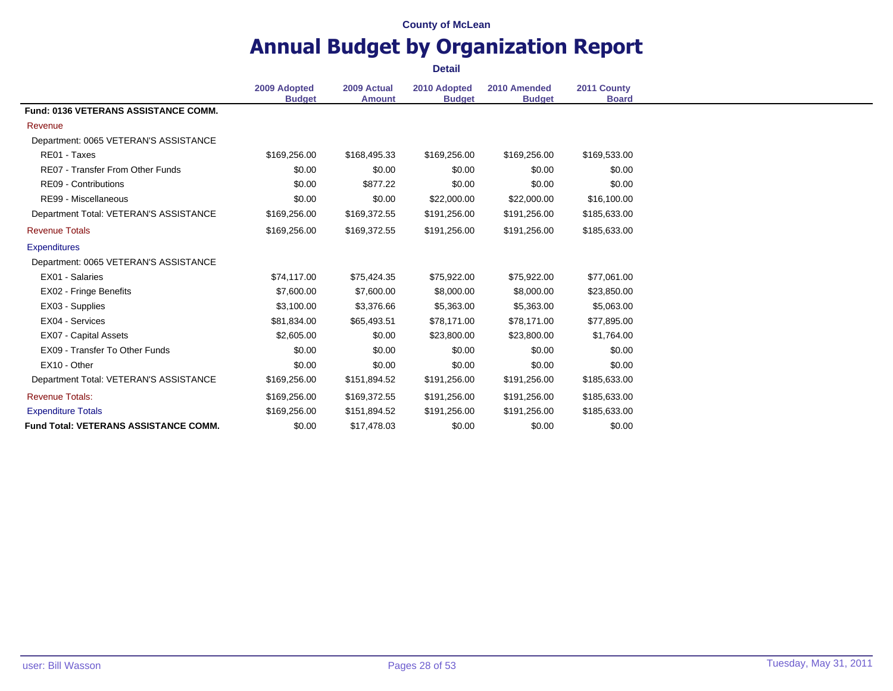### **Annual Budget by Organization Report Detail**

**2009 Adopted Budget 2009 Actual Amount 2010 Adopted Budget 2010 Amended Budget 2011 County Board Fund: 0136 VETERANS ASSISTANCE COMM.** Revenue Department: 0065 VETERAN'S ASSISTANCE RE01 - Taxes \$169,256.00 \$168,495.33 \$169,256.00 \$169,256.00 \$169,533.00 RE07 - Transfer From Other Funds \$0.00 \$0.00 \$0.00 \$0.00 \$0.00 \$0.00 \$0.00 \$0.00 \$0.00 \$0.00 RE09 - Contributions 60.00 \$0.00 \$0.00 \$0.00 \$0.00 \$0.00 \$0.00 \$0.00 \$0.00 \$0.00 RE99 - Miscellaneous **\$22,000.00** \$16,100.00 \$22,000.00 \$22,000.00 \$16,100.00 \$16,100.00 Department Total: VETERAN'S ASSISTANCE \$169,256.00 \$169,372.55 \$191,256.00 \$191,256.00 \$185,633.00 Revenue Totals \$169,256.00 \$169,372.55 \$191,256.00 \$191,256.00 \$185,633.00 **Expenditures** Department: 0065 VETERAN'S ASSISTANCE EX01 - Salaries \$74,117.00 \$75,424.35 \$75,922.00 \$75,922.00 \$77,061.00 EX02 - Fringe Benefits **57,600.00** \$7,600.00 \$8,000.00 \$8,000.00 \$8,000.00 \$23,850.00 EX03 - Supplies 65,063.00 \$3,100.00 \$3,376.66 \$5,363.00 \$5,363.00 \$5,063.00 EX04 - Services **\$81,834.00** \$81,834.00 \$65,493.51 \$78,171.00 \$78,171.00 \$77,895.00 EX07 - Capital Assets **62,600 52,605.00** \$0.00 \$23,800.00 \$23,800.00 \$1,764.00 EX09 - Transfer To Other Funds \$0.00 \$0.00 \$0.00 \$0.00 \$0.00 \$0.00 \$0.00 \$0.00 \$0.00 \$0.00 EX10 - Other \$0.00 \$0.00 \$0.00 \$0.00 \$0.00 Department Total: VETERAN'S ASSISTANCE \$169,256.00 \$151,894.52 \$191,256.00 \$191,256.00 \$185,633.00 Revenue Totals: \$169,256.00 \$169,372.55 \$191,256.00 \$191,256.00 \$185,633.00 Expenditure Totals \$169,256.00 \$151,894.52 \$191,256.00 \$191,256.00 \$185,633.00 **Fund Total: VETERANS ASSISTANCE COMM.**  $$0.00$   $$17.478.03$   $$0.00$   $$0.00$   $$0.00$   $$0.00$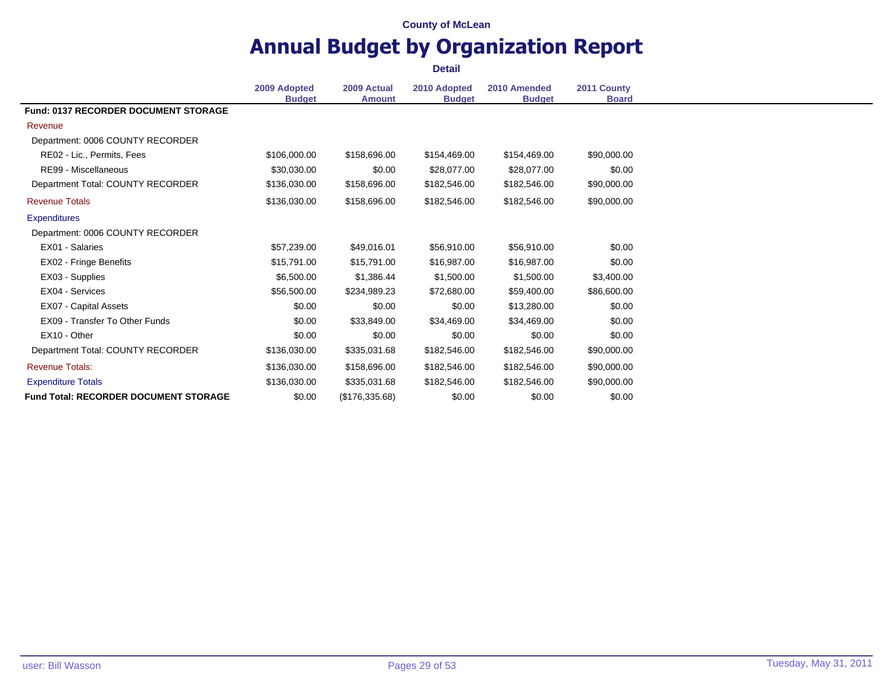# **Annual Budget by Organization Report**

|                                              | 2009 Adopted<br><b>Budget</b> | 2009 Actual<br><b>Amount</b> | 2010 Adopted<br><b>Budget</b> | 2010 Amended<br><b>Budget</b> | 2011 County<br><b>Board</b> |
|----------------------------------------------|-------------------------------|------------------------------|-------------------------------|-------------------------------|-----------------------------|
| <b>Fund: 0137 RECORDER DOCUMENT STORAGE</b>  |                               |                              |                               |                               |                             |
| Revenue                                      |                               |                              |                               |                               |                             |
| Department: 0006 COUNTY RECORDER             |                               |                              |                               |                               |                             |
| RE02 - Lic., Permits, Fees                   | \$106,000.00                  | \$158,696.00                 | \$154,469.00                  | \$154,469.00                  | \$90,000.00                 |
| RE99 - Miscellaneous                         | \$30,030.00                   | \$0.00                       | \$28,077.00                   | \$28,077.00                   | \$0.00                      |
| Department Total: COUNTY RECORDER            | \$136,030.00                  | \$158,696.00                 | \$182,546.00                  | \$182,546.00                  | \$90,000.00                 |
| <b>Revenue Totals</b>                        | \$136,030.00                  | \$158,696.00                 | \$182,546.00                  | \$182,546.00                  | \$90,000.00                 |
| <b>Expenditures</b>                          |                               |                              |                               |                               |                             |
| Department: 0006 COUNTY RECORDER             |                               |                              |                               |                               |                             |
| EX01 - Salaries                              | \$57,239.00                   | \$49,016.01                  | \$56,910.00                   | \$56,910.00                   | \$0.00                      |
| EX02 - Fringe Benefits                       | \$15,791.00                   | \$15,791.00                  | \$16,987.00                   | \$16,987.00                   | \$0.00                      |
| EX03 - Supplies                              | \$6,500.00                    | \$1,386.44                   | \$1,500.00                    | \$1,500.00                    | \$3,400.00                  |
| EX04 - Services                              | \$56,500.00                   | \$234,989.23                 | \$72,680.00                   | \$59,400.00                   | \$86,600.00                 |
| EX07 - Capital Assets                        | \$0.00                        | \$0.00                       | \$0.00                        | \$13,280.00                   | \$0.00                      |
| EX09 - Transfer To Other Funds               | \$0.00                        | \$33,849.00                  | \$34,469.00                   | \$34,469.00                   | \$0.00                      |
| EX10 - Other                                 | \$0.00                        | \$0.00                       | \$0.00                        | \$0.00                        | \$0.00                      |
| Department Total: COUNTY RECORDER            | \$136,030.00                  | \$335,031.68                 | \$182,546.00                  | \$182,546.00                  | \$90,000.00                 |
| <b>Revenue Totals:</b>                       | \$136,030.00                  | \$158,696.00                 | \$182,546.00                  | \$182,546.00                  | \$90,000.00                 |
| <b>Expenditure Totals</b>                    | \$136,030.00                  | \$335,031.68                 | \$182,546.00                  | \$182,546.00                  | \$90,000.00                 |
| <b>Fund Total: RECORDER DOCUMENT STORAGE</b> | \$0.00                        | (\$176,335.68)               | \$0.00                        | \$0.00                        | \$0.00                      |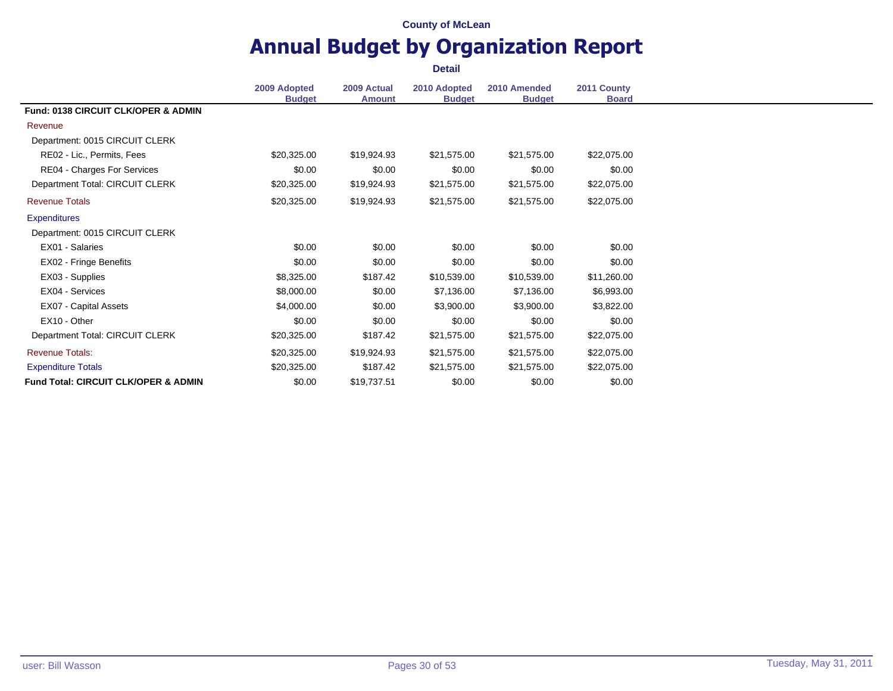# **Annual Budget by Organization Report**

|                                                 | 2009 Adopted<br><b>Budget</b> | 2009 Actual<br><b>Amount</b> | 2010 Adopted<br><b>Budget</b> | 2010 Amended<br><b>Budget</b> | 2011 County<br><b>Board</b> |
|-------------------------------------------------|-------------------------------|------------------------------|-------------------------------|-------------------------------|-----------------------------|
| <b>Fund: 0138 CIRCUIT CLK/OPER &amp; ADMIN</b>  |                               |                              |                               |                               |                             |
| Revenue                                         |                               |                              |                               |                               |                             |
| Department: 0015 CIRCUIT CLERK                  |                               |                              |                               |                               |                             |
| RE02 - Lic., Permits, Fees                      | \$20,325.00                   | \$19,924.93                  | \$21,575.00                   | \$21,575.00                   | \$22,075.00                 |
| RE04 - Charges For Services                     | \$0.00                        | \$0.00                       | \$0.00                        | \$0.00                        | \$0.00                      |
| Department Total: CIRCUIT CLERK                 | \$20,325.00                   | \$19,924.93                  | \$21,575.00                   | \$21,575.00                   | \$22,075.00                 |
| <b>Revenue Totals</b>                           | \$20,325.00                   | \$19,924.93                  | \$21,575.00                   | \$21,575.00                   | \$22,075.00                 |
| <b>Expenditures</b>                             |                               |                              |                               |                               |                             |
| Department: 0015 CIRCUIT CLERK                  |                               |                              |                               |                               |                             |
| EX01 - Salaries                                 | \$0.00                        | \$0.00                       | \$0.00                        | \$0.00                        | \$0.00                      |
| EX02 - Fringe Benefits                          | \$0.00                        | \$0.00                       | \$0.00                        | \$0.00                        | \$0.00                      |
| EX03 - Supplies                                 | \$8,325.00                    | \$187.42                     | \$10,539.00                   | \$10,539.00                   | \$11,260.00                 |
| EX04 - Services                                 | \$8,000.00                    | \$0.00                       | \$7,136.00                    | \$7,136.00                    | \$6,993.00                  |
| EX07 - Capital Assets                           | \$4,000.00                    | \$0.00                       | \$3,900.00                    | \$3,900.00                    | \$3,822.00                  |
| EX10 - Other                                    | \$0.00                        | \$0.00                       | \$0.00                        | \$0.00                        | \$0.00                      |
| Department Total: CIRCUIT CLERK                 | \$20,325.00                   | \$187.42                     | \$21,575.00                   | \$21,575.00                   | \$22,075.00                 |
| <b>Revenue Totals:</b>                          | \$20,325.00                   | \$19,924.93                  | \$21,575.00                   | \$21,575.00                   | \$22,075.00                 |
| <b>Expenditure Totals</b>                       | \$20,325.00                   | \$187.42                     | \$21,575.00                   | \$21,575.00                   | \$22,075.00                 |
| <b>Fund Total: CIRCUIT CLK/OPER &amp; ADMIN</b> | \$0.00                        | \$19,737.51                  | \$0.00                        | \$0.00                        | \$0.00                      |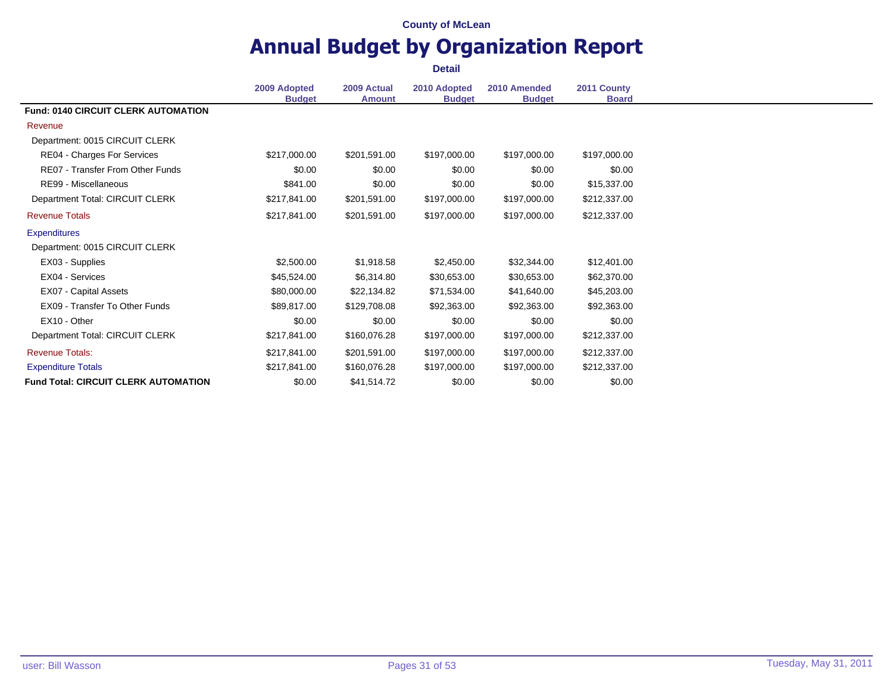# **Annual Budget by Organization Report**

|                                             | 2009 Adopted<br><b>Budget</b> | 2009 Actual<br><b>Amount</b> | 2010 Adopted<br><b>Budget</b> | 2010 Amended<br><b>Budget</b> | 2011 County<br><b>Board</b> |
|---------------------------------------------|-------------------------------|------------------------------|-------------------------------|-------------------------------|-----------------------------|
| <b>Fund: 0140 CIRCUIT CLERK AUTOMATION</b>  |                               |                              |                               |                               |                             |
| Revenue                                     |                               |                              |                               |                               |                             |
| Department: 0015 CIRCUIT CLERK              |                               |                              |                               |                               |                             |
| RE04 - Charges For Services                 | \$217,000.00                  | \$201,591.00                 | \$197,000.00                  | \$197,000.00                  | \$197,000.00                |
| RE07 - Transfer From Other Funds            | \$0.00                        | \$0.00                       | \$0.00                        | \$0.00                        | \$0.00                      |
| RE99 - Miscellaneous                        | \$841.00                      | \$0.00                       | \$0.00                        | \$0.00                        | \$15,337.00                 |
| Department Total: CIRCUIT CLERK             | \$217,841.00                  | \$201,591.00                 | \$197,000.00                  | \$197,000.00                  | \$212,337.00                |
| <b>Revenue Totals</b>                       | \$217,841.00                  | \$201,591.00                 | \$197,000.00                  | \$197,000.00                  | \$212,337.00                |
| <b>Expenditures</b>                         |                               |                              |                               |                               |                             |
| Department: 0015 CIRCUIT CLERK              |                               |                              |                               |                               |                             |
| EX03 - Supplies                             | \$2,500.00                    | \$1,918.58                   | \$2,450.00                    | \$32,344.00                   | \$12,401.00                 |
| EX04 - Services                             | \$45,524.00                   | \$6,314.80                   | \$30,653.00                   | \$30,653.00                   | \$62,370.00                 |
| EX07 - Capital Assets                       | \$80,000.00                   | \$22,134.82                  | \$71,534.00                   | \$41,640.00                   | \$45,203.00                 |
| <b>EX09 - Transfer To Other Funds</b>       | \$89,817.00                   | \$129,708.08                 | \$92,363.00                   | \$92,363.00                   | \$92,363.00                 |
| EX10 - Other                                | \$0.00                        | \$0.00                       | \$0.00                        | \$0.00                        | \$0.00                      |
| Department Total: CIRCUIT CLERK             | \$217,841.00                  | \$160,076.28                 | \$197,000.00                  | \$197,000.00                  | \$212,337.00                |
| <b>Revenue Totals:</b>                      | \$217,841.00                  | \$201,591.00                 | \$197,000.00                  | \$197,000.00                  | \$212,337.00                |
| <b>Expenditure Totals</b>                   | \$217,841.00                  | \$160,076.28                 | \$197,000.00                  | \$197,000.00                  | \$212,337.00                |
| <b>Fund Total: CIRCUIT CLERK AUTOMATION</b> | \$0.00                        | \$41,514.72                  | \$0.00                        | \$0.00                        | \$0.00                      |
|                                             |                               |                              |                               |                               |                             |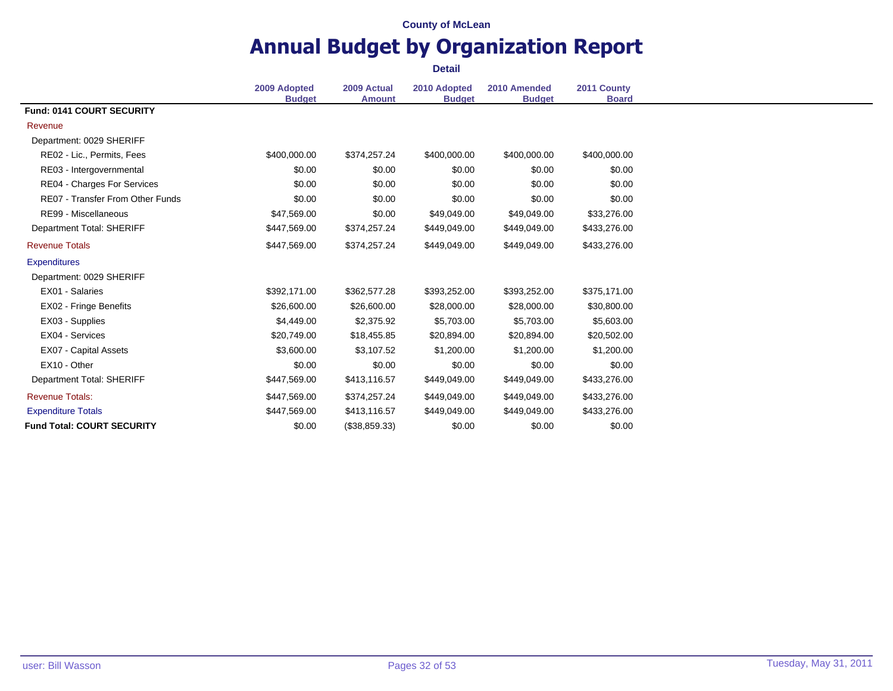### **Annual Budget by Organization Report Detail**

**2009 Adopted Budget 2009 Actual Amount 2010 Adopted Budget 2010 Amended Budget 2011 County Board Fund: 0141 COURT SECURITY** Revenue Department: 0029 SHERIFF RE02 - Lic., Permits, Fees  $$400,000.00$   $$374,257.24$   $$400,000.00$   $$400,000.00$   $$400,000.00$   $$400,000.00$ RE03 - Intergovernmental 1 1 1 200 \$0.00 \$0.00 \$0.00 \$0.00 \$0.00 \$0.00 \$0.00 \$0.00 RE04 - Charges For Services 60.00 \$0.00 \$0.00 \$0.00 \$0.00 \$0.00 \$0.00 \$0.00 \$0.00 RE07 - Transfer From Other Funds \$0.00 \$0.00 \$0.00 \$0.00 \$0.00 \$0.00 \$0.00 \$0.00 \$0.00 \$0.00 RE99 - Miscellaneous **547,569.00** \$47,569.00 \$0.00 \$49,049.00 \$49,049.00 \$33,276.00 Department Total: SHERIFF \$447,569.00 \$374,257.24 \$449,049.00 \$449,049.00 \$433,276.00 Revenue Totals \$447,569.00 \$374,257.24 \$449,049.00 \$449,049.00 \$433,276.00 **Expenditures** Department: 0029 SHERIFF EX01 - Salaries \$392,171.00 \$362,577.28 \$393,252.00 \$393,252.00 \$375,171.00 EX02 - Fringe Benefits **\$26,600.00** \$26,600.00 \$26,600.00 \$28,000.00 \$30,800.00 \$30,800.00 EX03 - Supplies \$4,449.00 \$2,375.92 \$5,703.00 \$5,703.00 \$5,603.00 EX04 - Services \$20,749.00 \$18,455.85 \$20,894.00 \$20,894.00 \$20,502.00 EX07 - Capital Assets 61,200.00 \$3,600.00 \$1,200.00 \$1,200.00 \$1,200.00 \$1,200.00 EX10 - Other \$0.00 \$0.00 \$0.00 \$0.00 \$0.00 Department Total: SHERIFF \$447,569.00 \$413,116.57 \$449,049.00 \$449,049.00 \$433,276.00 Revenue Totals: \$447,569.00 \$374,257.24 \$449,049.00 \$449,049.00 \$433,276.00 Expenditure Totals **\$447,569.00** \$447,569.00 \$413,116.57 \$449,049.00 \$449,049.00 \$433,276.00 **Fund Total: COURT SECURITY**  $$0.00$   $$38,859.33$   $$0.00$   $$0.00$   $$0.00$   $$0.00$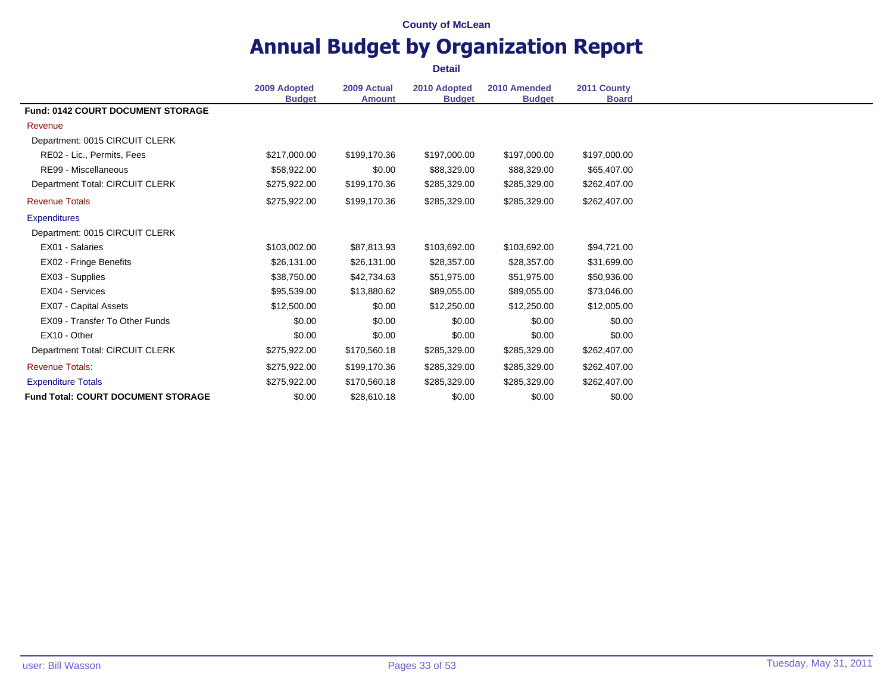# **Annual Budget by Organization Report**

|                                           | 2009 Adopted<br><b>Budget</b> | 2009 Actual<br><b>Amount</b> | 2010 Adopted<br><b>Budget</b> | 2010 Amended<br><b>Budget</b> | 2011 County<br><b>Board</b> |
|-------------------------------------------|-------------------------------|------------------------------|-------------------------------|-------------------------------|-----------------------------|
| <b>Fund: 0142 COURT DOCUMENT STORAGE</b>  |                               |                              |                               |                               |                             |
| Revenue                                   |                               |                              |                               |                               |                             |
| Department: 0015 CIRCUIT CLERK            |                               |                              |                               |                               |                             |
| RE02 - Lic., Permits, Fees                | \$217,000.00                  | \$199,170.36                 | \$197,000.00                  | \$197,000.00                  | \$197,000.00                |
| RE99 - Miscellaneous                      | \$58,922.00                   | \$0.00                       | \$88,329.00                   | \$88,329.00                   | \$65,407.00                 |
| Department Total: CIRCUIT CLERK           | \$275,922.00                  | \$199,170.36                 | \$285,329.00                  | \$285,329.00                  | \$262,407.00                |
| <b>Revenue Totals</b>                     | \$275,922.00                  | \$199,170.36                 | \$285,329.00                  | \$285,329.00                  | \$262,407.00                |
| <b>Expenditures</b>                       |                               |                              |                               |                               |                             |
| Department: 0015 CIRCUIT CLERK            |                               |                              |                               |                               |                             |
| EX01 - Salaries                           | \$103,002.00                  | \$87,813.93                  | \$103,692.00                  | \$103,692.00                  | \$94,721.00                 |
| EX02 - Fringe Benefits                    | \$26,131.00                   | \$26,131.00                  | \$28,357.00                   | \$28,357.00                   | \$31,699.00                 |
| EX03 - Supplies                           | \$38,750.00                   | \$42,734.63                  | \$51,975.00                   | \$51,975.00                   | \$50,936.00                 |
| EX04 - Services                           | \$95,539.00                   | \$13,880.62                  | \$89,055.00                   | \$89,055.00                   | \$73,046.00                 |
| EX07 - Capital Assets                     | \$12,500.00                   | \$0.00                       | \$12,250.00                   | \$12,250.00                   | \$12,005.00                 |
| EX09 - Transfer To Other Funds            | \$0.00                        | \$0.00                       | \$0.00                        | \$0.00                        | \$0.00                      |
| EX10 - Other                              | \$0.00                        | \$0.00                       | \$0.00                        | \$0.00                        | \$0.00                      |
| Department Total: CIRCUIT CLERK           | \$275,922.00                  | \$170,560.18                 | \$285,329.00                  | \$285,329.00                  | \$262,407.00                |
| <b>Revenue Totals:</b>                    | \$275,922.00                  | \$199,170.36                 | \$285,329.00                  | \$285,329.00                  | \$262,407.00                |
| <b>Expenditure Totals</b>                 | \$275,922.00                  | \$170,560.18                 | \$285,329.00                  | \$285,329.00                  | \$262,407.00                |
| <b>Fund Total: COURT DOCUMENT STORAGE</b> | \$0.00                        | \$28,610.18                  | \$0.00                        | \$0.00                        | \$0.00                      |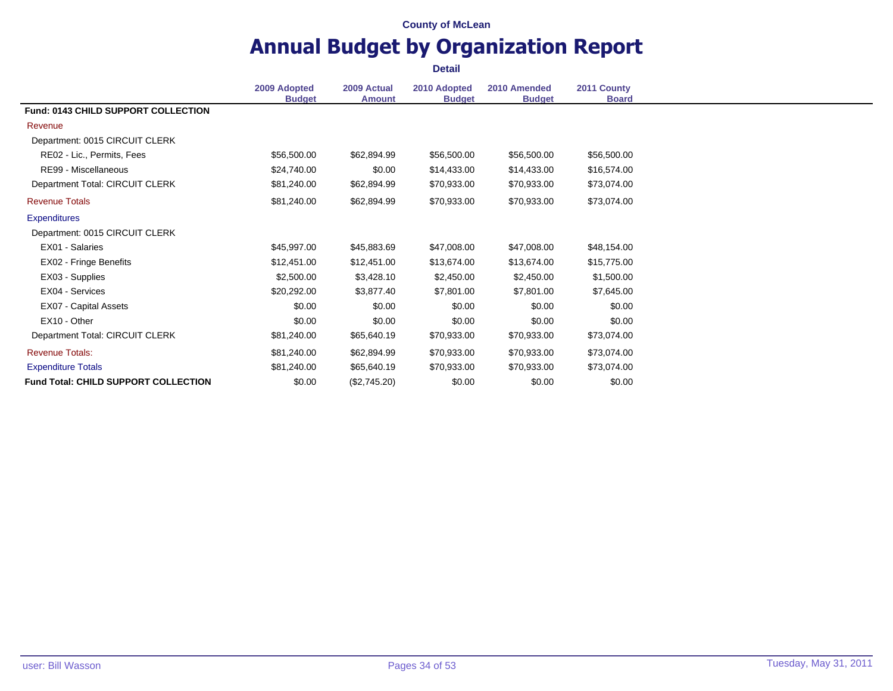# **Annual Budget by Organization Report**

|                                             | 2009 Adopted<br><b>Budget</b> | 2009 Actual<br><b>Amount</b> | 2010 Adopted<br><b>Budget</b> | 2010 Amended<br><b>Budget</b> | 2011 County<br><b>Board</b> |
|---------------------------------------------|-------------------------------|------------------------------|-------------------------------|-------------------------------|-----------------------------|
| Fund: 0143 CHILD SUPPORT COLLECTION         |                               |                              |                               |                               |                             |
| Revenue                                     |                               |                              |                               |                               |                             |
| Department: 0015 CIRCUIT CLERK              |                               |                              |                               |                               |                             |
| RE02 - Lic., Permits, Fees                  | \$56,500.00                   | \$62,894.99                  | \$56,500.00                   | \$56,500.00                   | \$56,500.00                 |
| RE99 - Miscellaneous                        | \$24,740.00                   | \$0.00                       | \$14,433.00                   | \$14,433.00                   | \$16,574.00                 |
| Department Total: CIRCUIT CLERK             | \$81,240.00                   | \$62,894.99                  | \$70,933.00                   | \$70,933.00                   | \$73,074.00                 |
| <b>Revenue Totals</b>                       | \$81,240.00                   | \$62,894.99                  | \$70,933.00                   | \$70,933.00                   | \$73,074.00                 |
| <b>Expenditures</b>                         |                               |                              |                               |                               |                             |
| Department: 0015 CIRCUIT CLERK              |                               |                              |                               |                               |                             |
| EX01 - Salaries                             | \$45,997.00                   | \$45,883.69                  | \$47,008.00                   | \$47,008.00                   | \$48,154.00                 |
| EX02 - Fringe Benefits                      | \$12,451.00                   | \$12,451.00                  | \$13,674.00                   | \$13,674.00                   | \$15,775.00                 |
| EX03 - Supplies                             | \$2,500.00                    | \$3,428.10                   | \$2,450.00                    | \$2,450.00                    | \$1,500.00                  |
| EX04 - Services                             | \$20,292.00                   | \$3,877.40                   | \$7,801.00                    | \$7,801.00                    | \$7,645.00                  |
| EX07 - Capital Assets                       | \$0.00                        | \$0.00                       | \$0.00                        | \$0.00                        | \$0.00                      |
| EX10 - Other                                | \$0.00                        | \$0.00                       | \$0.00                        | \$0.00                        | \$0.00                      |
| Department Total: CIRCUIT CLERK             | \$81,240.00                   | \$65,640.19                  | \$70,933.00                   | \$70,933.00                   | \$73,074.00                 |
| <b>Revenue Totals:</b>                      | \$81,240.00                   | \$62,894.99                  | \$70,933.00                   | \$70,933.00                   | \$73,074.00                 |
| <b>Expenditure Totals</b>                   | \$81,240.00                   | \$65,640.19                  | \$70,933.00                   | \$70,933.00                   | \$73,074.00                 |
| <b>Fund Total: CHILD SUPPORT COLLECTION</b> | \$0.00                        | (\$2,745.20)                 | \$0.00                        | \$0.00                        | \$0.00                      |
|                                             |                               |                              |                               |                               |                             |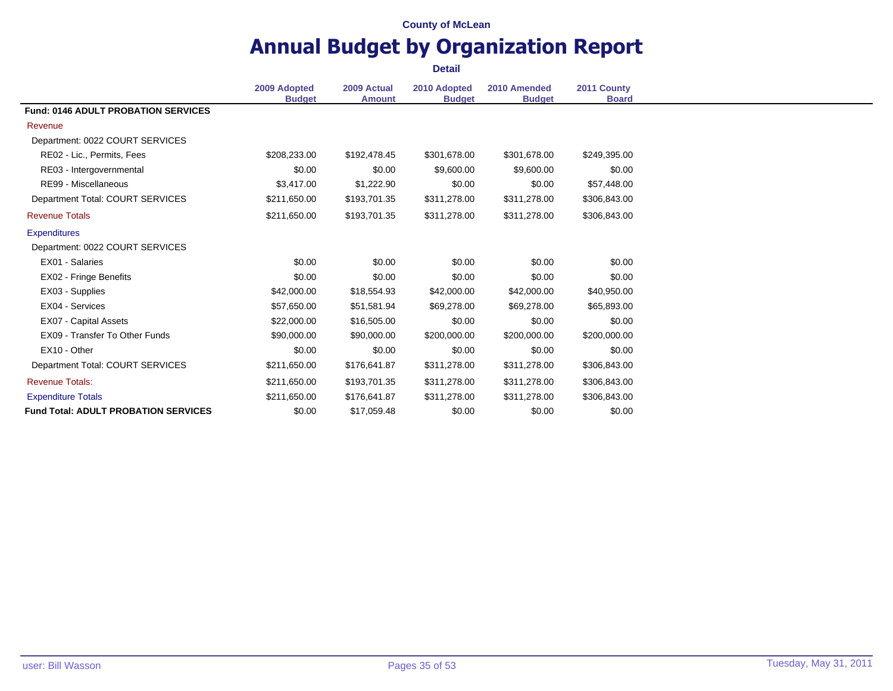### **Annual Budget by Organization Report Detail**

**2009 Adopted Budget 2009 Actual Amount 2010 Adopted Budget 2010 Amended Budget 2011 County Board Fund: 0146 ADULT PROBATION SERVICES** Revenue Department: 0022 COURT SERVICES RE02 - Lic., Permits, Fees 6249,395.00 \$208,233.00 \$192,478.45 \$301,678.00 \$301,678.00 \$249,395.00 RE03 - Intergovernmental 1 1 1 200 \$0.00 \$0.00 \$9,600.00 \$9,600.00 \$9,600.00 \$0.00 RE99 - Miscellaneous **53,417.00** \$1,222.90 \$0.00 \$0.00 \$57,448.00 Department Total: COURT SERVICES \$211,650.00 \$193,701.35 \$311,278.00 \$311,278.00 \$306,843.00 Revenue Totals \$211,650.00 \$193,701.35 \$311,278.00 \$311,278.00 \$306,843.00 **Expenditures** Department: 0022 COURT SERVICES EX01 - Salaries \$0.00 \$0.00 \$0.00 \$0.00 \$0.00 EX02 - Fringe Benefits **\$0.00** \$0.00 \$0.00 \$0.00 \$0.00 \$0.00 \$0.00 \$0.00 EX03 - Supplies \$42,000.00 \$18,554.93 \$42,000.00 \$42,000.00 \$40,950.00 EX04 - Services 65,893.00 \$57,650.00 \$51,581.94 \$69,278.00 \$69,278.00 \$65,893.00 EX07 - Capital Assets 60.00 \$22,000.00 \$16,505.00 \$0.00 \$0.00 \$0.00 \$0.00 EX09 - Transfer To Other Funds  $$90,000.00$  \$90,000.00 \$200,000.00 \$200,000.00 \$200,000.00 EX10 - Other \$0.00 \$0.00 \$0.00 \$0.00 \$0.00 Department Total: COURT SERVICES \$211,650.00 \$176,641.87 \$311,278.00 \$311,278.00 \$306,843.00 Revenue Totals: \$211,650.00 \$193,701.35 \$311,278.00 \$311,278.00 \$306,843.00 Expenditure Totals \$211,650.00 \$176,641.87 \$311,278.00 \$311,278.00 \$306,843.00 **Fund Total: ADULT PROBATION SERVICES** \$0.00 \$17,059.48 \$0.00 \$0.00 \$0.00 \$0.00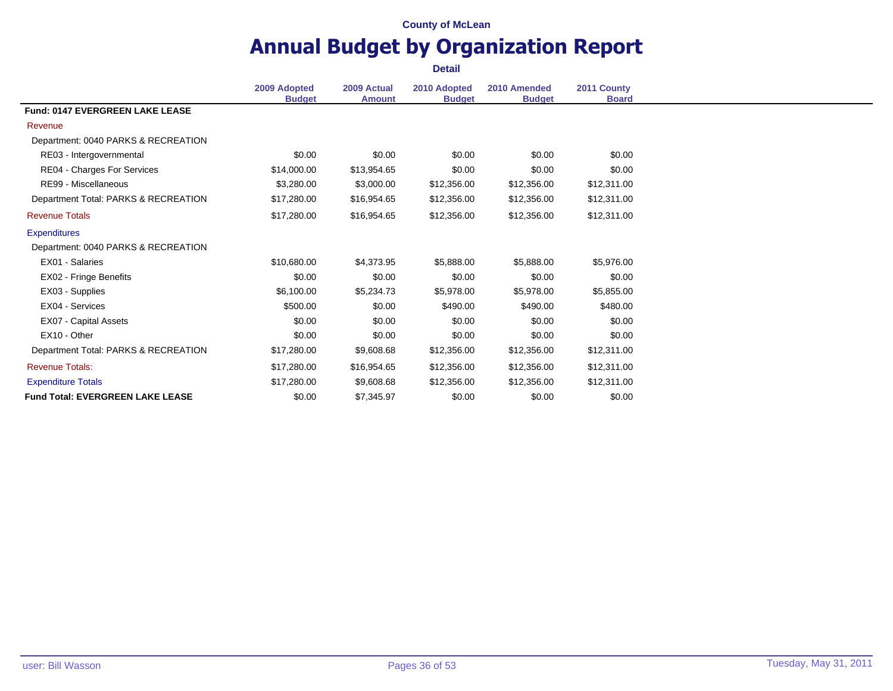### **Annual Budget by Organization Report Detail**

**2009 Adopted Budget 2009 Actual Amount 2010 Adopted Budget 2010 Amended Budget 2011 County Board Fund: 0147 EVERGREEN LAKE LEASE** Revenue Department: 0040 PARKS & RECREATION RE03 - Intergovernmental 1 1 1 200 \$0.00 \$0.00 \$0.00 \$0.00 \$0.00 \$0.00 \$0.00 \$0.00 RE04 - Charges For Services 60.00 \$14,000.00 \$13,954.65 \$0.00 \$0.00 \$0.00 \$0.00 RE99 - Miscellaneous **63,280.00** \$3,280.00 \$12,356.00 \$12,356.00 \$12,356.00 \$12,311.00 Department Total: PARKS & RECREATION \$17,280.00 \$16,954.65 \$12,356.00 \$12,356.00 \$12,311.00 Revenue Totals \$17,280.00 \$16,954.65 \$12,356.00 \$12,356.00 \$12,311.00 **Expenditures** Department: 0040 PARKS & RECREATION EX01 - Salaries \$10,680.00 \$4,373.95 \$5,888.00 \$5,888.00 \$5,976.00 EX02 - Fringe Benefits **60.00** \$0.00 \$0.00 \$0.00 \$0.00 \$0.00 \$0.00 \$0.00 EX03 - Supplies \$6,100.00 \$5,234.73 \$5,978.00 \$5,978.00 \$5,855.00 EX04 - Services \$500.00 \$0.00 \$490.00 \$490.00 \$480.00 EX07 - Capital Assets 60.00 \$0.00 \$0.00 \$0.00 \$0.00 \$0.00 \$0.00 \$0.00 \$0.00 EX10 - Other \$0.00 \$0.00 \$0.00 \$0.00 \$0.00 Department Total: PARKS & RECREATION \$17,280.00 \$9,608.68 \$12,356.00 \$12,356.00 \$12,311.00 Revenue Totals: \$17,280.00 \$16,954.65 \$12,356.00 \$12,356.00 \$12,311.00 Expenditure Totals \$17,280.00 \$9,608.68 \$12,356.00 \$12,356.00 \$12,311.00 **Fund Total: EVERGREEN LAKE LEASE** \$0.00 \$7.345.97 \$0.00 \$0.00 \$0.00 \$0.00 \$0.00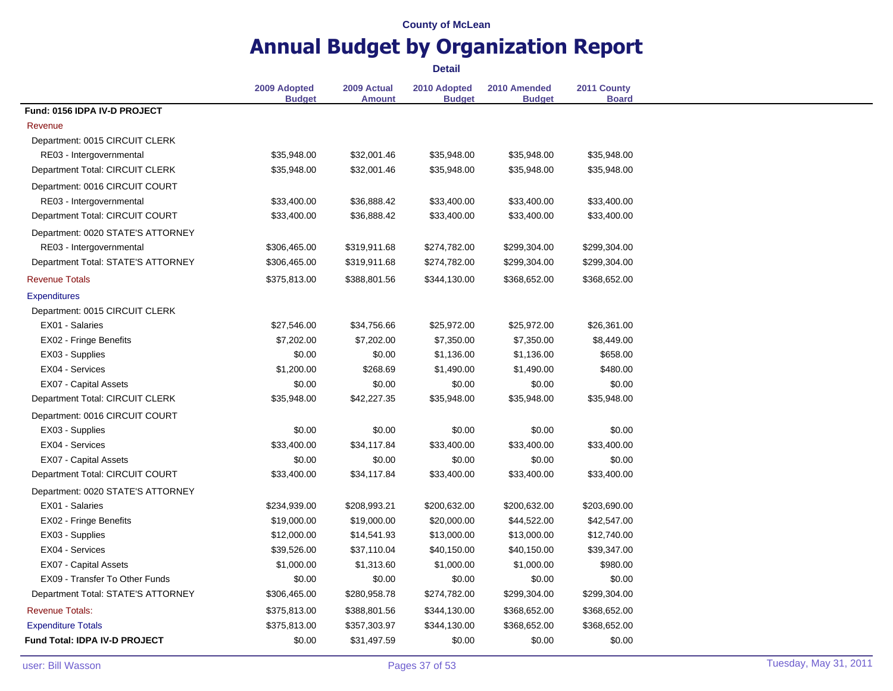# **Annual Budget by Organization Report**

|                                    | 2009 Adopted<br><b>Budget</b> | 2009 Actual<br><b>Amount</b> | 2010 Adopted<br><b>Budget</b> | 2010 Amended<br><b>Budget</b> | 2011 County<br><b>Board</b> |
|------------------------------------|-------------------------------|------------------------------|-------------------------------|-------------------------------|-----------------------------|
| Fund: 0156 IDPA IV-D PROJECT       |                               |                              |                               |                               |                             |
| Revenue                            |                               |                              |                               |                               |                             |
| Department: 0015 CIRCUIT CLERK     |                               |                              |                               |                               |                             |
| RE03 - Intergovernmental           | \$35,948.00                   | \$32,001.46                  | \$35,948.00                   | \$35,948.00                   | \$35,948.00                 |
| Department Total: CIRCUIT CLERK    | \$35,948.00                   | \$32,001.46                  | \$35,948.00                   | \$35,948.00                   | \$35,948.00                 |
| Department: 0016 CIRCUIT COURT     |                               |                              |                               |                               |                             |
| RE03 - Intergovernmental           | \$33,400.00                   | \$36,888.42                  | \$33,400.00                   | \$33,400.00                   | \$33,400.00                 |
| Department Total: CIRCUIT COURT    | \$33,400.00                   | \$36,888.42                  | \$33,400.00                   | \$33,400.00                   | \$33,400.00                 |
| Department: 0020 STATE'S ATTORNEY  |                               |                              |                               |                               |                             |
| RE03 - Intergovernmental           | \$306,465.00                  | \$319,911.68                 | \$274,782.00                  | \$299,304.00                  | \$299,304.00                |
| Department Total: STATE'S ATTORNEY | \$306,465.00                  | \$319,911.68                 | \$274,782.00                  | \$299,304.00                  | \$299,304.00                |
| <b>Revenue Totals</b>              | \$375,813.00                  | \$388,801.56                 | \$344,130.00                  | \$368,652.00                  | \$368,652.00                |
| <b>Expenditures</b>                |                               |                              |                               |                               |                             |
| Department: 0015 CIRCUIT CLERK     |                               |                              |                               |                               |                             |
| EX01 - Salaries                    | \$27,546.00                   | \$34,756.66                  | \$25,972.00                   | \$25,972.00                   | \$26,361.00                 |
| EX02 - Fringe Benefits             | \$7,202.00                    | \$7,202.00                   | \$7,350.00                    | \$7,350.00                    | \$8,449.00                  |
| EX03 - Supplies                    | \$0.00                        | \$0.00                       | \$1,136.00                    | \$1,136.00                    | \$658.00                    |
| EX04 - Services                    | \$1,200.00                    | \$268.69                     | \$1,490.00                    | \$1,490.00                    | \$480.00                    |
| <b>EX07 - Capital Assets</b>       | \$0.00                        | \$0.00                       | \$0.00                        | \$0.00                        | \$0.00                      |
| Department Total: CIRCUIT CLERK    | \$35,948.00                   | \$42,227.35                  | \$35,948.00                   | \$35,948.00                   | \$35,948.00                 |
| Department: 0016 CIRCUIT COURT     |                               |                              |                               |                               |                             |
| EX03 - Supplies                    | \$0.00                        | \$0.00                       | \$0.00                        | \$0.00                        | \$0.00                      |
| EX04 - Services                    | \$33,400.00                   | \$34,117.84                  | \$33,400.00                   | \$33,400.00                   | \$33,400.00                 |
| EX07 - Capital Assets              | \$0.00                        | \$0.00                       | \$0.00                        | \$0.00                        | \$0.00                      |
| Department Total: CIRCUIT COURT    | \$33,400.00                   | \$34,117.84                  | \$33,400.00                   | \$33,400.00                   | \$33,400.00                 |
| Department: 0020 STATE'S ATTORNEY  |                               |                              |                               |                               |                             |
| EX01 - Salaries                    | \$234,939.00                  | \$208,993.21                 | \$200,632.00                  | \$200,632.00                  | \$203,690.00                |
| EX02 - Fringe Benefits             | \$19,000.00                   | \$19,000.00                  | \$20,000.00                   | \$44,522.00                   | \$42,547.00                 |
| EX03 - Supplies                    | \$12,000.00                   | \$14,541.93                  | \$13,000.00                   | \$13,000.00                   | \$12,740.00                 |
| EX04 - Services                    | \$39,526.00                   | \$37,110.04                  | \$40,150.00                   | \$40,150.00                   | \$39,347.00                 |
| <b>EX07 - Capital Assets</b>       | \$1,000.00                    | \$1,313.60                   | \$1,000.00                    | \$1,000.00                    | \$980.00                    |
| EX09 - Transfer To Other Funds     | \$0.00                        | \$0.00                       | \$0.00                        | \$0.00                        | \$0.00                      |
| Department Total: STATE'S ATTORNEY | \$306,465.00                  | \$280,958.78                 | \$274,782.00                  | \$299,304.00                  | \$299,304.00                |
| <b>Revenue Totals:</b>             | \$375,813.00                  | \$388,801.56                 | \$344,130.00                  | \$368,652.00                  | \$368,652.00                |
| <b>Expenditure Totals</b>          | \$375,813.00                  | \$357,303.97                 | \$344,130.00                  | \$368,652.00                  | \$368,652.00                |
| Fund Total: IDPA IV-D PROJECT      | \$0.00                        | \$31,497.59                  | \$0.00                        | \$0.00                        | \$0.00                      |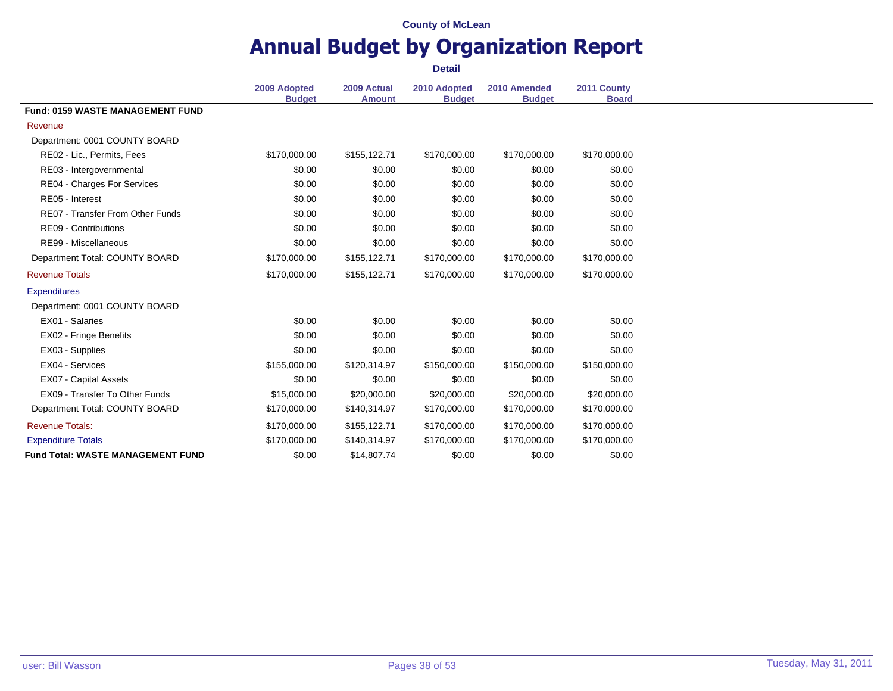### **Annual Budget by Organization Report Detail**

**2009 Adopted Budget 2009 Actual Amount 2010 Adopted Budget 2010 Amended Budget 2011 County Board Fund: 0159 WASTE MANAGEMENT FUND** Revenue Department: 0001 COUNTY BOARD RE02 - Lic., Permits, Fees  $$170,000.00$   $$155,122.71$   $$170,000.00$   $$170,000.00$   $$170,000.00$ RE03 - Intergovernmental 1 1 1 200 \$0.00 \$0.00 \$0.00 \$0.00 \$0.00 \$0.00 \$0.00 \$0.00 RE04 - Charges For Services 60.00 \$0.00 \$0.00 \$0.00 \$0.00 \$0.00 \$0.00 \$0.00 \$0.00 RE05 - Interest \$0.00 \$0.00 \$0.00 \$0.00 \$0.00 RE07 - Transfer From Other Funds \$0.00 \$0.00 \$0.00 \$0.00 \$0.00 \$0.00 \$0.00 \$0.00 \$0.00 \$0.00 \$ RE09 - Contributions 60.00 \$0.00 \$0.00 \$0.00 \$0.00 \$0.00 \$0.00 \$0.00 \$0.00 \$0.00 \$0.00 \$0.00 \$0.00 \$0.00 \$0.00 RE99 - Miscellaneous 60.00 \$0.00 \$0.00 \$0.00 \$0.00 \$0.00 \$0.00 \$0.00 \$0.00 Department Total: COUNTY BOARD \$170,000.00 \$155,122.71 \$170,000.00 \$170,000.00 \$170,000.00 Revenue Totals \$170,000.00 \$155,122.71 \$170,000.00 \$170,000.00 \$170,000.00 **Expenditures** Department: 0001 COUNTY BOARD EX01 - Salaries \$0.00 \$0.00 \$0.00 \$0.00 \$0.00 EX02 - Fringe Benefits **60.00** \$0.00 \$0.00 \$0.00 \$0.00 \$0.00 \$0.00 \$0.00 EX03 - Supplies 60.00 \$0.00 \$0.00 \$0.00 \$0.00 \$0.00 \$0.00 \$0.00 \$0.00 \$0.00 \$0.00 \$0.00 \$0.00 \$0.00 \$0.00 \$0.00 EX04 - Services \$155,000.00 \$120,314.97 \$150,000.00 \$150,000.00 \$150,000.00 EX07 - Capital Assets 60.00 \$0.00 \$0.00 \$0.00 \$0.00 \$0.00 \$0.00 \$0.00 \$0.00 EX09 - Transfer To Other Funds \$15,000.00 \$20,000.00 \$20,000.00 \$20,000.00 \$20,000.00 Department Total: COUNTY BOARD \$170,000.00 \$140,314.97 \$170,000.00 \$170,000.00 \$170,000.00 Revenue Totals: \$170,000.00 \$155,122.71 \$170,000.00 \$170,000.00 \$170,000.00 Expenditure Totals **5170,000.00 \$170,000.00** \$170,000.00 \$170,000.00 \$170,000.00 \$170,000.00 **Fund Total: WASTE MANAGEMENT FUND** \$0.00 \$14,807.74 \$0.00 \$0.00 \$0.00 \$0.00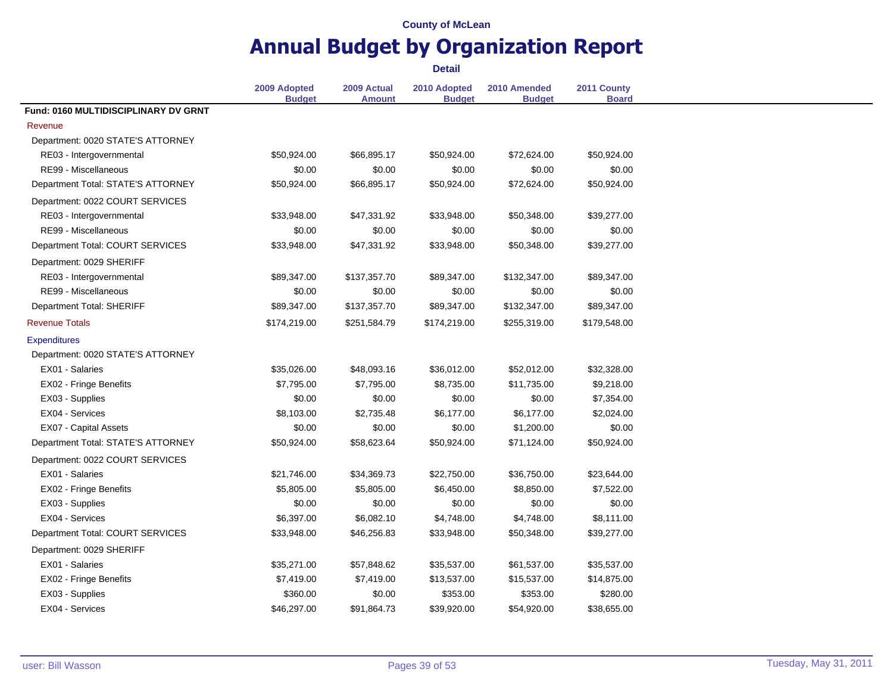# **Annual Budget by Organization Report**

|                                      | 2009 Adopted<br><b>Budget</b> | 2009 Actual<br><b>Amount</b> | 2010 Adopted<br><b>Budget</b> | 2010 Amended<br><b>Budget</b> | 2011 County<br><b>Board</b> |
|--------------------------------------|-------------------------------|------------------------------|-------------------------------|-------------------------------|-----------------------------|
| Fund: 0160 MULTIDISCIPLINARY DV GRNT |                               |                              |                               |                               |                             |
| Revenue                              |                               |                              |                               |                               |                             |
| Department: 0020 STATE'S ATTORNEY    |                               |                              |                               |                               |                             |
| RE03 - Intergovernmental             | \$50,924.00                   | \$66,895.17                  | \$50,924.00                   | \$72,624.00                   | \$50,924.00                 |
| RE99 - Miscellaneous                 | \$0.00                        | \$0.00                       | \$0.00                        | \$0.00                        | \$0.00                      |
| Department Total: STATE'S ATTORNEY   | \$50,924.00                   | \$66,895.17                  | \$50,924.00                   | \$72,624.00                   | \$50,924.00                 |
| Department: 0022 COURT SERVICES      |                               |                              |                               |                               |                             |
| RE03 - Intergovernmental             | \$33,948.00                   | \$47,331.92                  | \$33,948.00                   | \$50,348.00                   | \$39,277.00                 |
| RE99 - Miscellaneous                 | \$0.00                        | \$0.00                       | \$0.00                        | \$0.00                        | \$0.00                      |
| Department Total: COURT SERVICES     | \$33,948.00                   | \$47,331.92                  | \$33,948.00                   | \$50,348.00                   | \$39,277.00                 |
| Department: 0029 SHERIFF             |                               |                              |                               |                               |                             |
| RE03 - Intergovernmental             | \$89,347.00                   | \$137,357.70                 | \$89,347.00                   | \$132,347.00                  | \$89,347.00                 |
| RE99 - Miscellaneous                 | \$0.00                        | \$0.00                       | \$0.00                        | \$0.00                        | \$0.00                      |
| Department Total: SHERIFF            | \$89,347.00                   | \$137,357.70                 | \$89,347.00                   | \$132,347.00                  | \$89,347.00                 |
| <b>Revenue Totals</b>                | \$174,219.00                  | \$251,584.79                 | \$174,219.00                  | \$255,319.00                  | \$179,548.00                |
| <b>Expenditures</b>                  |                               |                              |                               |                               |                             |
| Department: 0020 STATE'S ATTORNEY    |                               |                              |                               |                               |                             |
| EX01 - Salaries                      | \$35,026.00                   | \$48,093.16                  | \$36,012.00                   | \$52,012.00                   | \$32,328.00                 |
| EX02 - Fringe Benefits               | \$7,795.00                    | \$7,795.00                   | \$8,735.00                    | \$11,735.00                   | \$9,218.00                  |
| EX03 - Supplies                      | \$0.00                        | \$0.00                       | \$0.00                        | \$0.00                        | \$7,354.00                  |
| EX04 - Services                      | \$8,103.00                    | \$2,735.48                   | \$6,177.00                    | \$6,177.00                    | \$2,024.00                  |
| <b>EX07 - Capital Assets</b>         | \$0.00                        | \$0.00                       | \$0.00                        | \$1,200.00                    | \$0.00                      |
| Department Total: STATE'S ATTORNEY   | \$50,924.00                   | \$58,623.64                  | \$50,924.00                   | \$71,124.00                   | \$50,924.00                 |
| Department: 0022 COURT SERVICES      |                               |                              |                               |                               |                             |
| EX01 - Salaries                      | \$21,746.00                   | \$34,369.73                  | \$22,750.00                   | \$36,750.00                   | \$23,644.00                 |
| EX02 - Fringe Benefits               | \$5,805.00                    | \$5,805.00                   | \$6,450.00                    | \$8,850.00                    | \$7,522.00                  |
| EX03 - Supplies                      | \$0.00                        | \$0.00                       | \$0.00                        | \$0.00                        | \$0.00                      |
| EX04 - Services                      | \$6,397.00                    | \$6,082.10                   | \$4,748.00                    | \$4,748.00                    | \$8,111.00                  |
| Department Total: COURT SERVICES     | \$33,948.00                   | \$46,256.83                  | \$33,948.00                   | \$50,348.00                   | \$39,277.00                 |
| Department: 0029 SHERIFF             |                               |                              |                               |                               |                             |
| EX01 - Salaries                      | \$35,271.00                   | \$57,848.62                  | \$35,537.00                   | \$61,537.00                   | \$35,537.00                 |
| EX02 - Fringe Benefits               | \$7,419.00                    | \$7,419.00                   | \$13,537.00                   | \$15,537.00                   | \$14,875.00                 |
| EX03 - Supplies                      | \$360.00                      | \$0.00                       | \$353.00                      | \$353.00                      | \$280.00                    |
| EX04 - Services                      | \$46,297.00                   | \$91,864.73                  | \$39,920.00                   | \$54,920.00                   | \$38,655.00                 |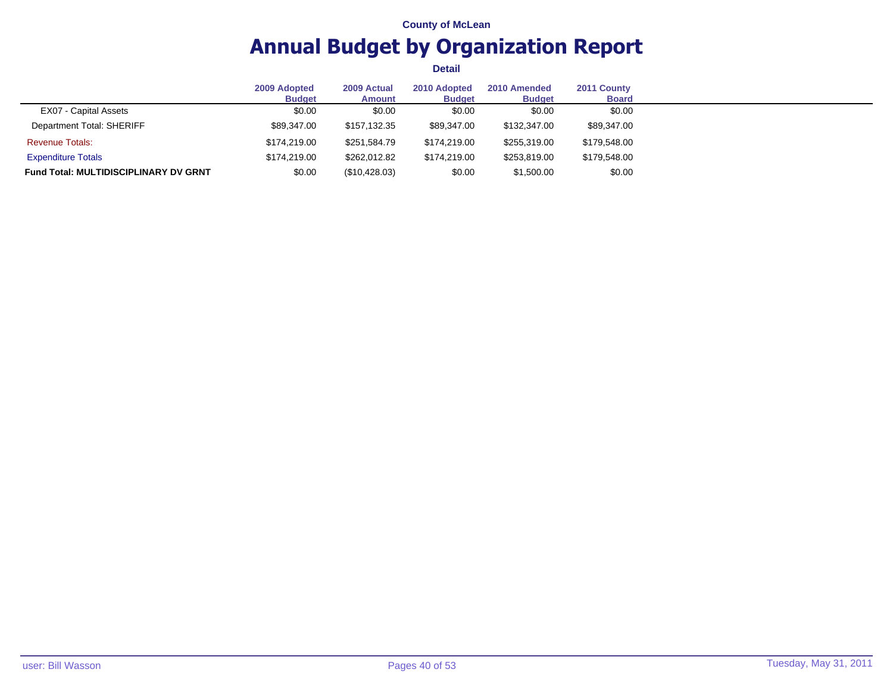# **Annual Budget by Organization Report**

|                                              | 2009 Adopted<br><b>Budget</b> | 2009 Actual<br><b>Amount</b> | 2010 Adopted<br><b>Budget</b> | 2010 Amended<br><b>Budget</b> | 2011 County<br><b>Board</b> |
|----------------------------------------------|-------------------------------|------------------------------|-------------------------------|-------------------------------|-----------------------------|
| EX07 - Capital Assets                        | \$0.00                        | \$0.00                       | \$0.00                        | \$0.00                        | \$0.00                      |
| Department Total: SHERIFF                    | \$89,347.00                   | \$157,132.35                 | \$89,347.00                   | \$132,347.00                  | \$89,347.00                 |
| <b>Revenue Totals:</b>                       | \$174.219.00                  | \$251.584.79                 | \$174.219.00                  | \$255,319.00                  | \$179,548.00                |
| <b>Expenditure Totals</b>                    | \$174,219.00                  | \$262.012.82                 | \$174,219.00                  | \$253,819.00                  | \$179,548.00                |
| <b>Fund Total: MULTIDISCIPLINARY DV GRNT</b> | \$0.00                        | (\$10,428.03)                | \$0.00                        | \$1,500.00                    | \$0.00                      |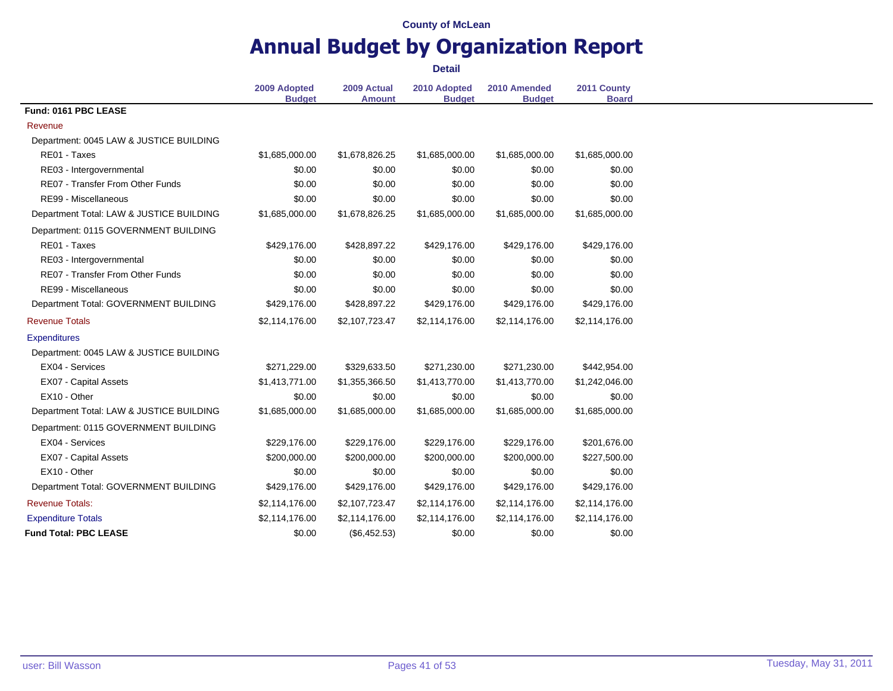# **Annual Budget by Organization Report**

|                                          | 2009 Adopted<br><b>Budget</b> | 2009 Actual<br><b>Amount</b> | 2010 Adopted<br><b>Budget</b> | 2010 Amended<br><b>Budget</b> | 2011 County<br><b>Board</b> |
|------------------------------------------|-------------------------------|------------------------------|-------------------------------|-------------------------------|-----------------------------|
| Fund: 0161 PBC LEASE                     |                               |                              |                               |                               |                             |
| Revenue                                  |                               |                              |                               |                               |                             |
| Department: 0045 LAW & JUSTICE BUILDING  |                               |                              |                               |                               |                             |
| RE01 - Taxes                             | \$1,685,000.00                | \$1,678,826.25               | \$1,685,000.00                | \$1,685,000.00                | \$1,685,000.00              |
| RE03 - Intergovernmental                 | \$0.00                        | \$0.00                       | \$0.00                        | \$0.00                        | \$0.00                      |
| RE07 - Transfer From Other Funds         | \$0.00                        | \$0.00                       | \$0.00                        | \$0.00                        | \$0.00                      |
| RE99 - Miscellaneous                     | \$0.00                        | \$0.00                       | \$0.00                        | \$0.00                        | \$0.00                      |
| Department Total: LAW & JUSTICE BUILDING | \$1,685,000.00                | \$1,678,826.25               | \$1,685,000.00                | \$1,685,000.00                | \$1,685,000.00              |
| Department: 0115 GOVERNMENT BUILDING     |                               |                              |                               |                               |                             |
| RE01 - Taxes                             | \$429,176.00                  | \$428,897.22                 | \$429,176.00                  | \$429,176.00                  | \$429,176.00                |
| RE03 - Intergovernmental                 | \$0.00                        | \$0.00                       | \$0.00                        | \$0.00                        | \$0.00                      |
| RE07 - Transfer From Other Funds         | \$0.00                        | \$0.00                       | \$0.00                        | \$0.00                        | \$0.00                      |
| RE99 - Miscellaneous                     | \$0.00                        | \$0.00                       | \$0.00                        | \$0.00                        | \$0.00                      |
| Department Total: GOVERNMENT BUILDING    | \$429,176.00                  | \$428,897.22                 | \$429,176.00                  | \$429,176.00                  | \$429,176.00                |
| <b>Revenue Totals</b>                    | \$2,114,176.00                | \$2,107,723.47               | \$2,114,176.00                | \$2,114,176.00                | \$2,114,176.00              |
| <b>Expenditures</b>                      |                               |                              |                               |                               |                             |
| Department: 0045 LAW & JUSTICE BUILDING  |                               |                              |                               |                               |                             |
| EX04 - Services                          | \$271,229.00                  | \$329,633.50                 | \$271,230.00                  | \$271,230.00                  | \$442,954.00                |
| EX07 - Capital Assets                    | \$1,413,771.00                | \$1,355,366.50               | \$1,413,770.00                | \$1,413,770.00                | \$1,242,046.00              |
| EX10 - Other                             | \$0.00                        | \$0.00                       | \$0.00                        | \$0.00                        | \$0.00                      |
| Department Total: LAW & JUSTICE BUILDING | \$1,685,000.00                | \$1,685,000.00               | \$1,685,000.00                | \$1,685,000.00                | \$1,685,000.00              |
| Department: 0115 GOVERNMENT BUILDING     |                               |                              |                               |                               |                             |
| EX04 - Services                          | \$229,176.00                  | \$229,176.00                 | \$229,176.00                  | \$229,176.00                  | \$201,676.00                |
| EX07 - Capital Assets                    | \$200,000.00                  | \$200,000.00                 | \$200,000.00                  | \$200,000.00                  | \$227,500.00                |
| EX10 - Other                             | \$0.00                        | \$0.00                       | \$0.00                        | \$0.00                        | \$0.00                      |
| Department Total: GOVERNMENT BUILDING    | \$429,176.00                  | \$429,176.00                 | \$429,176.00                  | \$429,176.00                  | \$429,176.00                |
| <b>Revenue Totals:</b>                   | \$2,114,176.00                | \$2,107,723.47               | \$2,114,176.00                | \$2,114,176.00                | \$2,114,176.00              |
| <b>Expenditure Totals</b>                | \$2,114,176.00                | \$2,114,176.00               | \$2,114,176.00                | \$2,114,176.00                | \$2,114,176.00              |
| <b>Fund Total: PBC LEASE</b>             | \$0.00                        | (\$6,452.53)                 | \$0.00                        | \$0.00                        | \$0.00                      |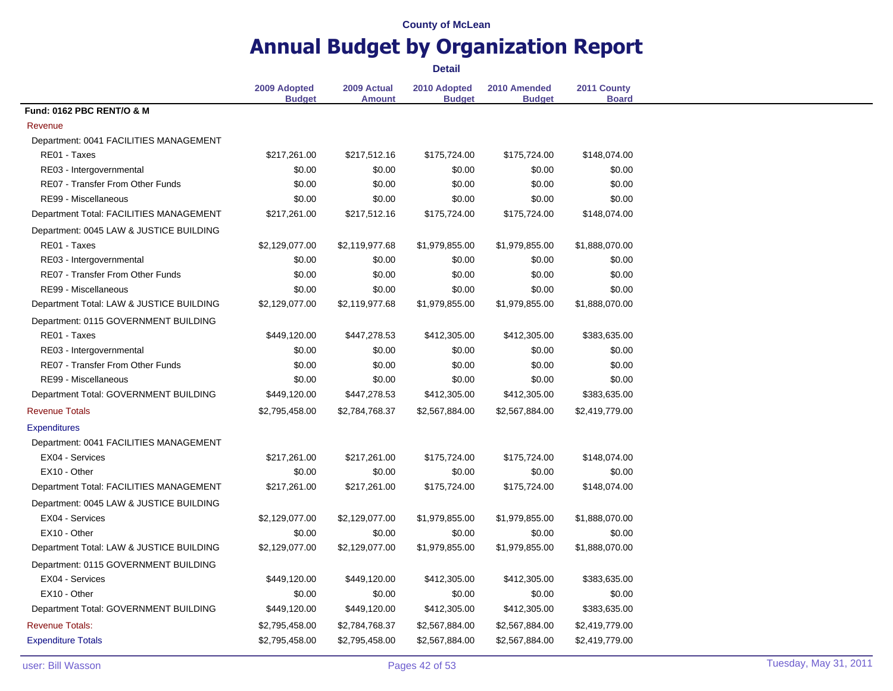# **Annual Budget by Organization Report**

|                                          | 2009 Adopted<br><b>Budget</b> | 2009 Actual<br><b>Amount</b> | 2010 Adopted<br><b>Budget</b> | 2010 Amended<br><b>Budget</b> | 2011 County<br><b>Board</b> |
|------------------------------------------|-------------------------------|------------------------------|-------------------------------|-------------------------------|-----------------------------|
| Fund: 0162 PBC RENT/O & M                |                               |                              |                               |                               |                             |
| Revenue                                  |                               |                              |                               |                               |                             |
| Department: 0041 FACILITIES MANAGEMENT   |                               |                              |                               |                               |                             |
| RE01 - Taxes                             | \$217,261.00                  | \$217,512.16                 | \$175,724.00                  | \$175,724.00                  | \$148,074.00                |
| RE03 - Intergovernmental                 | \$0.00                        | \$0.00                       | \$0.00                        | \$0.00                        | \$0.00                      |
| RE07 - Transfer From Other Funds         | \$0.00                        | \$0.00                       | \$0.00                        | \$0.00                        | \$0.00                      |
| RE99 - Miscellaneous                     | \$0.00                        | \$0.00                       | \$0.00                        | \$0.00                        | \$0.00                      |
| Department Total: FACILITIES MANAGEMENT  | \$217,261.00                  | \$217,512.16                 | \$175,724.00                  | \$175,724.00                  | \$148,074.00                |
| Department: 0045 LAW & JUSTICE BUILDING  |                               |                              |                               |                               |                             |
| RE01 - Taxes                             | \$2,129,077.00                | \$2,119,977.68               | \$1,979,855.00                | \$1,979,855.00                | \$1,888,070.00              |
| RE03 - Intergovernmental                 | \$0.00                        | \$0.00                       | \$0.00                        | \$0.00                        | \$0.00                      |
| RE07 - Transfer From Other Funds         | \$0.00                        | \$0.00                       | \$0.00                        | \$0.00                        | \$0.00                      |
| RE99 - Miscellaneous                     | \$0.00                        | \$0.00                       | \$0.00                        | \$0.00                        | \$0.00                      |
| Department Total: LAW & JUSTICE BUILDING | \$2,129,077.00                | \$2,119,977.68               | \$1,979,855.00                | \$1,979,855.00                | \$1,888,070.00              |
| Department: 0115 GOVERNMENT BUILDING     |                               |                              |                               |                               |                             |
| RE01 - Taxes                             | \$449,120.00                  | \$447,278.53                 | \$412,305.00                  | \$412,305.00                  | \$383,635.00                |
| RE03 - Intergovernmental                 | \$0.00                        | \$0.00                       | \$0.00                        | \$0.00                        | \$0.00                      |
| RE07 - Transfer From Other Funds         | \$0.00                        | \$0.00                       | \$0.00                        | \$0.00                        | \$0.00                      |
| RE99 - Miscellaneous                     | \$0.00                        | \$0.00                       | \$0.00                        | \$0.00                        | \$0.00                      |
| Department Total: GOVERNMENT BUILDING    | \$449,120.00                  | \$447,278.53                 | \$412,305.00                  | \$412,305.00                  | \$383,635.00                |
| <b>Revenue Totals</b>                    | \$2,795,458.00                | \$2,784,768.37               | \$2,567,884.00                | \$2,567,884.00                | \$2,419,779.00              |
| <b>Expenditures</b>                      |                               |                              |                               |                               |                             |
| Department: 0041 FACILITIES MANAGEMENT   |                               |                              |                               |                               |                             |
| EX04 - Services                          | \$217,261.00                  | \$217,261.00                 | \$175,724.00                  | \$175,724.00                  | \$148,074.00                |
| EX10 - Other                             | \$0.00                        | \$0.00                       | \$0.00                        | \$0.00                        | \$0.00                      |
| Department Total: FACILITIES MANAGEMENT  | \$217,261.00                  | \$217,261.00                 | \$175,724.00                  | \$175,724.00                  | \$148,074.00                |
|                                          |                               |                              |                               |                               |                             |
| Department: 0045 LAW & JUSTICE BUILDING  |                               |                              |                               |                               |                             |
| EX04 - Services                          | \$2,129,077.00                | \$2,129,077.00               | \$1,979,855.00                | \$1,979,855.00                | \$1,888,070.00              |
| EX10 - Other                             | \$0.00                        | \$0.00                       | \$0.00                        | \$0.00                        | \$0.00                      |
| Department Total: LAW & JUSTICE BUILDING | \$2,129,077.00                | \$2,129,077.00               | \$1,979,855.00                | \$1,979,855.00                | \$1,888,070.00              |
| Department: 0115 GOVERNMENT BUILDING     |                               |                              |                               |                               |                             |
| EX04 - Services                          | \$449,120.00                  | \$449,120.00                 | \$412,305.00                  | \$412,305.00                  | \$383,635.00                |
| EX10 - Other                             | \$0.00                        | \$0.00                       | \$0.00                        | \$0.00                        | \$0.00                      |
| Department Total: GOVERNMENT BUILDING    | \$449,120.00                  | \$449,120.00                 | \$412,305.00                  | \$412,305.00                  | \$383,635.00                |
| <b>Revenue Totals:</b>                   | \$2,795,458.00                | \$2,784,768.37               | \$2,567,884.00                | \$2,567,884.00                | \$2,419,779.00              |
| <b>Expenditure Totals</b>                | \$2,795,458.00                | \$2,795,458.00               | \$2,567,884.00                | \$2,567,884.00                | \$2,419,779.00              |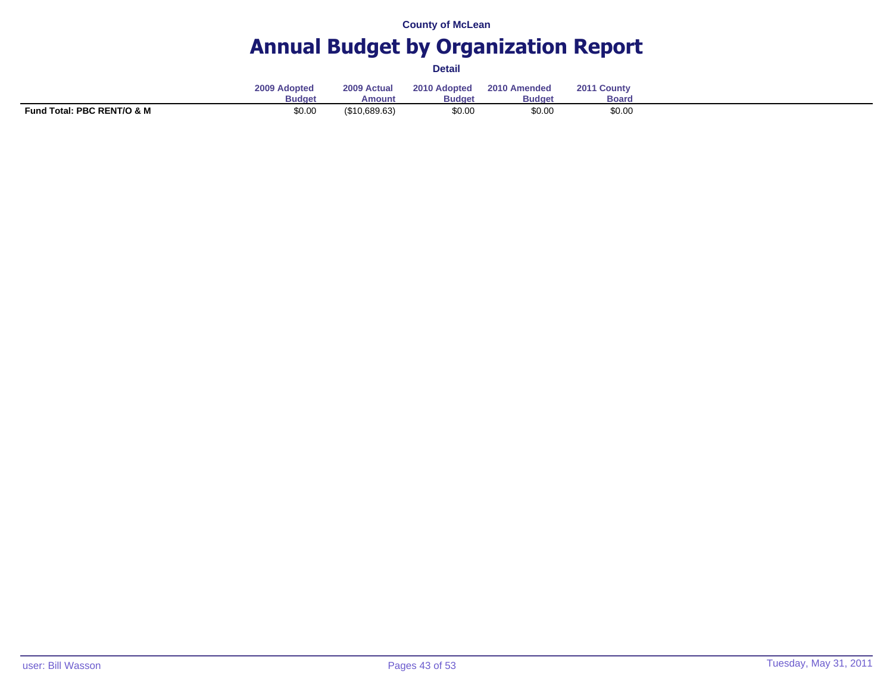# **Annual Budget by Organization Report**

|                            | 2009 Adopted<br><b>Budget</b> | 2009 Actual<br>Amount | 2010 Adopted<br><b>Budget</b> | 2010 Amended<br><b>Budget</b> | $201^\circ$<br><sup>1</sup> County<br>Board |  |
|----------------------------|-------------------------------|-----------------------|-------------------------------|-------------------------------|---------------------------------------------|--|
| Fund Total: PBC RENT/O & M | \$0.00                        | $($ \$10,689.63)      | \$0.00                        | \$0.00                        | \$0.00                                      |  |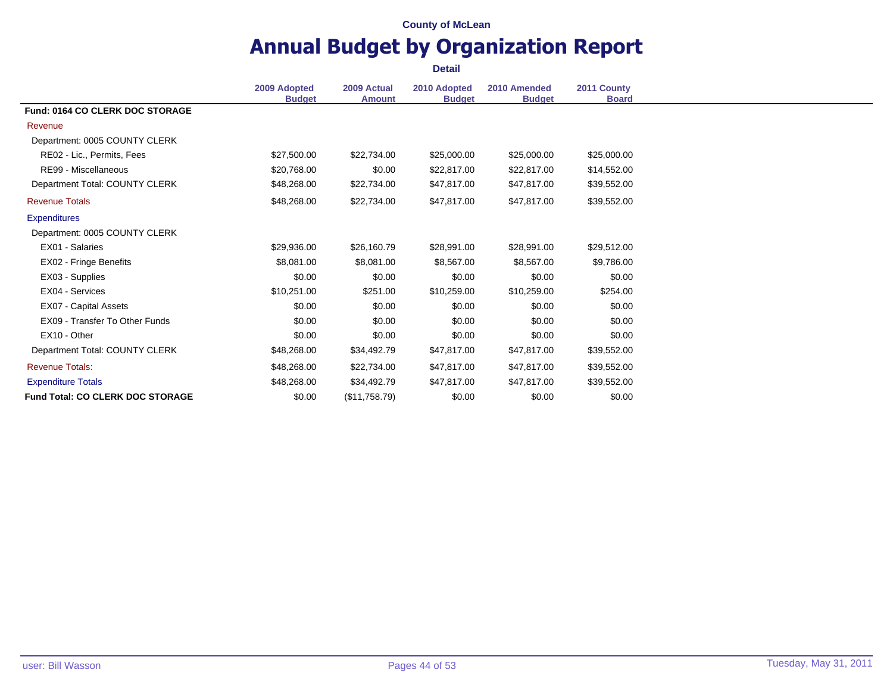# **Annual Budget by Organization Report**

| 2011 County<br>2009 Adopted<br>2010 Adopted<br>2009 Actual<br>2010 Amended<br><b>Board</b><br><b>Budget</b><br><b>Budget</b><br><b>Budget</b><br><b>Amount</b><br><b>Fund: 0164 CO CLERK DOC STORAGE</b><br>Revenue<br>Department: 0005 COUNTY CLERK<br>RE02 - Lic., Permits, Fees<br>\$25,000.00<br>\$25,000.00<br>\$27,500.00<br>\$22,734.00<br>\$25,000.00<br>RE99 - Miscellaneous<br>\$20,768.00<br>\$0.00<br>\$22,817.00<br>\$22,817.00<br>\$14,552.00<br>Department Total: COUNTY CLERK<br>\$48,268.00<br>\$22,734.00<br>\$47,817.00<br>\$39,552.00<br>\$47,817.00<br>\$22,734.00<br><b>Revenue Totals</b><br>\$48,268.00<br>\$47,817.00<br>\$47,817.00<br>\$39,552.00<br><b>Expenditures</b><br>Department: 0005 COUNTY CLERK<br>EX01 - Salaries<br>\$29,936.00<br>\$26,160.79<br>\$28,991.00<br>\$28,991.00<br>\$29,512.00<br>EX02 - Fringe Benefits<br>\$8,081.00<br>\$8,081.00<br>\$8,567.00<br>\$8,567.00<br>\$9,786.00<br>EX03 - Supplies<br>\$0.00<br>\$0.00<br>\$0.00<br>\$0.00<br>\$0.00<br>EX04 - Services<br>\$10,251.00<br>\$251.00<br>\$10,259.00<br>\$254.00<br>\$10,259.00<br>EX07 - Capital Assets<br>\$0.00<br>\$0.00<br>\$0.00<br>\$0.00<br>\$0.00<br>EX09 - Transfer To Other Funds<br>\$0.00<br>\$0.00<br>\$0.00<br>\$0.00<br>\$0.00<br>EX10 - Other<br>\$0.00<br>\$0.00<br>\$0.00<br>\$0.00<br>\$0.00<br>Department Total: COUNTY CLERK<br>\$48,268.00<br>\$34,492.79<br>\$47,817.00<br>\$47,817.00<br>\$39,552.00<br><b>Revenue Totals:</b><br>\$48,268.00<br>\$22,734.00<br>\$39,552.00<br>\$47,817.00<br>\$47,817.00<br><b>Expenditure Totals</b><br>\$48,268.00<br>\$47,817.00<br>\$47,817.00<br>\$39,552.00<br>\$34,492.79<br><b>Fund Total: CO CLERK DOC STORAGE</b><br>\$0.00<br>\$0.00<br>\$0.00<br>\$0.00<br>(\$11,758.79) |  |  |  |
|----------------------------------------------------------------------------------------------------------------------------------------------------------------------------------------------------------------------------------------------------------------------------------------------------------------------------------------------------------------------------------------------------------------------------------------------------------------------------------------------------------------------------------------------------------------------------------------------------------------------------------------------------------------------------------------------------------------------------------------------------------------------------------------------------------------------------------------------------------------------------------------------------------------------------------------------------------------------------------------------------------------------------------------------------------------------------------------------------------------------------------------------------------------------------------------------------------------------------------------------------------------------------------------------------------------------------------------------------------------------------------------------------------------------------------------------------------------------------------------------------------------------------------------------------------------------------------------------------------------------------------------------------------------------------------------------------------------------------------------------------------------|--|--|--|
|                                                                                                                                                                                                                                                                                                                                                                                                                                                                                                                                                                                                                                                                                                                                                                                                                                                                                                                                                                                                                                                                                                                                                                                                                                                                                                                                                                                                                                                                                                                                                                                                                                                                                                                                                                |  |  |  |
|                                                                                                                                                                                                                                                                                                                                                                                                                                                                                                                                                                                                                                                                                                                                                                                                                                                                                                                                                                                                                                                                                                                                                                                                                                                                                                                                                                                                                                                                                                                                                                                                                                                                                                                                                                |  |  |  |
|                                                                                                                                                                                                                                                                                                                                                                                                                                                                                                                                                                                                                                                                                                                                                                                                                                                                                                                                                                                                                                                                                                                                                                                                                                                                                                                                                                                                                                                                                                                                                                                                                                                                                                                                                                |  |  |  |
|                                                                                                                                                                                                                                                                                                                                                                                                                                                                                                                                                                                                                                                                                                                                                                                                                                                                                                                                                                                                                                                                                                                                                                                                                                                                                                                                                                                                                                                                                                                                                                                                                                                                                                                                                                |  |  |  |
|                                                                                                                                                                                                                                                                                                                                                                                                                                                                                                                                                                                                                                                                                                                                                                                                                                                                                                                                                                                                                                                                                                                                                                                                                                                                                                                                                                                                                                                                                                                                                                                                                                                                                                                                                                |  |  |  |
|                                                                                                                                                                                                                                                                                                                                                                                                                                                                                                                                                                                                                                                                                                                                                                                                                                                                                                                                                                                                                                                                                                                                                                                                                                                                                                                                                                                                                                                                                                                                                                                                                                                                                                                                                                |  |  |  |
|                                                                                                                                                                                                                                                                                                                                                                                                                                                                                                                                                                                                                                                                                                                                                                                                                                                                                                                                                                                                                                                                                                                                                                                                                                                                                                                                                                                                                                                                                                                                                                                                                                                                                                                                                                |  |  |  |
|                                                                                                                                                                                                                                                                                                                                                                                                                                                                                                                                                                                                                                                                                                                                                                                                                                                                                                                                                                                                                                                                                                                                                                                                                                                                                                                                                                                                                                                                                                                                                                                                                                                                                                                                                                |  |  |  |
|                                                                                                                                                                                                                                                                                                                                                                                                                                                                                                                                                                                                                                                                                                                                                                                                                                                                                                                                                                                                                                                                                                                                                                                                                                                                                                                                                                                                                                                                                                                                                                                                                                                                                                                                                                |  |  |  |
|                                                                                                                                                                                                                                                                                                                                                                                                                                                                                                                                                                                                                                                                                                                                                                                                                                                                                                                                                                                                                                                                                                                                                                                                                                                                                                                                                                                                                                                                                                                                                                                                                                                                                                                                                                |  |  |  |
|                                                                                                                                                                                                                                                                                                                                                                                                                                                                                                                                                                                                                                                                                                                                                                                                                                                                                                                                                                                                                                                                                                                                                                                                                                                                                                                                                                                                                                                                                                                                                                                                                                                                                                                                                                |  |  |  |
|                                                                                                                                                                                                                                                                                                                                                                                                                                                                                                                                                                                                                                                                                                                                                                                                                                                                                                                                                                                                                                                                                                                                                                                                                                                                                                                                                                                                                                                                                                                                                                                                                                                                                                                                                                |  |  |  |
|                                                                                                                                                                                                                                                                                                                                                                                                                                                                                                                                                                                                                                                                                                                                                                                                                                                                                                                                                                                                                                                                                                                                                                                                                                                                                                                                                                                                                                                                                                                                                                                                                                                                                                                                                                |  |  |  |
|                                                                                                                                                                                                                                                                                                                                                                                                                                                                                                                                                                                                                                                                                                                                                                                                                                                                                                                                                                                                                                                                                                                                                                                                                                                                                                                                                                                                                                                                                                                                                                                                                                                                                                                                                                |  |  |  |
|                                                                                                                                                                                                                                                                                                                                                                                                                                                                                                                                                                                                                                                                                                                                                                                                                                                                                                                                                                                                                                                                                                                                                                                                                                                                                                                                                                                                                                                                                                                                                                                                                                                                                                                                                                |  |  |  |
|                                                                                                                                                                                                                                                                                                                                                                                                                                                                                                                                                                                                                                                                                                                                                                                                                                                                                                                                                                                                                                                                                                                                                                                                                                                                                                                                                                                                                                                                                                                                                                                                                                                                                                                                                                |  |  |  |
|                                                                                                                                                                                                                                                                                                                                                                                                                                                                                                                                                                                                                                                                                                                                                                                                                                                                                                                                                                                                                                                                                                                                                                                                                                                                                                                                                                                                                                                                                                                                                                                                                                                                                                                                                                |  |  |  |
|                                                                                                                                                                                                                                                                                                                                                                                                                                                                                                                                                                                                                                                                                                                                                                                                                                                                                                                                                                                                                                                                                                                                                                                                                                                                                                                                                                                                                                                                                                                                                                                                                                                                                                                                                                |  |  |  |
|                                                                                                                                                                                                                                                                                                                                                                                                                                                                                                                                                                                                                                                                                                                                                                                                                                                                                                                                                                                                                                                                                                                                                                                                                                                                                                                                                                                                                                                                                                                                                                                                                                                                                                                                                                |  |  |  |
|                                                                                                                                                                                                                                                                                                                                                                                                                                                                                                                                                                                                                                                                                                                                                                                                                                                                                                                                                                                                                                                                                                                                                                                                                                                                                                                                                                                                                                                                                                                                                                                                                                                                                                                                                                |  |  |  |
|                                                                                                                                                                                                                                                                                                                                                                                                                                                                                                                                                                                                                                                                                                                                                                                                                                                                                                                                                                                                                                                                                                                                                                                                                                                                                                                                                                                                                                                                                                                                                                                                                                                                                                                                                                |  |  |  |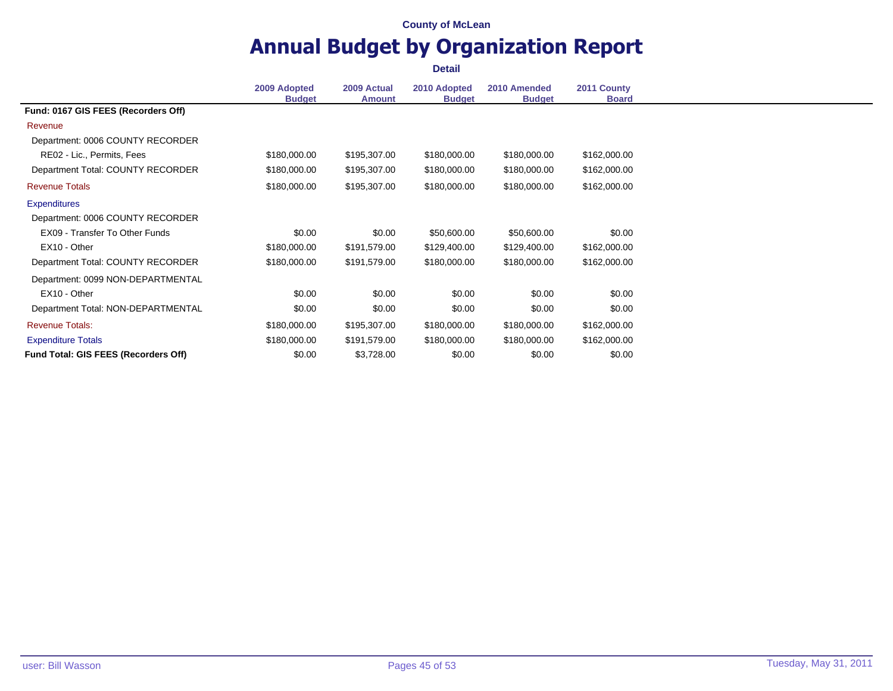# **Annual Budget by Organization Report**

|                                      | 2009 Adopted  | 2009 Actual   | 2010 Adopted  | 2010 Amended  | 2011 County  |
|--------------------------------------|---------------|---------------|---------------|---------------|--------------|
|                                      | <b>Budget</b> | <b>Amount</b> | <b>Budget</b> | <b>Budget</b> | <b>Board</b> |
| Fund: 0167 GIS FEES (Recorders Off)  |               |               |               |               |              |
| Revenue                              |               |               |               |               |              |
| Department: 0006 COUNTY RECORDER     |               |               |               |               |              |
| RE02 - Lic., Permits, Fees           | \$180,000.00  | \$195,307.00  | \$180,000.00  | \$180,000.00  | \$162,000.00 |
| Department Total: COUNTY RECORDER    | \$180,000.00  | \$195,307.00  | \$180,000.00  | \$180,000.00  | \$162,000.00 |
| <b>Revenue Totals</b>                | \$180,000.00  | \$195,307.00  | \$180,000.00  | \$180,000.00  | \$162,000.00 |
| <b>Expenditures</b>                  |               |               |               |               |              |
| Department: 0006 COUNTY RECORDER     |               |               |               |               |              |
| EX09 - Transfer To Other Funds       | \$0.00        | \$0.00        | \$50,600.00   | \$50,600.00   | \$0.00       |
| EX10 - Other                         | \$180,000.00  | \$191,579.00  | \$129,400.00  | \$129,400.00  | \$162,000.00 |
| Department Total: COUNTY RECORDER    | \$180,000.00  | \$191,579.00  | \$180,000.00  | \$180,000.00  | \$162,000.00 |
| Department: 0099 NON-DEPARTMENTAL    |               |               |               |               |              |
| EX10 - Other                         | \$0.00        | \$0.00        | \$0.00        | \$0.00        | \$0.00       |
| Department Total: NON-DEPARTMENTAL   | \$0.00        | \$0.00        | \$0.00        | \$0.00        | \$0.00       |
| <b>Revenue Totals:</b>               | \$180,000.00  | \$195,307.00  | \$180,000.00  | \$180,000.00  | \$162,000.00 |
| <b>Expenditure Totals</b>            | \$180,000.00  | \$191,579.00  | \$180,000.00  | \$180,000.00  | \$162,000.00 |
| Fund Total: GIS FEES (Recorders Off) | \$0.00        | \$3,728.00    | \$0.00        | \$0.00        | \$0.00       |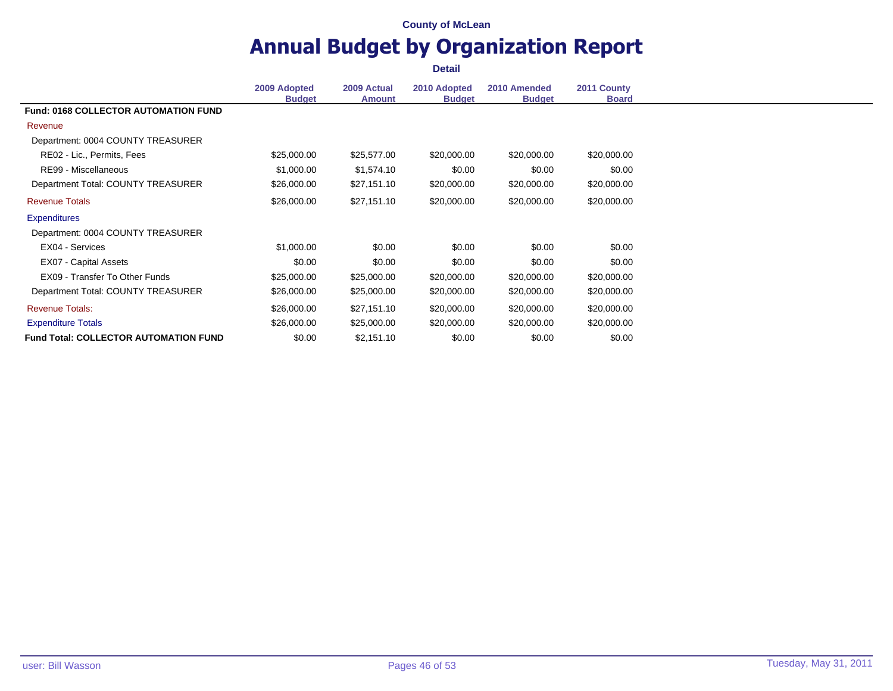### **Annual Budget by Organization Report Detail**

**2009 Adopted Budget 2009 Actual Amount 2010 Adopted Budget 2010 Amended Budget 2011 County Board Fund: 0168 COLLECTOR AUTOMATION FUND** Revenue Department: 0004 COUNTY TREASURER RE02 - Lic., Permits, Fees 625,000.00 \$25,000.00 \$25,577.00 \$20,000.00 \$20,000.00 \$20,000.00 \$20,000.00 RE99 - Miscellaneous 60.00 \$1,000.00 \$1,574.10 \$0.00 \$0.00 \$0.00 \$0.00 Department Total: COUNTY TREASURER  $$26,000.00$   $$27,151.10$   $$20,000.00$   $$20,000.00$   $$20,000.00$ Revenue Totals \$26,000.00 \$27,151.10 \$20,000.00 \$20,000.00 \$20,000.00 **Expenditures** Department: 0004 COUNTY TREASURER EX04 - Services \$1,000.00 \$0.00 \$0.00 \$0.00 \$0.00 EX07 - Capital Assets 60.00 \$0.00 \$0.00 \$0.00 \$0.00 \$0.00 \$0.00 \$0.00 \$0.00 EX09 - Transfer To Other Funds \$25,000.00 \$25,000.00 \$20,000.00 \$20,000.00 \$20,000.00 Department Total: COUNTY TREASURER \$26,000.00 \$25,000.00 \$20,000.00 \$20,000.00 \$20,000.00 Revenue Totals: \$26,000.00 \$27,151.10 \$20,000.00 \$20,000.00 \$20,000.00 Expenditure Totals **\$26,000.00** \$26,000.00 \$25,000.00 \$20,000.00 \$20,000.00 \$20,000.00 \$20,000.00 **Fund Total: COLLECTOR AUTOMATION FUND** \$0.00 \$2,151.10 \$0.00 \$0.00 \$0.00 \$0.00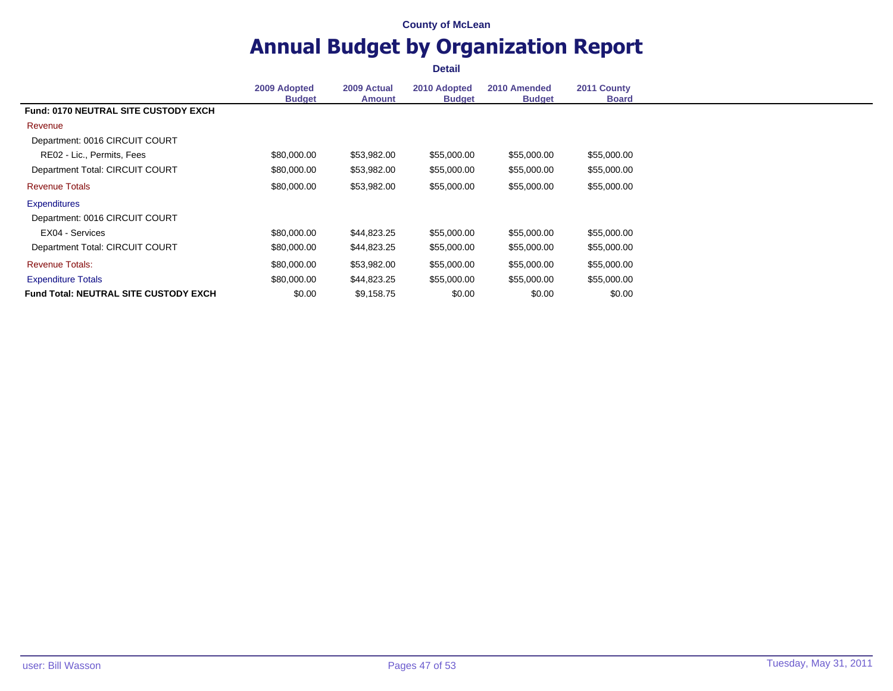# **Annual Budget by Organization Report**

|                                              | 2009 Adopted  | 2009 Actual   | 2010 Adopted  | 2010 Amended  | 2011 County  |
|----------------------------------------------|---------------|---------------|---------------|---------------|--------------|
|                                              | <b>Budget</b> | <b>Amount</b> | <b>Budget</b> | <b>Budget</b> | <b>Board</b> |
| <b>Fund: 0170 NEUTRAL SITE CUSTODY EXCH</b>  |               |               |               |               |              |
| Revenue                                      |               |               |               |               |              |
| Department: 0016 CIRCUIT COURT               |               |               |               |               |              |
| RE02 - Lic., Permits, Fees                   | \$80,000.00   | \$53,982.00   | \$55,000.00   | \$55,000.00   | \$55,000.00  |
| Department Total: CIRCUIT COURT              | \$80,000.00   | \$53,982.00   | \$55,000.00   | \$55,000.00   | \$55,000.00  |
| <b>Revenue Totals</b>                        | \$80,000.00   | \$53,982.00   | \$55,000.00   | \$55,000.00   | \$55,000.00  |
| <b>Expenditures</b>                          |               |               |               |               |              |
| Department: 0016 CIRCUIT COURT               |               |               |               |               |              |
| EX04 - Services                              | \$80,000.00   | \$44,823.25   | \$55,000.00   | \$55,000.00   | \$55,000.00  |
| Department Total: CIRCUIT COURT              | \$80,000.00   | \$44,823.25   | \$55,000.00   | \$55,000.00   | \$55,000.00  |
| <b>Revenue Totals:</b>                       | \$80,000.00   | \$53,982.00   | \$55,000.00   | \$55,000.00   | \$55,000.00  |
| <b>Expenditure Totals</b>                    | \$80,000.00   | \$44,823.25   | \$55,000.00   | \$55,000.00   | \$55,000.00  |
| <b>Fund Total: NEUTRAL SITE CUSTODY EXCH</b> | \$0.00        | \$9,158.75    | \$0.00        | \$0.00        | \$0.00       |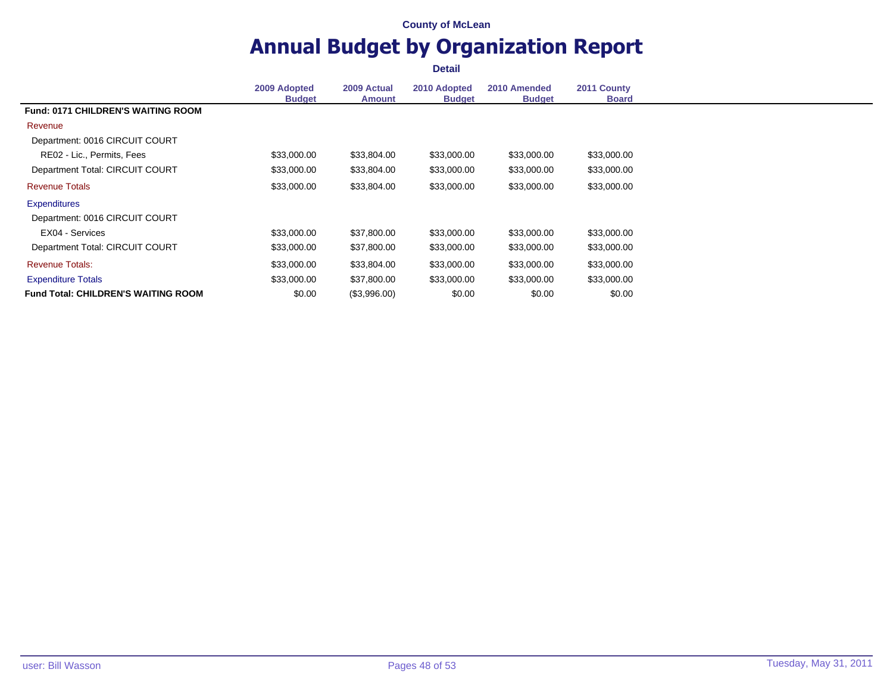# **Annual Budget by Organization Report**

|                                            | 2009 Adopted<br><b>Budget</b> | 2009 Actual<br><b>Amount</b> | 2010 Adopted<br><b>Budget</b> | 2010 Amended<br><b>Budget</b> | 2011 County<br><b>Board</b> |
|--------------------------------------------|-------------------------------|------------------------------|-------------------------------|-------------------------------|-----------------------------|
| <b>Fund: 0171 CHILDREN'S WAITING ROOM</b>  |                               |                              |                               |                               |                             |
|                                            |                               |                              |                               |                               |                             |
| Revenue                                    |                               |                              |                               |                               |                             |
| Department: 0016 CIRCUIT COURT             |                               |                              |                               |                               |                             |
| RE02 - Lic., Permits, Fees                 | \$33,000.00                   | \$33,804.00                  | \$33,000.00                   | \$33,000.00                   | \$33,000.00                 |
| Department Total: CIRCUIT COURT            | \$33,000.00                   | \$33,804.00                  | \$33,000.00                   | \$33,000.00                   | \$33,000.00                 |
| <b>Revenue Totals</b>                      | \$33,000.00                   | \$33,804.00                  | \$33,000.00                   | \$33,000.00                   | \$33,000.00                 |
| <b>Expenditures</b>                        |                               |                              |                               |                               |                             |
| Department: 0016 CIRCUIT COURT             |                               |                              |                               |                               |                             |
| EX04 - Services                            | \$33,000.00                   | \$37,800.00                  | \$33,000.00                   | \$33,000.00                   | \$33,000.00                 |
| Department Total: CIRCUIT COURT            | \$33,000.00                   | \$37,800.00                  | \$33,000.00                   | \$33,000.00                   | \$33,000.00                 |
| <b>Revenue Totals:</b>                     | \$33,000.00                   | \$33,804.00                  | \$33,000.00                   | \$33,000.00                   | \$33,000.00                 |
| <b>Expenditure Totals</b>                  | \$33,000.00                   | \$37,800.00                  | \$33,000.00                   | \$33,000.00                   | \$33,000.00                 |
| <b>Fund Total: CHILDREN'S WAITING ROOM</b> | \$0.00                        | (\$3,996.00)                 | \$0.00                        | \$0.00                        | \$0.00                      |
|                                            |                               |                              |                               |                               |                             |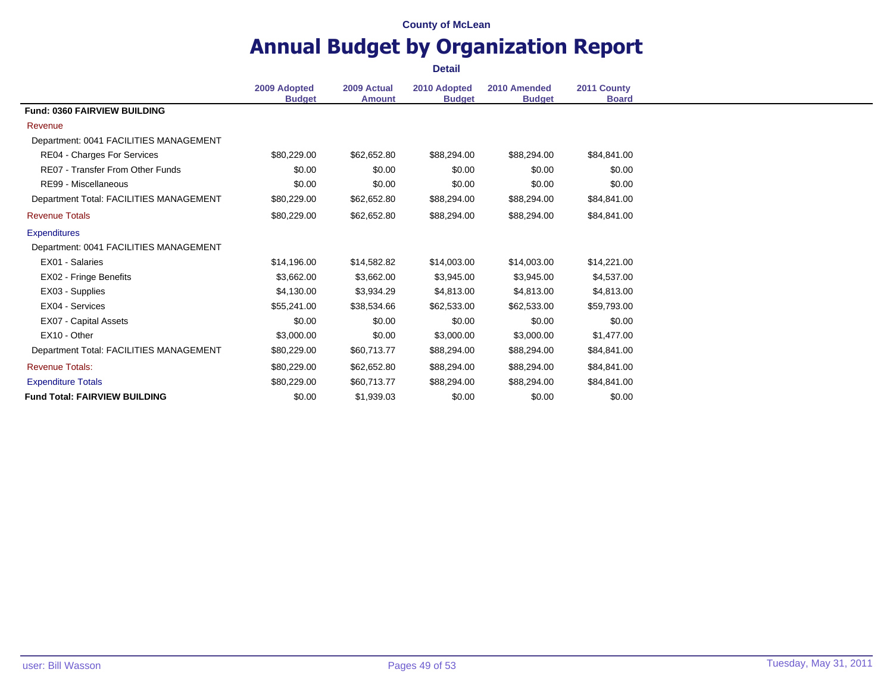### **Annual Budget by Organization Report Detail**

**2009 Adopted Budget 2009 Actual Amount 2010 Adopted Budget 2010 Amended Budget 2011 County Board Fund: 0360 FAIRVIEW BUILDING** Revenue Department: 0041 FACILITIES MANAGEMENT RE04 - Charges For Services  $$80,229.00$   $$62,652.80$   $$88,294.00$   $$84,841.00$   $$84,841.00$ RE07 - Transfer From Other Funds \$0.00 \$0.00 \$0.00 \$0.00 \$0.00 \$0.00 \$0.00 \$0.00 \$0.00 \$0.00 RE99 - Miscellaneous 60.00 \$0.00 \$0.00 \$0.00 \$0.00 \$0.00 \$0.00 \$0.00 \$0.00 \$0.00 \$0.00 \$0.00 \$0.00 \$0.00 \$0.00 Department Total: FACILITIES MANAGEMENT \$80,229.00 \$62,652.80 \$88,294.00 \$88,294.00 \$84,841.00 Revenue Totals \$80,229.00 \$62,652.80 \$88,294.00 \$88,294.00 \$84,841.00 **Expenditures** Department: 0041 FACILITIES MANAGEMENT EX01 - Salaries \$14,196.00 \$14,582.82 \$14,003.00 \$14,003.00 \$14,221.00 EX02 - Fringe Benefits 64,537.00 \$3,662.00 \$3,662.00 \$3,945.00 \$3,945.00 \$4,537.00 EX03 - Supplies \$4,130.00 \$3,934.29 \$4,813.00 \$4,813.00 \$4,813.00 EX04 - Services \$55,241.00 \$38,534.66 \$62,533.00 \$62,533.00 \$59,793.00 EX07 - Capital Assets 60.00 \$0.00 \$0.00 \$0.00 \$0.00 \$0.00 \$0.00 \$0.00 \$0.00 EX10 - Other \$3,000.00 \$0.00 \$3,000.00 \$3,000.00 \$1,477.00 Department Total: FACILITIES MANAGEMENT \$80,229.00 \$60,713.77 \$88,294.00 \$88,294.00 \$84,841.00 Revenue Totals: \$80,229.00 \$62,652.80 \$88,294.00 \$88,294.00 \$84,841.00 Expenditure Totals 68, 294.00 \$80,229.00 \$80,229.00 \$60,713.77 \$88,294.00 \$88,294.00 \$84,841.00 **Fund Total: FAIRVIEW BUILDING**  $$0.00$   $$1,939.03$   $$0.00$   $$0.00$   $$0.00$   $$0.00$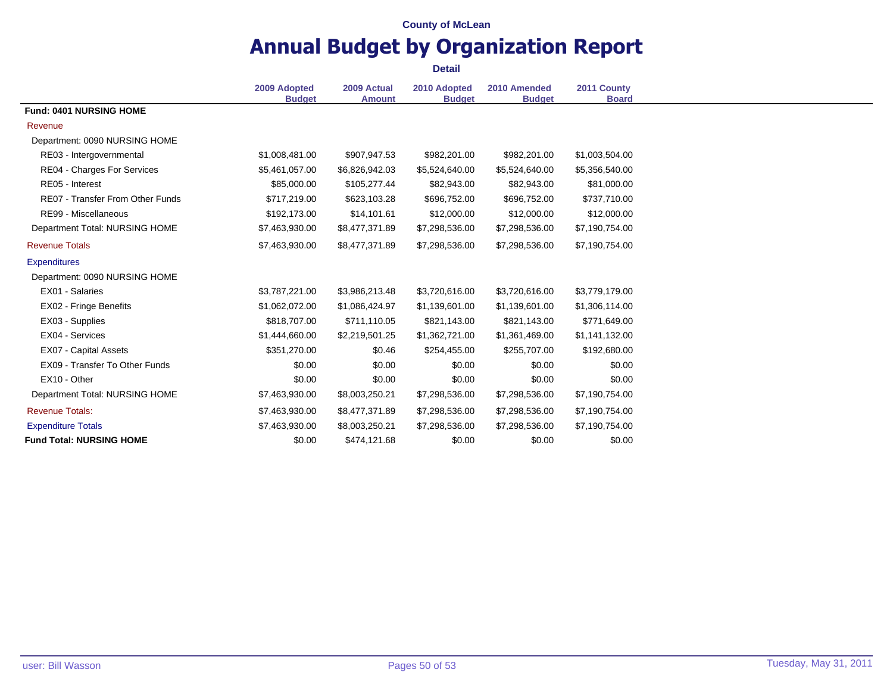# **Annual Budget by Organization Report**

|                                         |                               |                              |                               | 2010 Amended   |                             |
|-----------------------------------------|-------------------------------|------------------------------|-------------------------------|----------------|-----------------------------|
|                                         | 2009 Adopted<br><b>Budget</b> | 2009 Actual<br><b>Amount</b> | 2010 Adopted<br><b>Budget</b> | <b>Budget</b>  | 2011 County<br><b>Board</b> |
| Fund: 0401 NURSING HOME                 |                               |                              |                               |                |                             |
| Revenue                                 |                               |                              |                               |                |                             |
| Department: 0090 NURSING HOME           |                               |                              |                               |                |                             |
| RE03 - Intergovernmental                | \$1,008,481.00                | \$907,947.53                 | \$982,201.00                  | \$982,201.00   | \$1,003,504.00              |
| RE04 - Charges For Services             | \$5,461,057.00                | \$6,826,942.03               | \$5,524,640.00                | \$5,524,640.00 | \$5,356,540.00              |
| RE05 - Interest                         | \$85,000.00                   | \$105,277.44                 | \$82,943.00                   | \$82,943.00    | \$81,000.00                 |
| <b>RE07 - Transfer From Other Funds</b> | \$717,219.00                  | \$623,103.28                 | \$696,752.00                  | \$696,752.00   | \$737,710.00                |
| RE99 - Miscellaneous                    | \$192,173.00                  | \$14,101.61                  | \$12,000.00                   | \$12,000.00    | \$12,000.00                 |
| Department Total: NURSING HOME          | \$7,463,930.00                | \$8,477,371.89               | \$7,298,536.00                | \$7,298,536.00 | \$7,190,754.00              |
| <b>Revenue Totals</b>                   | \$7,463,930.00                | \$8,477,371.89               | \$7,298,536.00                | \$7,298,536.00 | \$7,190,754.00              |
| <b>Expenditures</b>                     |                               |                              |                               |                |                             |
| Department: 0090 NURSING HOME           |                               |                              |                               |                |                             |
| EX01 - Salaries                         | \$3,787,221.00                | \$3,986,213.48               | \$3,720,616.00                | \$3,720,616.00 | \$3,779,179.00              |
| EX02 - Fringe Benefits                  | \$1,062,072.00                | \$1,086,424.97               | \$1,139,601.00                | \$1,139,601.00 | \$1,306,114.00              |
| EX03 - Supplies                         | \$818,707.00                  | \$711,110.05                 | \$821,143.00                  | \$821,143.00   | \$771,649.00                |
| EX04 - Services                         | \$1,444,660.00                | \$2,219,501.25               | \$1,362,721.00                | \$1,361,469.00 | \$1,141,132.00              |
| <b>EX07 - Capital Assets</b>            | \$351,270.00                  | \$0.46                       | \$254,455.00                  | \$255,707.00   | \$192,680.00                |
| EX09 - Transfer To Other Funds          | \$0.00                        | \$0.00                       | \$0.00                        | \$0.00         | \$0.00                      |
| EX10 - Other                            | \$0.00                        | \$0.00                       | \$0.00                        | \$0.00         | \$0.00                      |
| Department Total: NURSING HOME          | \$7,463,930.00                | \$8,003,250.21               | \$7,298,536.00                | \$7,298,536.00 | \$7,190,754.00              |
| <b>Revenue Totals:</b>                  | \$7,463,930.00                | \$8,477,371.89               | \$7,298,536.00                | \$7,298,536.00 | \$7,190,754.00              |
| <b>Expenditure Totals</b>               | \$7,463,930.00                | \$8,003,250.21               | \$7,298,536.00                | \$7,298,536.00 | \$7,190,754.00              |
| <b>Fund Total: NURSING HOME</b>         | \$0.00                        | \$474,121.68                 | \$0.00                        | \$0.00         | \$0.00                      |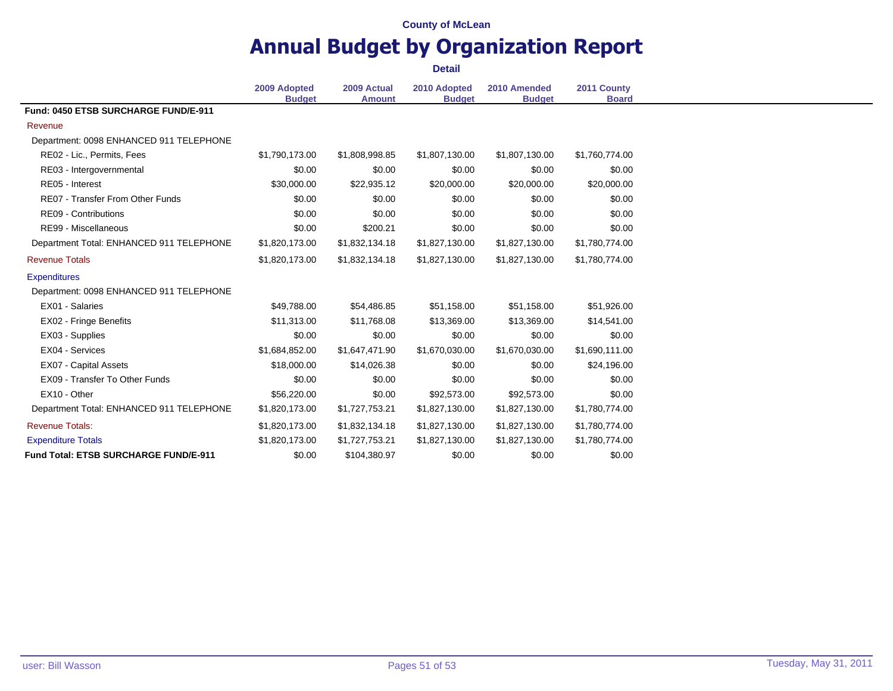# **Annual Budget by Organization Report**

|                                          |                               | <b>Detail</b>                |                               |                               |                             |
|------------------------------------------|-------------------------------|------------------------------|-------------------------------|-------------------------------|-----------------------------|
|                                          | 2009 Adopted<br><b>Budget</b> | 2009 Actual<br><b>Amount</b> | 2010 Adopted<br><b>Budget</b> | 2010 Amended<br><b>Budget</b> | 2011 County<br><b>Board</b> |
| Fund: 0450 ETSB SURCHARGE FUND/E-911     |                               |                              |                               |                               |                             |
| Revenue                                  |                               |                              |                               |                               |                             |
| Department: 0098 ENHANCED 911 TELEPHONE  |                               |                              |                               |                               |                             |
| RE02 - Lic., Permits, Fees               | \$1,790,173.00                | \$1,808,998.85               | \$1,807,130.00                | \$1,807,130.00                | \$1,760,774.00              |
| RE03 - Intergovernmental                 | \$0.00                        | \$0.00                       | \$0.00                        | \$0.00                        | \$0.00                      |
| RE05 - Interest                          | \$30,000.00                   | \$22,935.12                  | \$20,000.00                   | \$20,000.00                   | \$20,000.00                 |
| <b>RE07 - Transfer From Other Funds</b>  | \$0.00                        | \$0.00                       | \$0.00                        | \$0.00                        | \$0.00                      |
| <b>RE09 - Contributions</b>              | \$0.00                        | \$0.00                       | \$0.00                        | \$0.00                        | \$0.00                      |
| RE99 - Miscellaneous                     | \$0.00                        | \$200.21                     | \$0.00                        | \$0.00                        | \$0.00                      |
| Department Total: ENHANCED 911 TELEPHONE | \$1,820,173.00                | \$1,832,134.18               | \$1,827,130.00                | \$1,827,130.00                | \$1,780,774.00              |
| <b>Revenue Totals</b>                    | \$1,820,173.00                | \$1,832,134.18               | \$1,827,130.00                | \$1,827,130.00                | \$1,780,774.00              |
| <b>Expenditures</b>                      |                               |                              |                               |                               |                             |
| Department: 0098 ENHANCED 911 TELEPHONE  |                               |                              |                               |                               |                             |
| EX01 - Salaries                          | \$49,788.00                   | \$54,486.85                  | \$51,158.00                   | \$51,158.00                   | \$51,926.00                 |
| EX02 - Fringe Benefits                   | \$11,313,00                   | \$11.768.08                  | \$13,369.00                   | \$13,369.00                   | \$14,541.00                 |
| EX03 - Supplies                          | \$0.00                        | \$0.00                       | \$0.00                        | \$0.00                        | \$0.00                      |
| EX04 - Services                          | \$1,684,852.00                | \$1,647,471.90               | \$1,670,030.00                | \$1,670,030.00                | \$1,690,111.00              |
| <b>EX07 - Capital Assets</b>             | \$18,000.00                   | \$14,026.38                  | \$0.00                        | \$0.00                        | \$24,196.00                 |
| EX09 - Transfer To Other Funds           | \$0.00                        | \$0.00                       | \$0.00                        | \$0.00                        | \$0.00                      |
| EX10 - Other                             | \$56,220.00                   | \$0.00                       | \$92,573.00                   | \$92,573.00                   | \$0.00                      |
| Department Total: ENHANCED 911 TELEPHONE | \$1,820,173.00                | \$1,727,753.21               | \$1,827,130.00                | \$1,827,130.00                | \$1,780,774.00              |
| <b>Revenue Totals:</b>                   | \$1,820,173.00                | \$1,832,134.18               | \$1,827,130.00                | \$1,827,130.00                | \$1,780,774.00              |
| <b>Expenditure Totals</b>                | \$1,820,173.00                | \$1,727,753.21               | \$1,827,130.00                | \$1,827,130.00                | \$1,780,774.00              |
| Fund Total: ETSB SURCHARGE FUND/E-911    | \$0.00                        | \$104,380.97                 | \$0.00                        | \$0.00                        | \$0.00                      |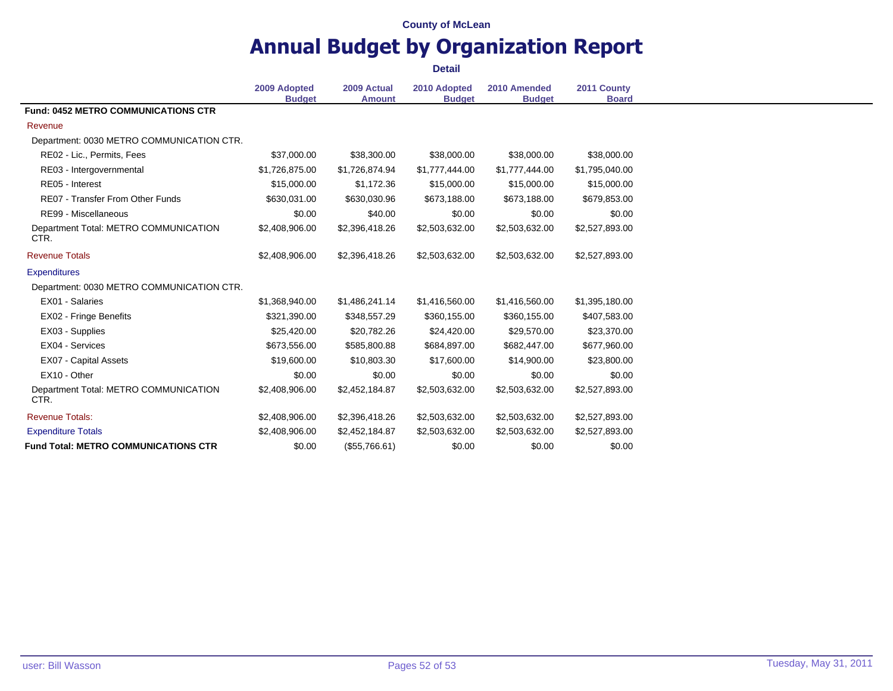# **Annual Budget by Organization Report**

|                                               | <b>Detail</b>                 |                              |                               |                               |                             |  |
|-----------------------------------------------|-------------------------------|------------------------------|-------------------------------|-------------------------------|-----------------------------|--|
|                                               | 2009 Adopted<br><b>Budget</b> | 2009 Actual<br><b>Amount</b> | 2010 Adopted<br><b>Budget</b> | 2010 Amended<br><b>Budget</b> | 2011 County<br><b>Board</b> |  |
| <b>Fund: 0452 METRO COMMUNICATIONS CTR</b>    |                               |                              |                               |                               |                             |  |
| Revenue                                       |                               |                              |                               |                               |                             |  |
| Department: 0030 METRO COMMUNICATION CTR.     |                               |                              |                               |                               |                             |  |
| RE02 - Lic., Permits, Fees                    | \$37,000.00                   | \$38,300.00                  | \$38,000.00                   | \$38,000.00                   | \$38,000.00                 |  |
| RE03 - Intergovernmental                      | \$1,726,875.00                | \$1,726,874.94               | \$1,777,444.00                | \$1,777,444.00                | \$1,795,040.00              |  |
| RE05 - Interest                               | \$15,000.00                   | \$1,172.36                   | \$15,000.00                   | \$15,000.00                   | \$15,000.00                 |  |
| <b>RE07 - Transfer From Other Funds</b>       | \$630,031.00                  | \$630,030.96                 | \$673,188.00                  | \$673,188.00                  | \$679,853.00                |  |
| RE99 - Miscellaneous                          | \$0.00                        | \$40.00                      | \$0.00                        | \$0.00                        | \$0.00                      |  |
| Department Total: METRO COMMUNICATION<br>CTR. | \$2,408,906.00                | \$2,396,418.26               | \$2,503,632.00                | \$2,503,632.00                | \$2,527,893.00              |  |
| <b>Revenue Totals</b>                         | \$2,408,906.00                | \$2,396,418.26               | \$2,503,632.00                | \$2,503,632.00                | \$2,527,893.00              |  |
| <b>Expenditures</b>                           |                               |                              |                               |                               |                             |  |
| Department: 0030 METRO COMMUNICATION CTR.     |                               |                              |                               |                               |                             |  |
| EX01 - Salaries                               | \$1,368,940.00                | \$1,486,241.14               | \$1,416,560.00                | \$1,416,560.00                | \$1,395,180.00              |  |
| EX02 - Fringe Benefits                        | \$321,390.00                  | \$348,557.29                 | \$360,155.00                  | \$360,155.00                  | \$407,583.00                |  |
| EX03 - Supplies                               | \$25,420.00                   | \$20,782.26                  | \$24,420.00                   | \$29,570.00                   | \$23,370.00                 |  |
| EX04 - Services                               | \$673,556.00                  | \$585,800.88                 | \$684,897.00                  | \$682,447.00                  | \$677,960.00                |  |
| <b>EX07 - Capital Assets</b>                  | \$19,600.00                   | \$10,803.30                  | \$17,600.00                   | \$14,900.00                   | \$23,800.00                 |  |
| EX10 - Other                                  | \$0.00                        | \$0.00                       | \$0.00                        | \$0.00                        | \$0.00                      |  |
| Department Total: METRO COMMUNICATION<br>CTR. | \$2,408,906.00                | \$2,452,184.87               | \$2,503,632.00                | \$2,503,632.00                | \$2,527,893.00              |  |
| <b>Revenue Totals:</b>                        | \$2,408,906.00                | \$2,396,418.26               | \$2,503,632.00                | \$2,503,632.00                | \$2,527,893.00              |  |
| <b>Expenditure Totals</b>                     | \$2,408,906.00                | \$2,452,184.87               | \$2,503,632.00                | \$2,503,632.00                | \$2,527,893.00              |  |
| <b>Fund Total: METRO COMMUNICATIONS CTR</b>   | \$0.00                        | (\$55,766.61)                | \$0.00                        | \$0.00                        | \$0.00                      |  |